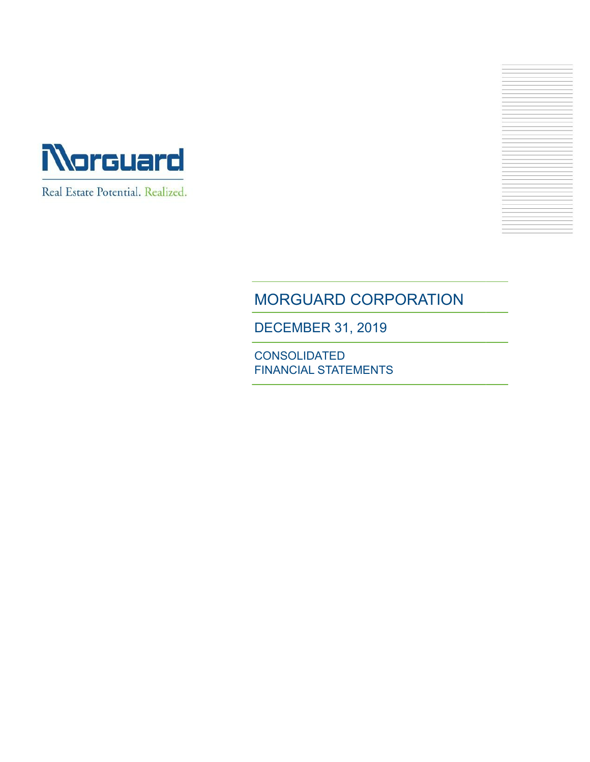



# MORGUARD CORPORATION

DECEMBER 31, 2019

CONSOLIDATED FINANCIAL STATEMENTS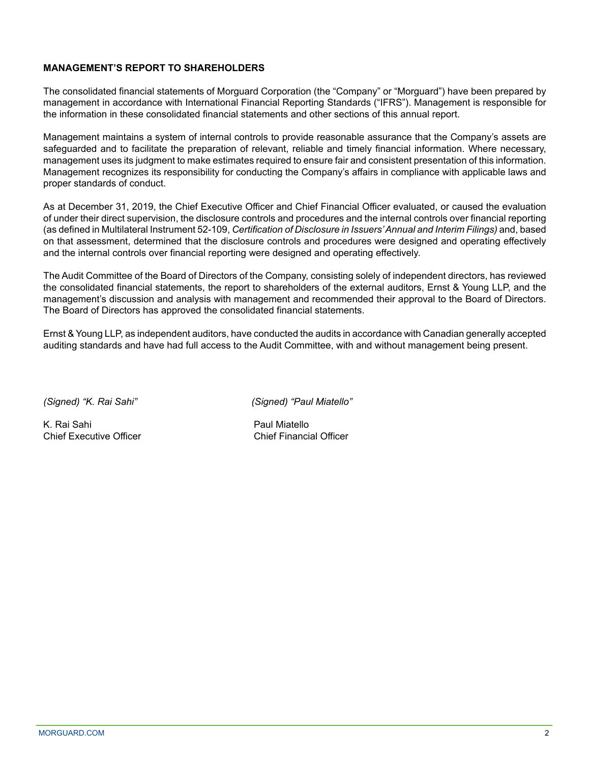## **MANAGEMENT'S REPORT TO SHAREHOLDERS**

The consolidated financial statements of Morguard Corporation (the "Company" or "Morguard") have been prepared by management in accordance with International Financial Reporting Standards ("IFRS"). Management is responsible for the information in these consolidated financial statements and other sections of this annual report.

Management maintains a system of internal controls to provide reasonable assurance that the Company's assets are safeguarded and to facilitate the preparation of relevant, reliable and timely financial information. Where necessary, management uses its judgment to make estimates required to ensure fair and consistent presentation of this information. Management recognizes its responsibility for conducting the Company's affairs in compliance with applicable laws and proper standards of conduct.

As at December 31, 2019, the Chief Executive Officer and Chief Financial Officer evaluated, or caused the evaluation of under their direct supervision, the disclosure controls and procedures and the internal controls over financial reporting (as defined in Multilateral Instrument 52-109, *Certification of Disclosure in Issuers'Annual and Interim Filings)*and, based on that assessment, determined that the disclosure controls and procedures were designed and operating effectively and the internal controls over financial reporting were designed and operating effectively.

The Audit Committee of the Board of Directors of the Company, consisting solely of independent directors, has reviewed the consolidated financial statements, the report to shareholders of the external auditors, Ernst & Young LLP, and the management's discussion and analysis with management and recommended their approval to the Board of Directors. The Board of Directors has approved the consolidated financial statements.

Ernst & Young LLP, as independent auditors, have conducted the audits in accordance with Canadian generally accepted auditing standards and have had full access to the Audit Committee, with and without management being present.

*(Signed) "K. Rai Sahi" (Signed) "Paul Miatello"* 

K. Rai Sahi **Paul Miatello** Chief Executive Officer Chief Financial Officer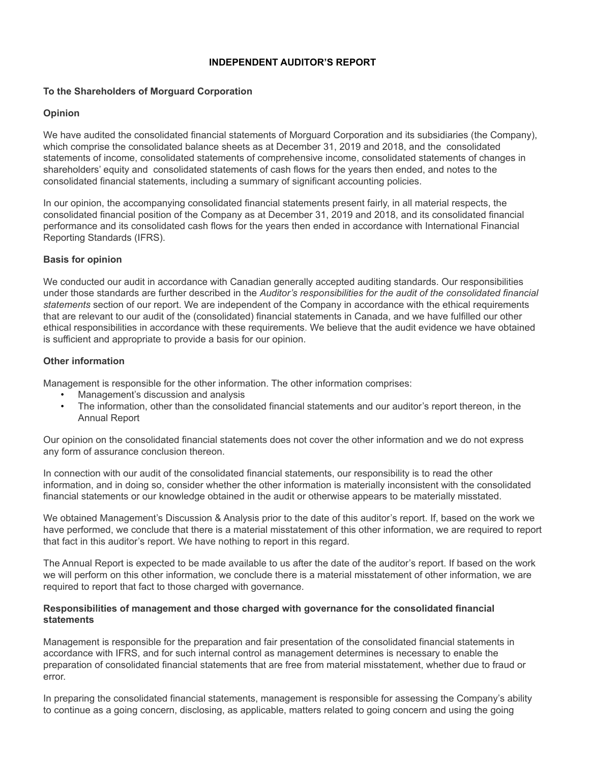## **INDEPENDENT AUDITOR'S REPORT**

## **To the Shareholders of Morguard Corporation**

## **Opinion**

We have audited the consolidated financial statements of Morguard Corporation and its subsidiaries (the Company), which comprise the consolidated balance sheets as at December 31, 2019 and 2018, and the consolidated statements of income, consolidated statements of comprehensive income, consolidated statements of changes in shareholders' equity and consolidated statements of cash flows for the years then ended, and notes to the consolidated financial statements, including a summary of significant accounting policies.

In our opinion, the accompanying consolidated financial statements present fairly, in all material respects, the consolidated financial position of the Company as at December 31, 2019 and 2018, and its consolidated financial performance and its consolidated cash flows for the years then ended in accordance with International Financial Reporting Standards (IFRS).

## **Basis for opinion**

We conducted our audit in accordance with Canadian generally accepted auditing standards. Our responsibilities under those standards are further described in the *Auditor's responsibilities for the audit of the consolidated financial statements* section of our report. We are independent of the Company in accordance with the ethical requirements that are relevant to our audit of the (consolidated) financial statements in Canada, and we have fulfilled our other ethical responsibilities in accordance with these requirements. We believe that the audit evidence we have obtained is sufficient and appropriate to provide a basis for our opinion.

## **Other information**

Management is responsible for the other information. The other information comprises:

- Management's discussion and analysis
- The information, other than the consolidated financial statements and our auditor's report thereon, in the Annual Report

Our opinion on the consolidated financial statements does not cover the other information and we do not express any form of assurance conclusion thereon.

In connection with our audit of the consolidated financial statements, our responsibility is to read the other information, and in doing so, consider whether the other information is materially inconsistent with the consolidated financial statements or our knowledge obtained in the audit or otherwise appears to be materially misstated.

We obtained Management's Discussion & Analysis prior to the date of this auditor's report. If, based on the work we have performed, we conclude that there is a material misstatement of this other information, we are required to report that fact in this auditor's report. We have nothing to report in this regard.

The Annual Report is expected to be made available to us after the date of the auditor's report. If based on the work we will perform on this other information, we conclude there is a material misstatement of other information, we are required to report that fact to those charged with governance.

## **Responsibilities of management and those charged with governance for the consolidated financial statements**

Management is responsible for the preparation and fair presentation of the consolidated financial statements in accordance with IFRS, and for such internal control as management determines is necessary to enable the preparation of consolidated financial statements that are free from material misstatement, whether due to fraud or error.

In preparing the consolidated financial statements, management is responsible for assessing the Company's ability to continue as a going concern, disclosing, as applicable, matters related to going concern and using the going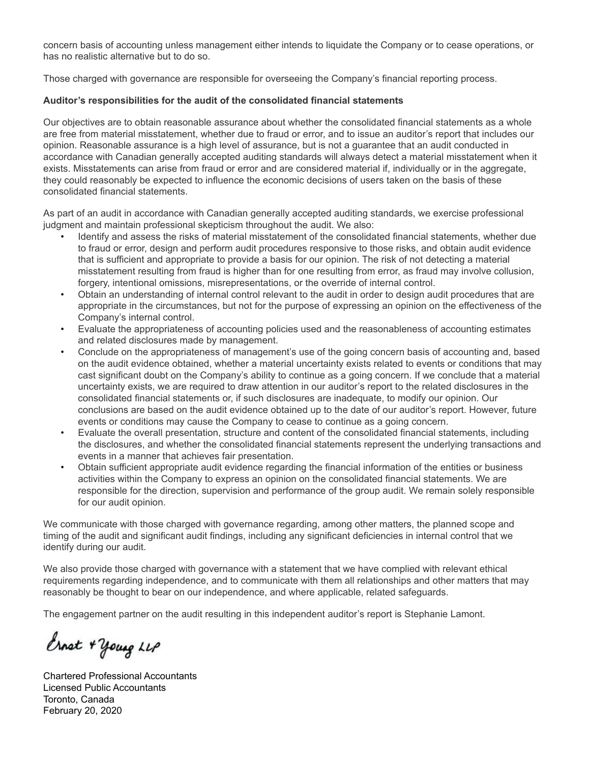concern basis of accounting unless management either intends to liquidate the Company or to cease operations, or has no realistic alternative but to do so.

Those charged with governance are responsible for overseeing the Company's financial reporting process.

## **Auditor's responsibilities for the audit of the consolidated financial statements**

Our objectives are to obtain reasonable assurance about whether the consolidated financial statements as a whole are free from material misstatement, whether due to fraud or error, and to issue an auditor's report that includes our opinion. Reasonable assurance is a high level of assurance, but is not a guarantee that an audit conducted in accordance with Canadian generally accepted auditing standards will always detect a material misstatement when it exists. Misstatements can arise from fraud or error and are considered material if, individually or in the aggregate, they could reasonably be expected to influence the economic decisions of users taken on the basis of these consolidated financial statements.

As part of an audit in accordance with Canadian generally accepted auditing standards, we exercise professional judgment and maintain professional skepticism throughout the audit. We also:

- Identify and assess the risks of material misstatement of the consolidated financial statements, whether due to fraud or error, design and perform audit procedures responsive to those risks, and obtain audit evidence that is sufficient and appropriate to provide a basis for our opinion. The risk of not detecting a material misstatement resulting from fraud is higher than for one resulting from error, as fraud may involve collusion, forgery, intentional omissions, misrepresentations, or the override of internal control.
- Obtain an understanding of internal control relevant to the audit in order to design audit procedures that are appropriate in the circumstances, but not for the purpose of expressing an opinion on the effectiveness of the Company's internal control.
- Evaluate the appropriateness of accounting policies used and the reasonableness of accounting estimates and related disclosures made by management.
- Conclude on the appropriateness of management's use of the going concern basis of accounting and, based on the audit evidence obtained, whether a material uncertainty exists related to events or conditions that may cast significant doubt on the Company's ability to continue as a going concern. If we conclude that a material uncertainty exists, we are required to draw attention in our auditor's report to the related disclosures in the consolidated financial statements or, if such disclosures are inadequate, to modify our opinion. Our conclusions are based on the audit evidence obtained up to the date of our auditor's report. However, future events or conditions may cause the Company to cease to continue as a going concern.
- Evaluate the overall presentation, structure and content of the consolidated financial statements, including the disclosures, and whether the consolidated financial statements represent the underlying transactions and events in a manner that achieves fair presentation.
- Obtain sufficient appropriate audit evidence regarding the financial information of the entities or business activities within the Company to express an opinion on the consolidated financial statements. We are responsible for the direction, supervision and performance of the group audit. We remain solely responsible for our audit opinion.

We communicate with those charged with governance regarding, among other matters, the planned scope and timing of the audit and significant audit findings, including any significant deficiencies in internal control that we identify during our audit.

We also provide those charged with governance with a statement that we have complied with relevant ethical requirements regarding independence, and to communicate with them all relationships and other matters that may reasonably be thought to bear on our independence, and where applicable, related safeguards.

The engagement partner on the audit resulting in this independent auditor's report is Stephanie Lamont.

Ernst + young LLP

Chartered Professional Accountants Licensed Public Accountants Toronto, Canada February 20, 2020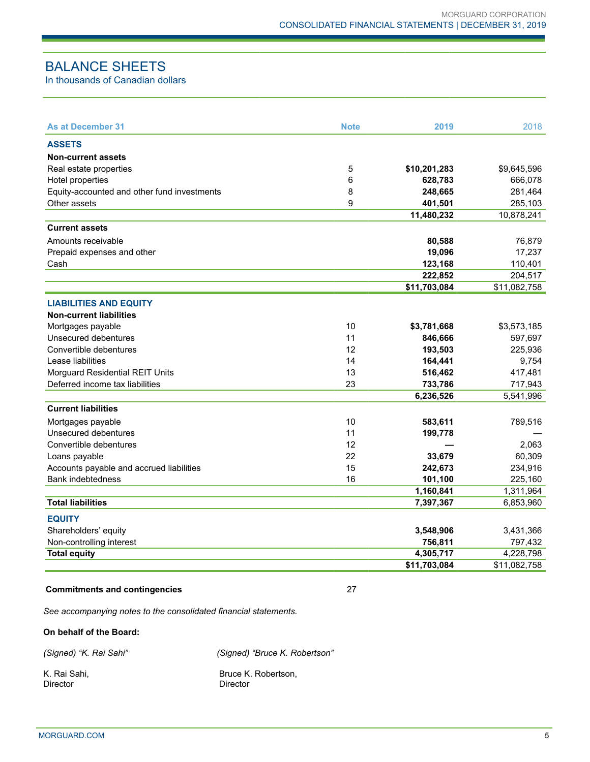# BALANCE SHEETS

In thousands of Canadian dollars

| <b>As at December 31</b>                    | <b>Note</b> | 2019         | 2018         |
|---------------------------------------------|-------------|--------------|--------------|
| <b>ASSETS</b>                               |             |              |              |
| <b>Non-current assets</b>                   |             |              |              |
| Real estate properties                      | 5           | \$10,201,283 | \$9,645,596  |
| Hotel properties                            | 6           | 628,783      | 666,078      |
| Equity-accounted and other fund investments | 8           | 248,665      | 281,464      |
| Other assets                                | 9           | 401,501      | 285,103      |
|                                             |             | 11,480,232   | 10,878,241   |
| <b>Current assets</b>                       |             |              |              |
| Amounts receivable                          |             | 80,588       | 76,879       |
| Prepaid expenses and other                  |             | 19,096       | 17,237       |
| Cash                                        |             | 123,168      | 110,401      |
|                                             |             | 222,852      | 204,517      |
|                                             |             | \$11,703,084 | \$11,082,758 |
| <b>LIABILITIES AND EQUITY</b>               |             |              |              |
| <b>Non-current liabilities</b>              |             |              |              |
| Mortgages payable                           | 10          | \$3,781,668  | \$3,573,185  |
| Unsecured debentures                        | 11          | 846,666      | 597,697      |
| Convertible debentures                      | 12          | 193,503      | 225,936      |
| Lease liabilities                           | 14          | 164,441      | 9,754        |
| Morguard Residential REIT Units             | 13          | 516,462      | 417,481      |
| Deferred income tax liabilities             | 23          | 733,786      | 717,943      |
|                                             |             | 6,236,526    | 5,541,996    |
| <b>Current liabilities</b>                  |             |              |              |
| Mortgages payable                           | 10          | 583,611      | 789,516      |
| Unsecured debentures                        | 11          | 199,778      |              |
| Convertible debentures                      | 12          |              | 2,063        |
| Loans payable                               | 22          | 33,679       | 60,309       |
| Accounts payable and accrued liabilities    | 15          | 242,673      | 234,916      |
| <b>Bank indebtedness</b>                    | 16          | 101,100      | 225,160      |
|                                             |             | 1,160,841    | 1,311,964    |
| <b>Total liabilities</b>                    |             | 7,397,367    | 6,853,960    |
| <b>EQUITY</b>                               |             |              |              |
| Shareholders' equity                        |             | 3,548,906    | 3,431,366    |
| Non-controlling interest                    |             | 756,811      | 797,432      |
| <b>Total equity</b>                         |             | 4,305,717    | 4,228,798    |
|                                             |             | \$11,703,084 | \$11,082,758 |

## **Commitments and contingencies** 27

*See accompanying notes to the consolidated financial statements.*

## **On behalf of the Board:**

| (Signed) "K. Rai Sahi" | (Signed) "Bruce K. Robertson" |
|------------------------|-------------------------------|
| K. Rai Sahi.           | Bruce K. Robertson.           |
| Director               | Director                      |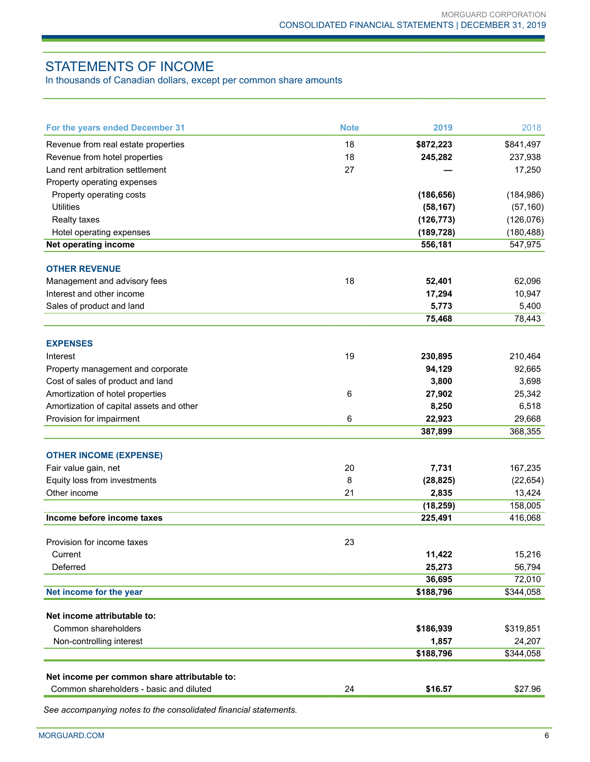# STATEMENTS OF INCOME

In thousands of Canadian dollars, except per common share amounts

| 18<br>\$872,223<br>\$841,497<br>Revenue from real estate properties<br>18<br>Revenue from hotel properties<br>245,282<br>237,938<br>27<br>Land rent arbitration settlement<br>17,250<br>Property operating expenses<br>Property operating costs<br>(186, 656)<br><b>Utilities</b><br>(58, 167)<br>(126, 773)<br><b>Realty taxes</b><br>(189, 728)<br>Hotel operating expenses<br>Net operating income<br>556,181<br>547,975<br><b>OTHER REVENUE</b><br>18<br>52,401<br>62,096<br>Management and advisory fees<br>Interest and other income<br>17,294<br>10,947<br>Sales of product and land<br>5,773<br>5,400<br>78,443<br>75,468<br><b>EXPENSES</b><br>19<br>230,895<br>210,464<br>Interest<br>94,129<br>92,665<br>Property management and corporate<br>Cost of sales of product and land<br>3,800<br>3,698<br>Amortization of hotel properties<br>6<br>27,902<br>25,342<br>Amortization of capital assets and other<br>8,250<br>6,518<br>$\,6\,$<br>29,668<br>Provision for impairment<br>22,923<br>387,899<br>368,355<br><b>OTHER INCOME (EXPENSE)</b><br>20<br>167,235<br>Fair value gain, net<br>7,731<br>Equity loss from investments<br>8<br>(22, 654)<br>(28, 825)<br>Other income<br>21<br>2,835<br>13,424<br>158,005<br>(18, 259)<br>416,068<br>Income before income taxes<br>225,491<br>23<br>Provision for income taxes<br>15,216<br>Current<br>11,422<br>Deferred<br>25,273<br>56,794<br>36,695<br>72,010<br>\$188,796<br>Net income for the year<br>\$344,058<br>Net income attributable to:<br>Common shareholders<br>\$186,939<br>\$319,851<br>Non-controlling interest<br>24,207<br>1,857<br>\$188,796<br>\$344,058<br>Net income per common share attributable to:<br>Common shareholders - basic and diluted<br>24<br>\$16.57<br>\$27.96 | For the years ended December 31 | <b>Note</b> | 2019 | 2018       |
|-------------------------------------------------------------------------------------------------------------------------------------------------------------------------------------------------------------------------------------------------------------------------------------------------------------------------------------------------------------------------------------------------------------------------------------------------------------------------------------------------------------------------------------------------------------------------------------------------------------------------------------------------------------------------------------------------------------------------------------------------------------------------------------------------------------------------------------------------------------------------------------------------------------------------------------------------------------------------------------------------------------------------------------------------------------------------------------------------------------------------------------------------------------------------------------------------------------------------------------------------------------------------------------------------------------------------------------------------------------------------------------------------------------------------------------------------------------------------------------------------------------------------------------------------------------------------------------------------------------------------------------------------------------------------------------------------------------------------------------------------------------|---------------------------------|-------------|------|------------|
|                                                                                                                                                                                                                                                                                                                                                                                                                                                                                                                                                                                                                                                                                                                                                                                                                                                                                                                                                                                                                                                                                                                                                                                                                                                                                                                                                                                                                                                                                                                                                                                                                                                                                                                                                             |                                 |             |      |            |
|                                                                                                                                                                                                                                                                                                                                                                                                                                                                                                                                                                                                                                                                                                                                                                                                                                                                                                                                                                                                                                                                                                                                                                                                                                                                                                                                                                                                                                                                                                                                                                                                                                                                                                                                                             |                                 |             |      |            |
|                                                                                                                                                                                                                                                                                                                                                                                                                                                                                                                                                                                                                                                                                                                                                                                                                                                                                                                                                                                                                                                                                                                                                                                                                                                                                                                                                                                                                                                                                                                                                                                                                                                                                                                                                             |                                 |             |      |            |
|                                                                                                                                                                                                                                                                                                                                                                                                                                                                                                                                                                                                                                                                                                                                                                                                                                                                                                                                                                                                                                                                                                                                                                                                                                                                                                                                                                                                                                                                                                                                                                                                                                                                                                                                                             |                                 |             |      |            |
|                                                                                                                                                                                                                                                                                                                                                                                                                                                                                                                                                                                                                                                                                                                                                                                                                                                                                                                                                                                                                                                                                                                                                                                                                                                                                                                                                                                                                                                                                                                                                                                                                                                                                                                                                             |                                 |             |      | (184, 986) |
|                                                                                                                                                                                                                                                                                                                                                                                                                                                                                                                                                                                                                                                                                                                                                                                                                                                                                                                                                                                                                                                                                                                                                                                                                                                                                                                                                                                                                                                                                                                                                                                                                                                                                                                                                             |                                 |             |      | (57, 160)  |
|                                                                                                                                                                                                                                                                                                                                                                                                                                                                                                                                                                                                                                                                                                                                                                                                                                                                                                                                                                                                                                                                                                                                                                                                                                                                                                                                                                                                                                                                                                                                                                                                                                                                                                                                                             |                                 |             |      | (126, 076) |
|                                                                                                                                                                                                                                                                                                                                                                                                                                                                                                                                                                                                                                                                                                                                                                                                                                                                                                                                                                                                                                                                                                                                                                                                                                                                                                                                                                                                                                                                                                                                                                                                                                                                                                                                                             |                                 |             |      | (180, 488) |
|                                                                                                                                                                                                                                                                                                                                                                                                                                                                                                                                                                                                                                                                                                                                                                                                                                                                                                                                                                                                                                                                                                                                                                                                                                                                                                                                                                                                                                                                                                                                                                                                                                                                                                                                                             |                                 |             |      |            |
|                                                                                                                                                                                                                                                                                                                                                                                                                                                                                                                                                                                                                                                                                                                                                                                                                                                                                                                                                                                                                                                                                                                                                                                                                                                                                                                                                                                                                                                                                                                                                                                                                                                                                                                                                             |                                 |             |      |            |
|                                                                                                                                                                                                                                                                                                                                                                                                                                                                                                                                                                                                                                                                                                                                                                                                                                                                                                                                                                                                                                                                                                                                                                                                                                                                                                                                                                                                                                                                                                                                                                                                                                                                                                                                                             |                                 |             |      |            |
|                                                                                                                                                                                                                                                                                                                                                                                                                                                                                                                                                                                                                                                                                                                                                                                                                                                                                                                                                                                                                                                                                                                                                                                                                                                                                                                                                                                                                                                                                                                                                                                                                                                                                                                                                             |                                 |             |      |            |
|                                                                                                                                                                                                                                                                                                                                                                                                                                                                                                                                                                                                                                                                                                                                                                                                                                                                                                                                                                                                                                                                                                                                                                                                                                                                                                                                                                                                                                                                                                                                                                                                                                                                                                                                                             |                                 |             |      |            |
|                                                                                                                                                                                                                                                                                                                                                                                                                                                                                                                                                                                                                                                                                                                                                                                                                                                                                                                                                                                                                                                                                                                                                                                                                                                                                                                                                                                                                                                                                                                                                                                                                                                                                                                                                             |                                 |             |      |            |
|                                                                                                                                                                                                                                                                                                                                                                                                                                                                                                                                                                                                                                                                                                                                                                                                                                                                                                                                                                                                                                                                                                                                                                                                                                                                                                                                                                                                                                                                                                                                                                                                                                                                                                                                                             |                                 |             |      |            |
|                                                                                                                                                                                                                                                                                                                                                                                                                                                                                                                                                                                                                                                                                                                                                                                                                                                                                                                                                                                                                                                                                                                                                                                                                                                                                                                                                                                                                                                                                                                                                                                                                                                                                                                                                             |                                 |             |      |            |
|                                                                                                                                                                                                                                                                                                                                                                                                                                                                                                                                                                                                                                                                                                                                                                                                                                                                                                                                                                                                                                                                                                                                                                                                                                                                                                                                                                                                                                                                                                                                                                                                                                                                                                                                                             |                                 |             |      |            |
|                                                                                                                                                                                                                                                                                                                                                                                                                                                                                                                                                                                                                                                                                                                                                                                                                                                                                                                                                                                                                                                                                                                                                                                                                                                                                                                                                                                                                                                                                                                                                                                                                                                                                                                                                             |                                 |             |      |            |
|                                                                                                                                                                                                                                                                                                                                                                                                                                                                                                                                                                                                                                                                                                                                                                                                                                                                                                                                                                                                                                                                                                                                                                                                                                                                                                                                                                                                                                                                                                                                                                                                                                                                                                                                                             |                                 |             |      |            |
|                                                                                                                                                                                                                                                                                                                                                                                                                                                                                                                                                                                                                                                                                                                                                                                                                                                                                                                                                                                                                                                                                                                                                                                                                                                                                                                                                                                                                                                                                                                                                                                                                                                                                                                                                             |                                 |             |      |            |
|                                                                                                                                                                                                                                                                                                                                                                                                                                                                                                                                                                                                                                                                                                                                                                                                                                                                                                                                                                                                                                                                                                                                                                                                                                                                                                                                                                                                                                                                                                                                                                                                                                                                                                                                                             |                                 |             |      |            |
|                                                                                                                                                                                                                                                                                                                                                                                                                                                                                                                                                                                                                                                                                                                                                                                                                                                                                                                                                                                                                                                                                                                                                                                                                                                                                                                                                                                                                                                                                                                                                                                                                                                                                                                                                             |                                 |             |      |            |
|                                                                                                                                                                                                                                                                                                                                                                                                                                                                                                                                                                                                                                                                                                                                                                                                                                                                                                                                                                                                                                                                                                                                                                                                                                                                                                                                                                                                                                                                                                                                                                                                                                                                                                                                                             |                                 |             |      |            |
|                                                                                                                                                                                                                                                                                                                                                                                                                                                                                                                                                                                                                                                                                                                                                                                                                                                                                                                                                                                                                                                                                                                                                                                                                                                                                                                                                                                                                                                                                                                                                                                                                                                                                                                                                             |                                 |             |      |            |
|                                                                                                                                                                                                                                                                                                                                                                                                                                                                                                                                                                                                                                                                                                                                                                                                                                                                                                                                                                                                                                                                                                                                                                                                                                                                                                                                                                                                                                                                                                                                                                                                                                                                                                                                                             |                                 |             |      |            |
|                                                                                                                                                                                                                                                                                                                                                                                                                                                                                                                                                                                                                                                                                                                                                                                                                                                                                                                                                                                                                                                                                                                                                                                                                                                                                                                                                                                                                                                                                                                                                                                                                                                                                                                                                             |                                 |             |      |            |
|                                                                                                                                                                                                                                                                                                                                                                                                                                                                                                                                                                                                                                                                                                                                                                                                                                                                                                                                                                                                                                                                                                                                                                                                                                                                                                                                                                                                                                                                                                                                                                                                                                                                                                                                                             |                                 |             |      |            |
|                                                                                                                                                                                                                                                                                                                                                                                                                                                                                                                                                                                                                                                                                                                                                                                                                                                                                                                                                                                                                                                                                                                                                                                                                                                                                                                                                                                                                                                                                                                                                                                                                                                                                                                                                             |                                 |             |      |            |
|                                                                                                                                                                                                                                                                                                                                                                                                                                                                                                                                                                                                                                                                                                                                                                                                                                                                                                                                                                                                                                                                                                                                                                                                                                                                                                                                                                                                                                                                                                                                                                                                                                                                                                                                                             |                                 |             |      |            |
|                                                                                                                                                                                                                                                                                                                                                                                                                                                                                                                                                                                                                                                                                                                                                                                                                                                                                                                                                                                                                                                                                                                                                                                                                                                                                                                                                                                                                                                                                                                                                                                                                                                                                                                                                             |                                 |             |      |            |
|                                                                                                                                                                                                                                                                                                                                                                                                                                                                                                                                                                                                                                                                                                                                                                                                                                                                                                                                                                                                                                                                                                                                                                                                                                                                                                                                                                                                                                                                                                                                                                                                                                                                                                                                                             |                                 |             |      |            |
|                                                                                                                                                                                                                                                                                                                                                                                                                                                                                                                                                                                                                                                                                                                                                                                                                                                                                                                                                                                                                                                                                                                                                                                                                                                                                                                                                                                                                                                                                                                                                                                                                                                                                                                                                             |                                 |             |      |            |
|                                                                                                                                                                                                                                                                                                                                                                                                                                                                                                                                                                                                                                                                                                                                                                                                                                                                                                                                                                                                                                                                                                                                                                                                                                                                                                                                                                                                                                                                                                                                                                                                                                                                                                                                                             |                                 |             |      |            |
|                                                                                                                                                                                                                                                                                                                                                                                                                                                                                                                                                                                                                                                                                                                                                                                                                                                                                                                                                                                                                                                                                                                                                                                                                                                                                                                                                                                                                                                                                                                                                                                                                                                                                                                                                             |                                 |             |      |            |
|                                                                                                                                                                                                                                                                                                                                                                                                                                                                                                                                                                                                                                                                                                                                                                                                                                                                                                                                                                                                                                                                                                                                                                                                                                                                                                                                                                                                                                                                                                                                                                                                                                                                                                                                                             |                                 |             |      |            |
|                                                                                                                                                                                                                                                                                                                                                                                                                                                                                                                                                                                                                                                                                                                                                                                                                                                                                                                                                                                                                                                                                                                                                                                                                                                                                                                                                                                                                                                                                                                                                                                                                                                                                                                                                             |                                 |             |      |            |
|                                                                                                                                                                                                                                                                                                                                                                                                                                                                                                                                                                                                                                                                                                                                                                                                                                                                                                                                                                                                                                                                                                                                                                                                                                                                                                                                                                                                                                                                                                                                                                                                                                                                                                                                                             |                                 |             |      |            |
|                                                                                                                                                                                                                                                                                                                                                                                                                                                                                                                                                                                                                                                                                                                                                                                                                                                                                                                                                                                                                                                                                                                                                                                                                                                                                                                                                                                                                                                                                                                                                                                                                                                                                                                                                             |                                 |             |      |            |
|                                                                                                                                                                                                                                                                                                                                                                                                                                                                                                                                                                                                                                                                                                                                                                                                                                                                                                                                                                                                                                                                                                                                                                                                                                                                                                                                                                                                                                                                                                                                                                                                                                                                                                                                                             |                                 |             |      |            |
|                                                                                                                                                                                                                                                                                                                                                                                                                                                                                                                                                                                                                                                                                                                                                                                                                                                                                                                                                                                                                                                                                                                                                                                                                                                                                                                                                                                                                                                                                                                                                                                                                                                                                                                                                             |                                 |             |      |            |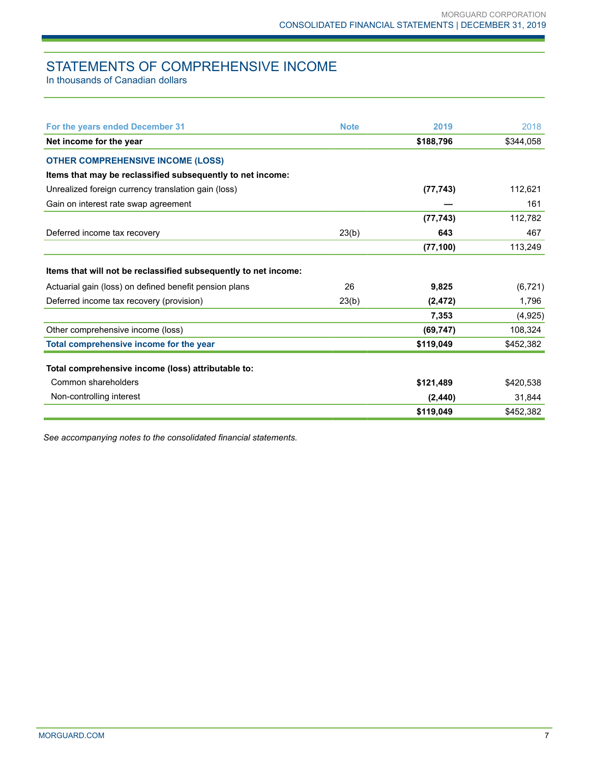# STATEMENTS OF COMPREHENSIVE INCOME

In thousands of Canadian dollars

| <b>Note</b> | 2019      | 2018      |
|-------------|-----------|-----------|
|             | \$188,796 | \$344,058 |
|             |           |           |
|             |           |           |
|             | (77, 743) | 112,621   |
|             |           | 161       |
|             | (77, 743) | 112,782   |
| 23(b)       | 643       | 467       |
|             | (77, 100) | 113,249   |
|             |           |           |
| 26          | 9,825     | (6, 721)  |
| 23(b)       | (2, 472)  | 1,796     |
|             | 7,353     | (4,925)   |
|             | (69, 747) | 108,324   |
|             | \$119,049 | \$452,382 |
|             |           |           |
|             | \$121,489 | \$420,538 |
|             | (2, 440)  | 31,844    |
|             | \$119,049 | \$452,382 |
|             |           |           |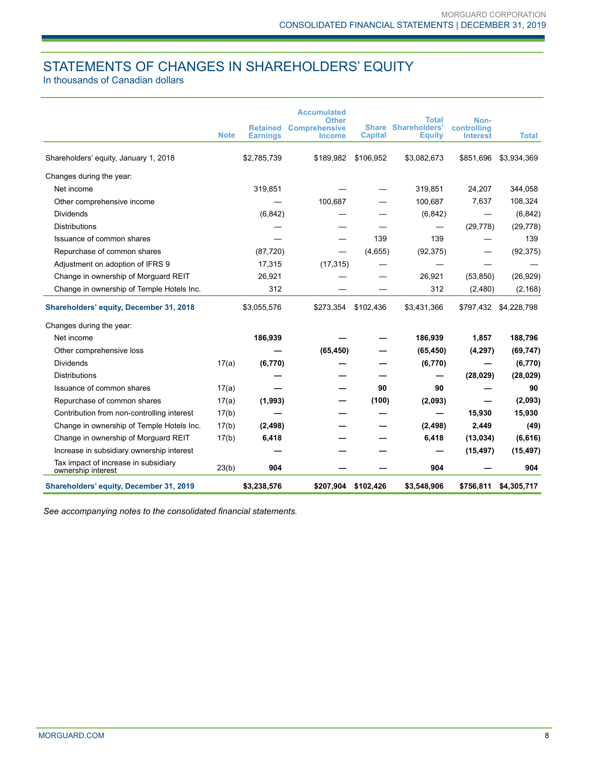# STATEMENTS OF CHANGES IN SHAREHOLDERS' EQUITY

In thousands of Canadian dollars

|                                                            | <b>Note</b> | <b>Retained</b><br><b>Earnings</b> | <b>Accumulated</b><br><b>Other</b><br><b>Comprehensive</b><br><b>Income</b> | <b>Share</b><br><b>Capital</b> | Total<br>Shareholders'<br><b>Equity</b> | Non-<br>controlling<br><b>Interest</b> | Total       |
|------------------------------------------------------------|-------------|------------------------------------|-----------------------------------------------------------------------------|--------------------------------|-----------------------------------------|----------------------------------------|-------------|
| Shareholders' equity, January 1, 2018                      |             | \$2,785,739                        | \$189,982                                                                   | \$106,952                      | \$3,082,673                             | \$851,696                              | \$3,934,369 |
| Changes during the year:                                   |             |                                    |                                                                             |                                |                                         |                                        |             |
| Net income                                                 |             | 319,851                            |                                                                             |                                | 319,851                                 | 24,207                                 | 344,058     |
| Other comprehensive income                                 |             |                                    | 100,687                                                                     |                                | 100,687                                 | 7,637                                  | 108,324     |
| <b>Dividends</b>                                           |             | (6, 842)                           |                                                                             |                                | (6, 842)                                |                                        | (6, 842)    |
| <b>Distributions</b>                                       |             |                                    |                                                                             |                                | —                                       | (29, 778)                              | (29, 778)   |
| Issuance of common shares                                  |             |                                    |                                                                             | 139                            | 139                                     |                                        | 139         |
| Repurchase of common shares                                |             | (87, 720)                          |                                                                             | (4,655)                        | (92, 375)                               |                                        | (92, 375)   |
| Adjustment on adoption of IFRS 9                           |             | 17,315                             | (17, 315)                                                                   |                                |                                         |                                        |             |
| Change in ownership of Morguard REIT                       |             | 26,921                             |                                                                             |                                | 26,921                                  | (53, 850)                              | (26, 929)   |
| Change in ownership of Temple Hotels Inc.                  |             | 312                                |                                                                             |                                | 312                                     | (2, 480)                               | (2, 168)    |
| <b>Shareholders' equity, December 31, 2018</b>             |             | \$3,055,576                        | \$273,354                                                                   | \$102,436                      | \$3,431,366                             | \$797,432                              | \$4,228,798 |
| Changes during the year:                                   |             |                                    |                                                                             |                                |                                         |                                        |             |
| Net income                                                 |             | 186,939                            |                                                                             |                                | 186,939                                 | 1,857                                  | 188,796     |
| Other comprehensive loss                                   |             |                                    | (65, 450)                                                                   |                                | (65, 450)                               | (4, 297)                               | (69, 747)   |
| Dividends                                                  | 17(a)       | (6,770)                            |                                                                             |                                | (6,770)                                 |                                        | (6,770)     |
| <b>Distributions</b>                                       |             |                                    |                                                                             |                                | —                                       | (28, 029)                              | (28, 029)   |
| Issuance of common shares                                  | 17(a)       |                                    |                                                                             | 90                             | 90                                      |                                        | 90          |
| Repurchase of common shares                                | 17(a)       | (1,993)                            |                                                                             | (100)                          | (2,093)                                 |                                        | (2,093)     |
| Contribution from non-controlling interest                 | 17(b)       |                                    |                                                                             |                                |                                         | 15,930                                 | 15,930      |
| Change in ownership of Temple Hotels Inc.                  | 17(b)       | (2, 498)                           |                                                                             |                                | (2, 498)                                | 2,449                                  | (49)        |
| Change in ownership of Morguard REIT                       | 17(b)       | 6,418                              |                                                                             |                                | 6,418                                   | (13, 034)                              | (6, 616)    |
| Increase in subsidiary ownership interest                  |             |                                    |                                                                             |                                |                                         | (15, 497)                              | (15, 497)   |
| Tax impact of increase in subsidiary<br>ownership interest | 23(b)       | 904                                |                                                                             |                                | 904                                     |                                        | 904         |
| Shareholders' equity, December 31, 2019                    |             | \$3,238,576                        | \$207,904                                                                   | \$102,426                      | \$3,548,906                             | \$756,811                              | \$4,305,717 |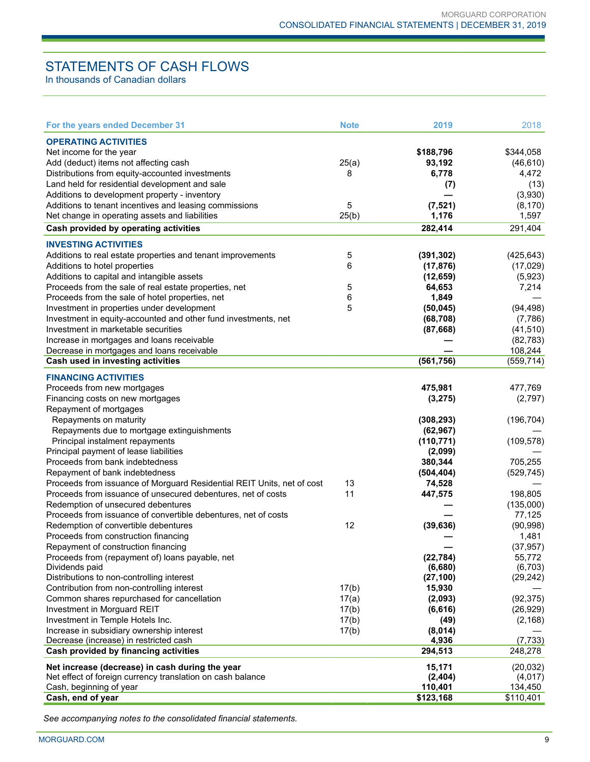# STATEMENTS OF CASH FLOWS

In thousands of Canadian dollars

| For the years ended December 31                                        | <b>Note</b> | 2019       | 2018       |
|------------------------------------------------------------------------|-------------|------------|------------|
| <b>OPERATING ACTIVITIES</b>                                            |             |            |            |
| Net income for the year                                                |             | \$188,796  | \$344,058  |
| Add (deduct) items not affecting cash                                  | 25(a)       | 93,192     | (46, 610)  |
| Distributions from equity-accounted investments                        | 8           | 6,778      | 4,472      |
| Land held for residential development and sale                         |             | (7)        | (13)       |
| Additions to development property - inventory                          |             |            | (3,930)    |
| Additions to tenant incentives and leasing commissions                 | 5           | (7, 521)   | (8, 170)   |
| Net change in operating assets and liabilities                         | 25(b)       | 1,176      | 1,597      |
| Cash provided by operating activities                                  |             | 282,414    | 291,404    |
| <b>INVESTING ACTIVITIES</b>                                            |             |            |            |
| Additions to real estate properties and tenant improvements            | 5           | (391, 302) | (425, 643) |
| Additions to hotel properties                                          | 6           | (17, 876)  | (17, 029)  |
| Additions to capital and intangible assets                             |             | (12, 659)  | (5,923)    |
| Proceeds from the sale of real estate properties, net                  | 5           | 64,653     | 7,214      |
| Proceeds from the sale of hotel properties, net                        | 6           | 1,849      |            |
| Investment in properties under development                             | 5           | (50, 045)  | (94, 498)  |
| Investment in equity-accounted and other fund investments, net         |             | (68, 708)  | (7,786)    |
| Investment in marketable securities                                    |             | (87,668)   | (41, 510)  |
| Increase in mortgages and loans receivable                             |             |            | (82, 783)  |
| Decrease in mortgages and loans receivable                             |             |            | 108,244    |
| Cash used in investing activities                                      |             | (561, 756) | (559, 714) |
| <b>FINANCING ACTIVITIES</b>                                            |             |            |            |
| Proceeds from new mortgages                                            |             | 475,981    | 477,769    |
| Financing costs on new mortgages                                       |             | (3, 275)   | (2,797)    |
| Repayment of mortgages                                                 |             |            |            |
| Repayments on maturity                                                 |             | (308, 293) | (196, 704) |
| Repayments due to mortgage extinguishments                             |             | (62, 967)  |            |
| Principal instalment repayments                                        |             | (110, 771) | (109, 578) |
| Principal payment of lease liabilities                                 |             | (2,099)    |            |
| Proceeds from bank indebtedness                                        |             | 380,344    | 705,255    |
| Repayment of bank indebtedness                                         |             | (504, 404) | (529, 745) |
| Proceeds from issuance of Morguard Residential REIT Units, net of cost | 13          | 74,528     |            |
| Proceeds from issuance of unsecured debentures, net of costs           | 11          | 447,575    | 198,805    |
| Redemption of unsecured debentures                                     |             |            | (135,000)  |
| Proceeds from issuance of convertible debentures, net of costs         |             |            | 77,125     |
| Redemption of convertible debentures                                   | 12          | (39, 636)  | (90, 998)  |
| Proceeds from construction financing                                   |             |            | 1,481      |
| Repayment of construction financing                                    |             |            | (37, 957)  |
| Proceeds from (repayment of) loans payable, net                        |             | (22, 784)  | 55,772     |
| Dividends paid                                                         |             | (6,680)    | (6,703)    |
| Distributions to non-controlling interest                              |             | (27, 100)  | (29, 242)  |
| Contribution from non-controlling interest                             | 17(b)       | 15,930     |            |
| Common shares repurchased for cancellation                             | 17(a)       | (2,093)    | (92, 375)  |
| Investment in Morguard REIT                                            | 17(b)       | (6, 616)   | (26, 929)  |
| Investment in Temple Hotels Inc.                                       | 17(b)       | (49)       | (2, 168)   |
| Increase in subsidiary ownership interest                              | 17(b)       | (8,014)    |            |
| Decrease (increase) in restricted cash                                 |             | 4,936      | (7, 733)   |
| Cash provided by financing activities                                  |             | 294,513    | 248,278    |
| Net increase (decrease) in cash during the year                        |             | 15,171     | (20, 032)  |
| Net effect of foreign currency translation on cash balance             |             | (2, 404)   | (4,017)    |
| Cash, beginning of year                                                |             | 110,401    | 134,450    |
| Cash, end of year                                                      |             | \$123,168  | \$110,401  |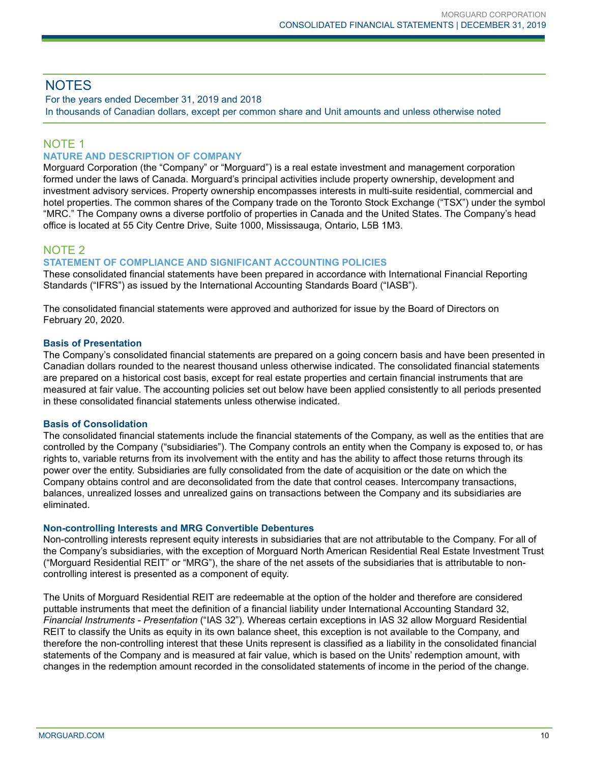# **NOTES**

For the years ended December 31, 2019 and 2018

In thousands of Canadian dollars, except per common share and Unit amounts and unless otherwise noted

# NOTE 1

## **NATURE AND DESCRIPTION OF COMPANY**

Morguard Corporation (the "Company" or "Morguard") is a real estate investment and management corporation formed under the laws of Canada. Morguard's principal activities include property ownership, development and investment advisory services. Property ownership encompasses interests in multi-suite residential, commercial and hotel properties. The common shares of the Company trade on the Toronto Stock Exchange ("TSX") under the symbol "MRC." The Company owns a diverse portfolio of properties in Canada and the United States. The Company's head office is located at 55 City Centre Drive, Suite 1000, Mississauga, Ontario, L5B 1M3.

# NOTE 2

## **STATEMENT OF COMPLIANCE AND SIGNIFICANT ACCOUNTING POLICIES**

These consolidated financial statements have been prepared in accordance with International Financial Reporting Standards ("IFRS") as issued by the International Accounting Standards Board ("IASB").

The consolidated financial statements were approved and authorized for issue by the Board of Directors on February 20, 2020.

## **Basis of Presentation**

The Company's consolidated financial statements are prepared on a going concern basis and have been presented in Canadian dollars rounded to the nearest thousand unless otherwise indicated. The consolidated financial statements are prepared on a historical cost basis, except for real estate properties and certain financial instruments that are measured at fair value. The accounting policies set out below have been applied consistently to all periods presented in these consolidated financial statements unless otherwise indicated.

## **Basis of Consolidation**

The consolidated financial statements include the financial statements of the Company, as well as the entities that are controlled by the Company ("subsidiaries"). The Company controls an entity when the Company is exposed to, or has rights to, variable returns from its involvement with the entity and has the ability to affect those returns through its power over the entity. Subsidiaries are fully consolidated from the date of acquisition or the date on which the Company obtains control and are deconsolidated from the date that control ceases. Intercompany transactions, balances, unrealized losses and unrealized gains on transactions between the Company and its subsidiaries are eliminated.

## **Non-controlling Interests and MRG Convertible Debentures**

Non-controlling interests represent equity interests in subsidiaries that are not attributable to the Company. For all of the Company's subsidiaries, with the exception of Morguard North American Residential Real Estate Investment Trust ("Morguard Residential REIT" or "MRG"), the share of the net assets of the subsidiaries that is attributable to noncontrolling interest is presented as a component of equity.

The Units of Morguard Residential REIT are redeemable at the option of the holder and therefore are considered puttable instruments that meet the definition of a financial liability under International Accounting Standard 32, *Financial Instruments - Presentation* ("IAS 32"). Whereas certain exceptions in IAS 32 allow Morguard Residential REIT to classify the Units as equity in its own balance sheet, this exception is not available to the Company, and therefore the non-controlling interest that these Units represent is classified as a liability in the consolidated financial statements of the Company and is measured at fair value, which is based on the Units' redemption amount, with changes in the redemption amount recorded in the consolidated statements of income in the period of the change.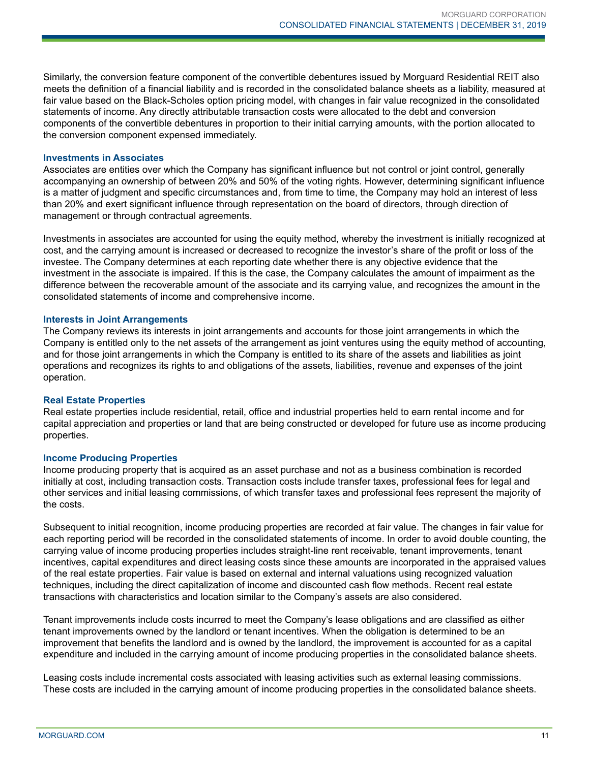Similarly, the conversion feature component of the convertible debentures issued by Morguard Residential REIT also meets the definition of a financial liability and is recorded in the consolidated balance sheets as a liability, measured at fair value based on the Black-Scholes option pricing model, with changes in fair value recognized in the consolidated statements of income. Any directly attributable transaction costs were allocated to the debt and conversion components of the convertible debentures in proportion to their initial carrying amounts, with the portion allocated to the conversion component expensed immediately.

## **Investments in Associates**

Associates are entities over which the Company has significant influence but not control or joint control, generally accompanying an ownership of between 20% and 50% of the voting rights. However, determining significant influence is a matter of judgment and specific circumstances and, from time to time, the Company may hold an interest of less than 20% and exert significant influence through representation on the board of directors, through direction of management or through contractual agreements.

Investments in associates are accounted for using the equity method, whereby the investment is initially recognized at cost, and the carrying amount is increased or decreased to recognize the investor's share of the profit or loss of the investee. The Company determines at each reporting date whether there is any objective evidence that the investment in the associate is impaired. If this is the case, the Company calculates the amount of impairment as the difference between the recoverable amount of the associate and its carrying value, and recognizes the amount in the consolidated statements of income and comprehensive income.

#### **Interests in Joint Arrangements**

The Company reviews its interests in joint arrangements and accounts for those joint arrangements in which the Company is entitled only to the net assets of the arrangement as joint ventures using the equity method of accounting, and for those joint arrangements in which the Company is entitled to its share of the assets and liabilities as joint operations and recognizes its rights to and obligations of the assets, liabilities, revenue and expenses of the joint operation.

#### **Real Estate Properties**

Real estate properties include residential, retail, office and industrial properties held to earn rental income and for capital appreciation and properties or land that are being constructed or developed for future use as income producing properties.

## **Income Producing Properties**

Income producing property that is acquired as an asset purchase and not as a business combination is recorded initially at cost, including transaction costs. Transaction costs include transfer taxes, professional fees for legal and other services and initial leasing commissions, of which transfer taxes and professional fees represent the majority of the costs.

Subsequent to initial recognition, income producing properties are recorded at fair value. The changes in fair value for each reporting period will be recorded in the consolidated statements of income. In order to avoid double counting, the carrying value of income producing properties includes straight-line rent receivable, tenant improvements, tenant incentives, capital expenditures and direct leasing costs since these amounts are incorporated in the appraised values of the real estate properties. Fair value is based on external and internal valuations using recognized valuation techniques, including the direct capitalization of income and discounted cash flow methods. Recent real estate transactions with characteristics and location similar to the Company's assets are also considered.

Tenant improvements include costs incurred to meet the Company's lease obligations and are classified as either tenant improvements owned by the landlord or tenant incentives. When the obligation is determined to be an improvement that benefits the landlord and is owned by the landlord, the improvement is accounted for as a capital expenditure and included in the carrying amount of income producing properties in the consolidated balance sheets.

Leasing costs include incremental costs associated with leasing activities such as external leasing commissions. These costs are included in the carrying amount of income producing properties in the consolidated balance sheets.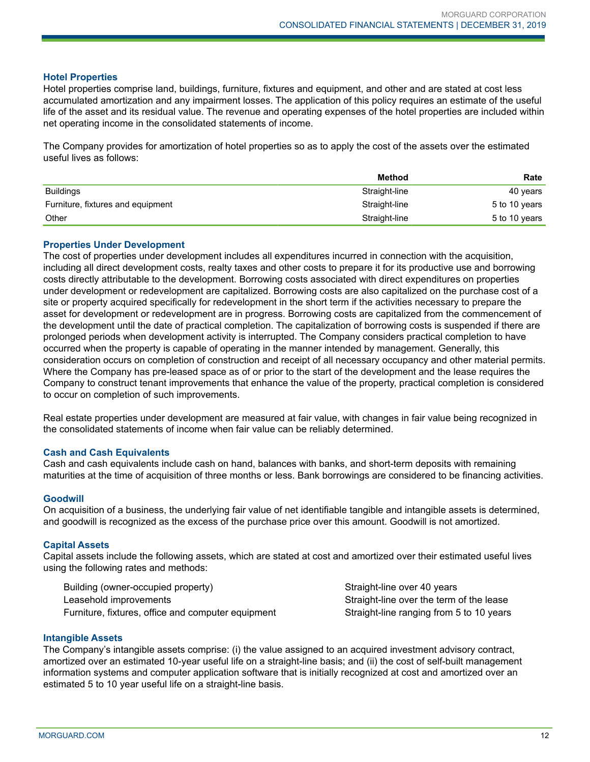## **Hotel Properties**

Hotel properties comprise land, buildings, furniture, fixtures and equipment, and other and are stated at cost less accumulated amortization and any impairment losses. The application of this policy requires an estimate of the useful life of the asset and its residual value. The revenue and operating expenses of the hotel properties are included within net operating income in the consolidated statements of income.

The Company provides for amortization of hotel properties so as to apply the cost of the assets over the estimated useful lives as follows:

|                                   | Method        | Rate          |
|-----------------------------------|---------------|---------------|
| <b>Buildings</b>                  | Straight-line | 40 years      |
| Furniture, fixtures and equipment | Straight-line | 5 to 10 years |
| Other                             | Straight-line | 5 to 10 years |

## **Properties Under Development**

The cost of properties under development includes all expenditures incurred in connection with the acquisition, including all direct development costs, realty taxes and other costs to prepare it for its productive use and borrowing costs directly attributable to the development. Borrowing costs associated with direct expenditures on properties under development or redevelopment are capitalized. Borrowing costs are also capitalized on the purchase cost of a site or property acquired specifically for redevelopment in the short term if the activities necessary to prepare the asset for development or redevelopment are in progress. Borrowing costs are capitalized from the commencement of the development until the date of practical completion. The capitalization of borrowing costs is suspended if there are prolonged periods when development activity is interrupted. The Company considers practical completion to have occurred when the property is capable of operating in the manner intended by management. Generally, this consideration occurs on completion of construction and receipt of all necessary occupancy and other material permits. Where the Company has pre-leased space as of or prior to the start of the development and the lease requires the Company to construct tenant improvements that enhance the value of the property, practical completion is considered to occur on completion of such improvements.

Real estate properties under development are measured at fair value, with changes in fair value being recognized in the consolidated statements of income when fair value can be reliably determined.

## **Cash and Cash Equivalents**

Cash and cash equivalents include cash on hand, balances with banks, and short-term deposits with remaining maturities at the time of acquisition of three months or less. Bank borrowings are considered to be financing activities.

## **Goodwill**

On acquisition of a business, the underlying fair value of net identifiable tangible and intangible assets is determined, and goodwill is recognized as the excess of the purchase price over this amount. Goodwill is not amortized.

## **Capital Assets**

Capital assets include the following assets, which are stated at cost and amortized over their estimated useful lives using the following rates and methods:

Building (owner-occupied property) Straight-line over 40 years Leasehold improvements **Straight-line over the term of the lease** Furniture, fixtures, office and computer equipment Straight-line ranging from 5 to 10 years

## **Intangible Assets**

The Company's intangible assets comprise: (i) the value assigned to an acquired investment advisory contract, amortized over an estimated 10-year useful life on a straight-line basis; and (ii) the cost of self-built management information systems and computer application software that is initially recognized at cost and amortized over an estimated 5 to 10 year useful life on a straight-line basis.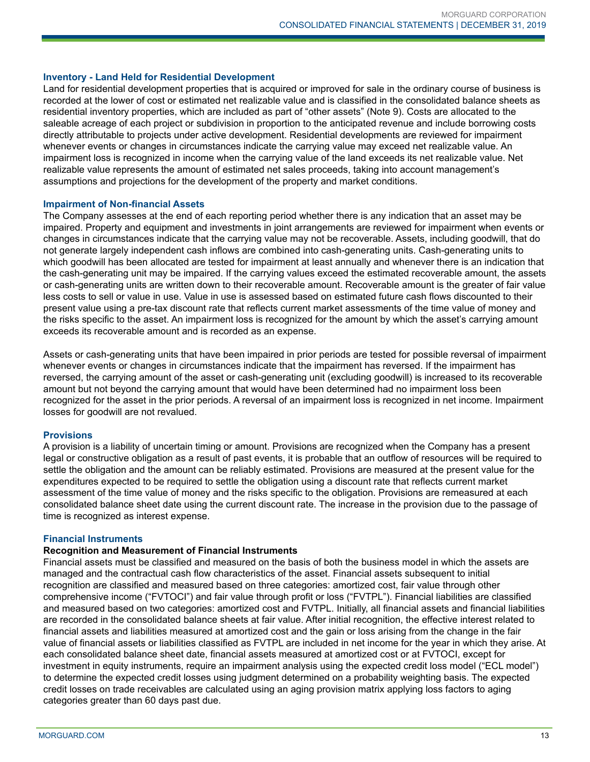## **Inventory - Land Held for Residential Development**

Land for residential development properties that is acquired or improved for sale in the ordinary course of business is recorded at the lower of cost or estimated net realizable value and is classified in the consolidated balance sheets as residential inventory properties, which are included as part of "other assets" (Note 9). Costs are allocated to the saleable acreage of each project or subdivision in proportion to the anticipated revenue and include borrowing costs directly attributable to projects under active development. Residential developments are reviewed for impairment whenever events or changes in circumstances indicate the carrying value may exceed net realizable value. An impairment loss is recognized in income when the carrying value of the land exceeds its net realizable value. Net realizable value represents the amount of estimated net sales proceeds, taking into account management's assumptions and projections for the development of the property and market conditions.

#### **Impairment of Non-financial Assets**

The Company assesses at the end of each reporting period whether there is any indication that an asset may be impaired. Property and equipment and investments in joint arrangements are reviewed for impairment when events or changes in circumstances indicate that the carrying value may not be recoverable. Assets, including goodwill, that do not generate largely independent cash inflows are combined into cash-generating units. Cash-generating units to which goodwill has been allocated are tested for impairment at least annually and whenever there is an indication that the cash-generating unit may be impaired. If the carrying values exceed the estimated recoverable amount, the assets or cash-generating units are written down to their recoverable amount. Recoverable amount is the greater of fair value less costs to sell or value in use. Value in use is assessed based on estimated future cash flows discounted to their present value using a pre-tax discount rate that reflects current market assessments of the time value of money and the risks specific to the asset. An impairment loss is recognized for the amount by which the asset's carrying amount exceeds its recoverable amount and is recorded as an expense.

Assets or cash-generating units that have been impaired in prior periods are tested for possible reversal of impairment whenever events or changes in circumstances indicate that the impairment has reversed. If the impairment has reversed, the carrying amount of the asset or cash-generating unit (excluding goodwill) is increased to its recoverable amount but not beyond the carrying amount that would have been determined had no impairment loss been recognized for the asset in the prior periods. A reversal of an impairment loss is recognized in net income. Impairment losses for goodwill are not revalued.

## **Provisions**

A provision is a liability of uncertain timing or amount. Provisions are recognized when the Company has a present legal or constructive obligation as a result of past events, it is probable that an outflow of resources will be required to settle the obligation and the amount can be reliably estimated. Provisions are measured at the present value for the expenditures expected to be required to settle the obligation using a discount rate that reflects current market assessment of the time value of money and the risks specific to the obligation. Provisions are remeasured at each consolidated balance sheet date using the current discount rate. The increase in the provision due to the passage of time is recognized as interest expense.

## **Financial Instruments**

### **Recognition and Measurement of Financial Instruments**

Financial assets must be classified and measured on the basis of both the business model in which the assets are managed and the contractual cash flow characteristics of the asset. Financial assets subsequent to initial recognition are classified and measured based on three categories: amortized cost, fair value through other comprehensive income ("FVTOCI") and fair value through profit or loss ("FVTPL"). Financial liabilities are classified and measured based on two categories: amortized cost and FVTPL. Initially, all financial assets and financial liabilities are recorded in the consolidated balance sheets at fair value. After initial recognition, the effective interest related to financial assets and liabilities measured at amortized cost and the gain or loss arising from the change in the fair value of financial assets or liabilities classified as FVTPL are included in net income for the year in which they arise. At each consolidated balance sheet date, financial assets measured at amortized cost or at FVTOCI, except for investment in equity instruments, require an impairment analysis using the expected credit loss model ("ECL model") to determine the expected credit losses using judgment determined on a probability weighting basis. The expected credit losses on trade receivables are calculated using an aging provision matrix applying loss factors to aging categories greater than 60 days past due.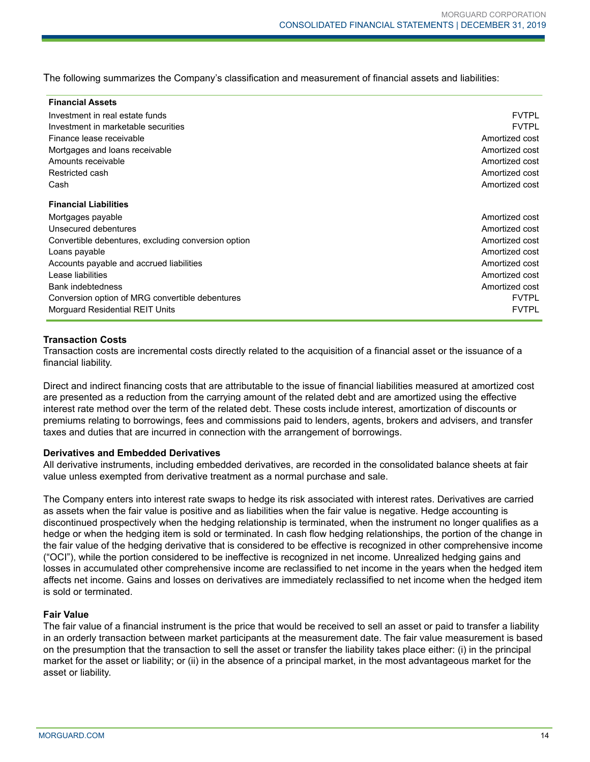The following summarizes the Company's classification and measurement of financial assets and liabilities:

| <b>Financial Assets</b>                             |                |
|-----------------------------------------------------|----------------|
| Investment in real estate funds                     | <b>FVTPL</b>   |
| Investment in marketable securities                 | <b>FVTPL</b>   |
| Finance lease receivable                            | Amortized cost |
| Mortgages and loans receivable                      | Amortized cost |
| Amounts receivable                                  | Amortized cost |
| Restricted cash                                     | Amortized cost |
| Cash                                                | Amortized cost |
| <b>Financial Liabilities</b>                        |                |
| Mortgages payable                                   | Amortized cost |
| Unsecured debentures                                | Amortized cost |
| Convertible debentures, excluding conversion option | Amortized cost |
| Loans payable                                       | Amortized cost |
| Accounts payable and accrued liabilities            | Amortized cost |
| Lease liabilities                                   | Amortized cost |
| Bank indebtedness                                   | Amortized cost |
| Conversion option of MRG convertible debentures     | <b>FVTPL</b>   |
| Morguard Residential REIT Units                     | <b>FVTPL</b>   |

## **Transaction Costs**

Transaction costs are incremental costs directly related to the acquisition of a financial asset or the issuance of a financial liability.

Direct and indirect financing costs that are attributable to the issue of financial liabilities measured at amortized cost are presented as a reduction from the carrying amount of the related debt and are amortized using the effective interest rate method over the term of the related debt. These costs include interest, amortization of discounts or premiums relating to borrowings, fees and commissions paid to lenders, agents, brokers and advisers, and transfer taxes and duties that are incurred in connection with the arrangement of borrowings.

## **Derivatives and Embedded Derivatives**

All derivative instruments, including embedded derivatives, are recorded in the consolidated balance sheets at fair value unless exempted from derivative treatment as a normal purchase and sale.

The Company enters into interest rate swaps to hedge its risk associated with interest rates. Derivatives are carried as assets when the fair value is positive and as liabilities when the fair value is negative. Hedge accounting is discontinued prospectively when the hedging relationship is terminated, when the instrument no longer qualifies as a hedge or when the hedging item is sold or terminated. In cash flow hedging relationships, the portion of the change in the fair value of the hedging derivative that is considered to be effective is recognized in other comprehensive income ("OCI"), while the portion considered to be ineffective is recognized in net income. Unrealized hedging gains and losses in accumulated other comprehensive income are reclassified to net income in the years when the hedged item affects net income. Gains and losses on derivatives are immediately reclassified to net income when the hedged item is sold or terminated.

## **Fair Value**

The fair value of a financial instrument is the price that would be received to sell an asset or paid to transfer a liability in an orderly transaction between market participants at the measurement date. The fair value measurement is based on the presumption that the transaction to sell the asset or transfer the liability takes place either: (i) in the principal market for the asset or liability; or (ii) in the absence of a principal market, in the most advantageous market for the asset or liability.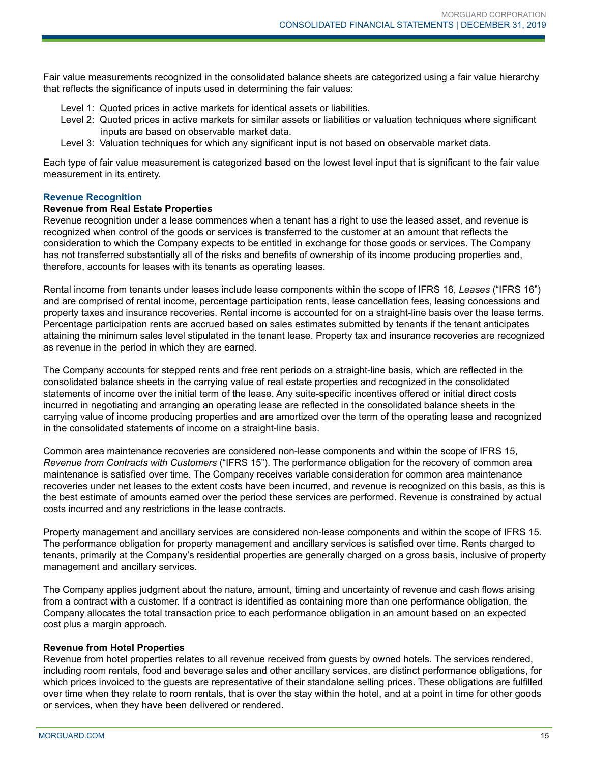Fair value measurements recognized in the consolidated balance sheets are categorized using a fair value hierarchy that reflects the significance of inputs used in determining the fair values:

- Level 1: Quoted prices in active markets for identical assets or liabilities.
- Level 2: Quoted prices in active markets for similar assets or liabilities or valuation techniques where significant inputs are based on observable market data.
- Level 3: Valuation techniques for which any significant input is not based on observable market data.

Each type of fair value measurement is categorized based on the lowest level input that is significant to the fair value measurement in its entirety.

## **Revenue Recognition**

#### **Revenue from Real Estate Properties**

Revenue recognition under a lease commences when a tenant has a right to use the leased asset, and revenue is recognized when control of the goods or services is transferred to the customer at an amount that reflects the consideration to which the Company expects to be entitled in exchange for those goods or services. The Company has not transferred substantially all of the risks and benefits of ownership of its income producing properties and, therefore, accounts for leases with its tenants as operating leases.

Rental income from tenants under leases include lease components within the scope of IFRS 16, *Leases* ("IFRS 16") and are comprised of rental income, percentage participation rents, lease cancellation fees, leasing concessions and property taxes and insurance recoveries. Rental income is accounted for on a straight-line basis over the lease terms. Percentage participation rents are accrued based on sales estimates submitted by tenants if the tenant anticipates attaining the minimum sales level stipulated in the tenant lease. Property tax and insurance recoveries are recognized as revenue in the period in which they are earned.

The Company accounts for stepped rents and free rent periods on a straight-line basis, which are reflected in the consolidated balance sheets in the carrying value of real estate properties and recognized in the consolidated statements of income over the initial term of the lease. Any suite-specific incentives offered or initial direct costs incurred in negotiating and arranging an operating lease are reflected in the consolidated balance sheets in the carrying value of income producing properties and are amortized over the term of the operating lease and recognized in the consolidated statements of income on a straight-line basis.

Common area maintenance recoveries are considered non-lease components and within the scope of IFRS 15, *Revenue from Contracts with Customers* ("IFRS 15"). The performance obligation for the recovery of common area maintenance is satisfied over time. The Company receives variable consideration for common area maintenance recoveries under net leases to the extent costs have been incurred, and revenue is recognized on this basis, as this is the best estimate of amounts earned over the period these services are performed. Revenue is constrained by actual costs incurred and any restrictions in the lease contracts.

Property management and ancillary services are considered non-lease components and within the scope of IFRS 15. The performance obligation for property management and ancillary services is satisfied over time. Rents charged to tenants, primarily at the Company's residential properties are generally charged on a gross basis, inclusive of property management and ancillary services.

The Company applies judgment about the nature, amount, timing and uncertainty of revenue and cash flows arising from a contract with a customer. If a contract is identified as containing more than one performance obligation, the Company allocates the total transaction price to each performance obligation in an amount based on an expected cost plus a margin approach.

## **Revenue from Hotel Properties**

Revenue from hotel properties relates to all revenue received from guests by owned hotels. The services rendered, including room rentals, food and beverage sales and other ancillary services, are distinct performance obligations, for which prices invoiced to the guests are representative of their standalone selling prices. These obligations are fulfilled over time when they relate to room rentals, that is over the stay within the hotel, and at a point in time for other goods or services, when they have been delivered or rendered.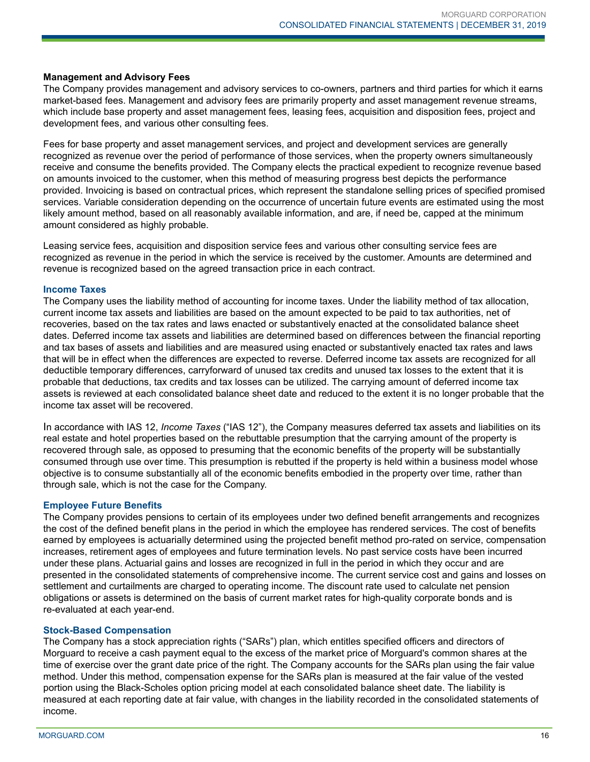## **Management and Advisory Fees**

The Company provides management and advisory services to co-owners, partners and third parties for which it earns market-based fees. Management and advisory fees are primarily property and asset management revenue streams, which include base property and asset management fees, leasing fees, acquisition and disposition fees, project and development fees, and various other consulting fees.

Fees for base property and asset management services, and project and development services are generally recognized as revenue over the period of performance of those services, when the property owners simultaneously receive and consume the benefits provided. The Company elects the practical expedient to recognize revenue based on amounts invoiced to the customer, when this method of measuring progress best depicts the performance provided. Invoicing is based on contractual prices, which represent the standalone selling prices of specified promised services. Variable consideration depending on the occurrence of uncertain future events are estimated using the most likely amount method, based on all reasonably available information, and are, if need be, capped at the minimum amount considered as highly probable.

Leasing service fees, acquisition and disposition service fees and various other consulting service fees are recognized as revenue in the period in which the service is received by the customer. Amounts are determined and revenue is recognized based on the agreed transaction price in each contract.

## **Income Taxes**

The Company uses the liability method of accounting for income taxes. Under the liability method of tax allocation, current income tax assets and liabilities are based on the amount expected to be paid to tax authorities, net of recoveries, based on the tax rates and laws enacted or substantively enacted at the consolidated balance sheet dates. Deferred income tax assets and liabilities are determined based on differences between the financial reporting and tax bases of assets and liabilities and are measured using enacted or substantively enacted tax rates and laws that will be in effect when the differences are expected to reverse. Deferred income tax assets are recognized for all deductible temporary differences, carryforward of unused tax credits and unused tax losses to the extent that it is probable that deductions, tax credits and tax losses can be utilized. The carrying amount of deferred income tax assets is reviewed at each consolidated balance sheet date and reduced to the extent it is no longer probable that the income tax asset will be recovered.

In accordance with IAS 12, *Income Taxes* ("IAS 12"), the Company measures deferred tax assets and liabilities on its real estate and hotel properties based on the rebuttable presumption that the carrying amount of the property is recovered through sale, as opposed to presuming that the economic benefits of the property will be substantially consumed through use over time. This presumption is rebutted if the property is held within a business model whose objective is to consume substantially all of the economic benefits embodied in the property over time, rather than through sale, which is not the case for the Company.

## **Employee Future Benefits**

The Company provides pensions to certain of its employees under two defined benefit arrangements and recognizes the cost of the defined benefit plans in the period in which the employee has rendered services. The cost of benefits earned by employees is actuarially determined using the projected benefit method pro-rated on service, compensation increases, retirement ages of employees and future termination levels. No past service costs have been incurred under these plans. Actuarial gains and losses are recognized in full in the period in which they occur and are presented in the consolidated statements of comprehensive income. The current service cost and gains and losses on settlement and curtailments are charged to operating income. The discount rate used to calculate net pension obligations or assets is determined on the basis of current market rates for high-quality corporate bonds and is re-evaluated at each year-end.

## **Stock-Based Compensation**

The Company has a stock appreciation rights ("SARs") plan, which entitles specified officers and directors of Morguard to receive a cash payment equal to the excess of the market price of Morguard's common shares at the time of exercise over the grant date price of the right. The Company accounts for the SARs plan using the fair value method. Under this method, compensation expense for the SARs plan is measured at the fair value of the vested portion using the Black-Scholes option pricing model at each consolidated balance sheet date. The liability is measured at each reporting date at fair value, with changes in the liability recorded in the consolidated statements of income.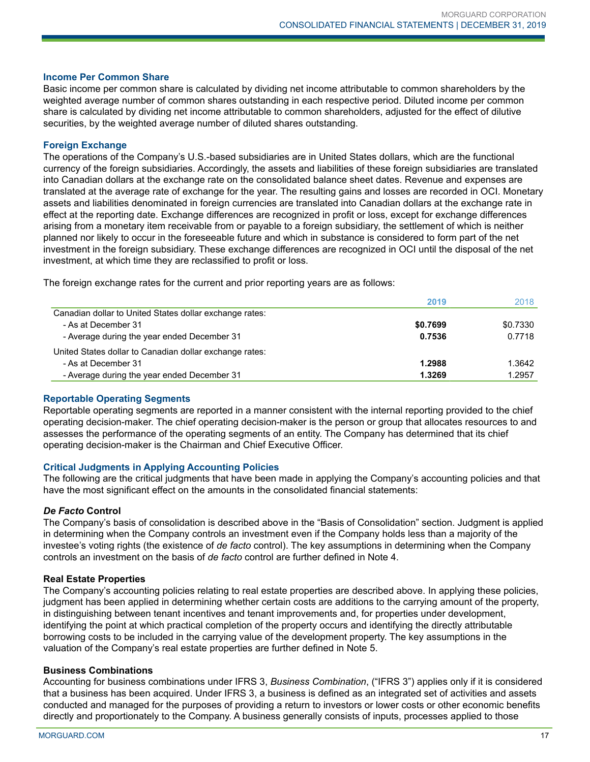## **Income Per Common Share**

Basic income per common share is calculated by dividing net income attributable to common shareholders by the weighted average number of common shares outstanding in each respective period. Diluted income per common share is calculated by dividing net income attributable to common shareholders, adjusted for the effect of dilutive securities, by the weighted average number of diluted shares outstanding.

## **Foreign Exchange**

The operations of the Company's U.S.-based subsidiaries are in United States dollars, which are the functional currency of the foreign subsidiaries. Accordingly, the assets and liabilities of these foreign subsidiaries are translated into Canadian dollars at the exchange rate on the consolidated balance sheet dates. Revenue and expenses are translated at the average rate of exchange for the year. The resulting gains and losses are recorded in OCI. Monetary assets and liabilities denominated in foreign currencies are translated into Canadian dollars at the exchange rate in effect at the reporting date. Exchange differences are recognized in profit or loss, except for exchange differences arising from a monetary item receivable from or payable to a foreign subsidiary, the settlement of which is neither planned nor likely to occur in the foreseeable future and which in substance is considered to form part of the net investment in the foreign subsidiary. These exchange differences are recognized in OCI until the disposal of the net investment, at which time they are reclassified to profit or loss.

The foreign exchange rates for the current and prior reporting years are as follows:

|                                                         | 2019     | 2018     |
|---------------------------------------------------------|----------|----------|
| Canadian dollar to United States dollar exchange rates: |          |          |
| - As at December 31                                     | \$0.7699 | \$0.7330 |
| - Average during the year ended December 31             | 0.7536   | 0.7718   |
| United States dollar to Canadian dollar exchange rates: |          |          |
| - As at December 31                                     | 1.2988   | 1.3642   |
| - Average during the year ended December 31             | 1.3269   | 1.2957   |

## **Reportable Operating Segments**

Reportable operating segments are reported in a manner consistent with the internal reporting provided to the chief operating decision-maker. The chief operating decision-maker is the person or group that allocates resources to and assesses the performance of the operating segments of an entity. The Company has determined that its chief operating decision-maker is the Chairman and Chief Executive Officer.

## **Critical Judgments in Applying Accounting Policies**

The following are the critical judgments that have been made in applying the Company's accounting policies and that have the most significant effect on the amounts in the consolidated financial statements:

## *De Facto* **Control**

The Company's basis of consolidation is described above in the "Basis of Consolidation" section. Judgment is applied in determining when the Company controls an investment even if the Company holds less than a majority of the investee's voting rights (the existence of *de facto* control). The key assumptions in determining when the Company controls an investment on the basis of *de facto* control are further defined in Note 4.

## **Real Estate Properties**

The Company's accounting policies relating to real estate properties are described above. In applying these policies, judgment has been applied in determining whether certain costs are additions to the carrying amount of the property, in distinguishing between tenant incentives and tenant improvements and, for properties under development, identifying the point at which practical completion of the property occurs and identifying the directly attributable borrowing costs to be included in the carrying value of the development property. The key assumptions in the valuation of the Company's real estate properties are further defined in Note 5.

## **Business Combinations**

Accounting for business combinations under IFRS 3, *Business Combination*, ("IFRS 3") applies only if it is considered that a business has been acquired. Under IFRS 3, a business is defined as an integrated set of activities and assets conducted and managed for the purposes of providing a return to investors or lower costs or other economic benefits directly and proportionately to the Company. A business generally consists of inputs, processes applied to those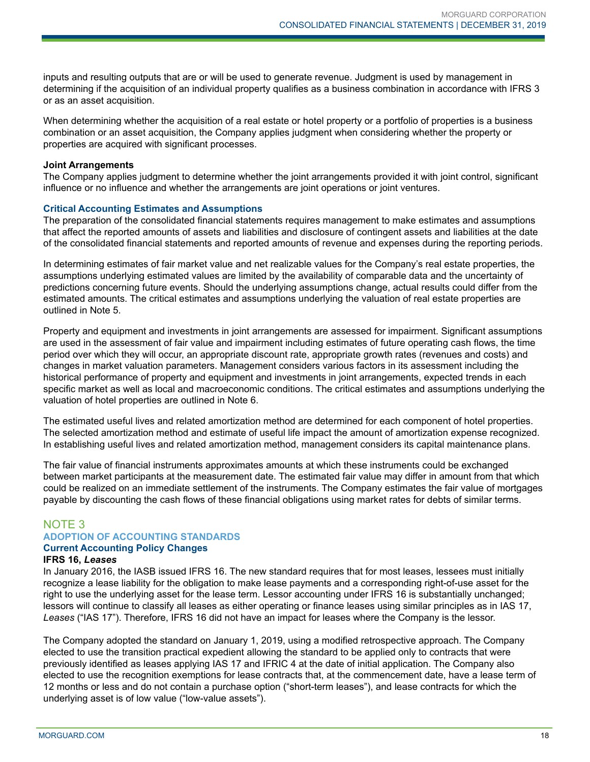inputs and resulting outputs that are or will be used to generate revenue. Judgment is used by management in determining if the acquisition of an individual property qualifies as a business combination in accordance with IFRS 3 or as an asset acquisition.

When determining whether the acquisition of a real estate or hotel property or a portfolio of properties is a business combination or an asset acquisition, the Company applies judgment when considering whether the property or properties are acquired with significant processes.

#### **Joint Arrangements**

The Company applies judgment to determine whether the joint arrangements provided it with joint control, significant influence or no influence and whether the arrangements are joint operations or joint ventures.

## **Critical Accounting Estimates and Assumptions**

The preparation of the consolidated financial statements requires management to make estimates and assumptions that affect the reported amounts of assets and liabilities and disclosure of contingent assets and liabilities at the date of the consolidated financial statements and reported amounts of revenue and expenses during the reporting periods.

In determining estimates of fair market value and net realizable values for the Company's real estate properties, the assumptions underlying estimated values are limited by the availability of comparable data and the uncertainty of predictions concerning future events. Should the underlying assumptions change, actual results could differ from the estimated amounts. The critical estimates and assumptions underlying the valuation of real estate properties are outlined in Note 5.

Property and equipment and investments in joint arrangements are assessed for impairment. Significant assumptions are used in the assessment of fair value and impairment including estimates of future operating cash flows, the time period over which they will occur, an appropriate discount rate, appropriate growth rates (revenues and costs) and changes in market valuation parameters. Management considers various factors in its assessment including the historical performance of property and equipment and investments in joint arrangements, expected trends in each specific market as well as local and macroeconomic conditions. The critical estimates and assumptions underlying the valuation of hotel properties are outlined in Note 6.

The estimated useful lives and related amortization method are determined for each component of hotel properties. The selected amortization method and estimate of useful life impact the amount of amortization expense recognized. In establishing useful lives and related amortization method, management considers its capital maintenance plans.

The fair value of financial instruments approximates amounts at which these instruments could be exchanged between market participants at the measurement date. The estimated fair value may differ in amount from that which could be realized on an immediate settlement of the instruments. The Company estimates the fair value of mortgages payable by discounting the cash flows of these financial obligations using market rates for debts of similar terms.

## NOTE 3 **ADOPTION OF ACCOUNTING STANDARDS Current Accounting Policy Changes**

## **IFRS 16,** *Leases*

In January 2016, the IASB issued IFRS 16. The new standard requires that for most leases, lessees must initially recognize a lease liability for the obligation to make lease payments and a corresponding right-of-use asset for the right to use the underlying asset for the lease term. Lessor accounting under IFRS 16 is substantially unchanged; lessors will continue to classify all leases as either operating or finance leases using similar principles as in IAS 17, *Leases* ("IAS 17"). Therefore, IFRS 16 did not have an impact for leases where the Company is the lessor.

The Company adopted the standard on January 1, 2019, using a modified retrospective approach. The Company elected to use the transition practical expedient allowing the standard to be applied only to contracts that were previously identified as leases applying IAS 17 and IFRIC 4 at the date of initial application. The Company also elected to use the recognition exemptions for lease contracts that, at the commencement date, have a lease term of 12 months or less and do not contain a purchase option ("short-term leases"), and lease contracts for which the underlying asset is of low value ("low-value assets").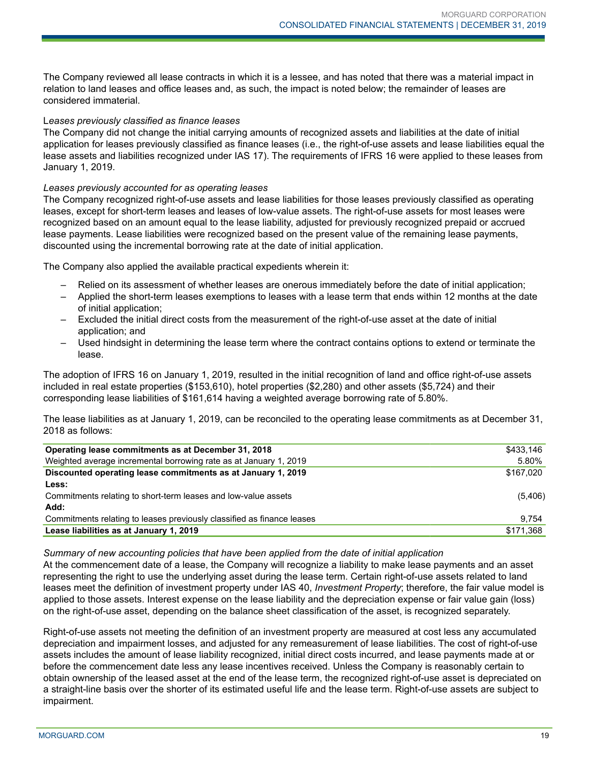The Company reviewed all lease contracts in which it is a lessee, and has noted that there was a material impact in relation to land leases and office leases and, as such, the impact is noted below; the remainder of leases are considered immaterial.

## L*eases previously classified as finance leases*

The Company did not change the initial carrying amounts of recognized assets and liabilities at the date of initial application for leases previously classified as finance leases (i.e., the right-of-use assets and lease liabilities equal the lease assets and liabilities recognized under IAS 17). The requirements of IFRS 16 were applied to these leases from January 1, 2019.

#### *Leases previously accounted for as operating leases*

The Company recognized right-of-use assets and lease liabilities for those leases previously classified as operating leases, except for short-term leases and leases of low-value assets. The right-of-use assets for most leases were recognized based on an amount equal to the lease liability, adjusted for previously recognized prepaid or accrued lease payments. Lease liabilities were recognized based on the present value of the remaining lease payments, discounted using the incremental borrowing rate at the date of initial application.

The Company also applied the available practical expedients wherein it:

- Relied on its assessment of whether leases are onerous immediately before the date of initial application;
- Applied the short-term leases exemptions to leases with a lease term that ends within 12 months at the date of initial application;
- Excluded the initial direct costs from the measurement of the right-of-use asset at the date of initial application; and
- Used hindsight in determining the lease term where the contract contains options to extend or terminate the lease.

The adoption of IFRS 16 on January 1, 2019, resulted in the initial recognition of land and office right-of-use assets included in real estate properties (\$153,610), hotel properties (\$2,280) and other assets (\$5,724) and their corresponding lease liabilities of \$161,614 having a weighted average borrowing rate of 5.80%.

The lease liabilities as at January 1, 2019, can be reconciled to the operating lease commitments as at December 31, 2018 as follows:

| \$433,146 |
|-----------|
| 5.80%     |
| \$167.020 |
|           |
| (5,406)   |
|           |
| 9.754     |
| \$171,368 |
|           |

#### *Summary of new accounting policies that have been applied from the date of initial application*

At the commencement date of a lease, the Company will recognize a liability to make lease payments and an asset representing the right to use the underlying asset during the lease term. Certain right-of-use assets related to land leases meet the definition of investment property under IAS 40, *Investment Property*; therefore, the fair value model is applied to those assets. Interest expense on the lease liability and the depreciation expense or fair value gain (loss) on the right-of-use asset, depending on the balance sheet classification of the asset, is recognized separately.

Right-of-use assets not meeting the definition of an investment property are measured at cost less any accumulated depreciation and impairment losses, and adjusted for any remeasurement of lease liabilities. The cost of right-of-use assets includes the amount of lease liability recognized, initial direct costs incurred, and lease payments made at or before the commencement date less any lease incentives received. Unless the Company is reasonably certain to obtain ownership of the leased asset at the end of the lease term, the recognized right-of-use asset is depreciated on a straight-line basis over the shorter of its estimated useful life and the lease term. Right-of-use assets are subject to impairment.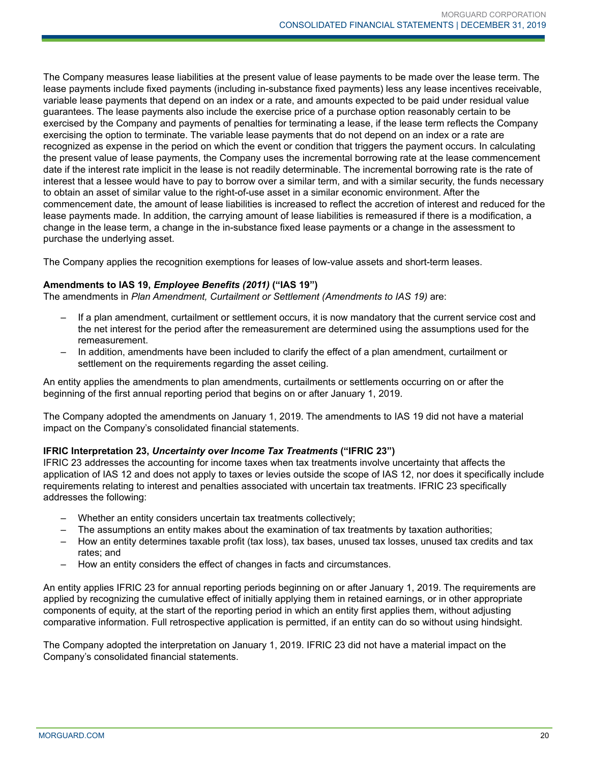The Company measures lease liabilities at the present value of lease payments to be made over the lease term. The lease payments include fixed payments (including in-substance fixed payments) less any lease incentives receivable, variable lease payments that depend on an index or a rate, and amounts expected to be paid under residual value guarantees. The lease payments also include the exercise price of a purchase option reasonably certain to be exercised by the Company and payments of penalties for terminating a lease, if the lease term reflects the Company exercising the option to terminate. The variable lease payments that do not depend on an index or a rate are recognized as expense in the period on which the event or condition that triggers the payment occurs. In calculating the present value of lease payments, the Company uses the incremental borrowing rate at the lease commencement date if the interest rate implicit in the lease is not readily determinable. The incremental borrowing rate is the rate of interest that a lessee would have to pay to borrow over a similar term, and with a similar security, the funds necessary to obtain an asset of similar value to the right-of-use asset in a similar economic environment. After the commencement date, the amount of lease liabilities is increased to reflect the accretion of interest and reduced for the lease payments made. In addition, the carrying amount of lease liabilities is remeasured if there is a modification, a change in the lease term, a change in the in-substance fixed lease payments or a change in the assessment to purchase the underlying asset.

The Company applies the recognition exemptions for leases of low-value assets and short-term leases.

## **Amendments to IAS 19,** *Employee Benefits (2011)* **("IAS 19")**

The amendments in *Plan Amendment, Curtailment or Settlement (Amendments to IAS 19)* are:

- If a plan amendment, curtailment or settlement occurs, it is now mandatory that the current service cost and the net interest for the period after the remeasurement are determined using the assumptions used for the remeasurement.
- In addition, amendments have been included to clarify the effect of a plan amendment, curtailment or settlement on the requirements regarding the asset ceiling.

An entity applies the amendments to plan amendments, curtailments or settlements occurring on or after the beginning of the first annual reporting period that begins on or after January 1, 2019.

The Company adopted the amendments on January 1, 2019. The amendments to IAS 19 did not have a material impact on the Company's consolidated financial statements.

## **IFRIC Interpretation 23,** *Uncertainty over Income Tax Treatments* **("IFRIC 23")**

IFRIC 23 addresses the accounting for income taxes when tax treatments involve uncertainty that affects the application of IAS 12 and does not apply to taxes or levies outside the scope of IAS 12, nor does it specifically include requirements relating to interest and penalties associated with uncertain tax treatments. IFRIC 23 specifically addresses the following:

- Whether an entity considers uncertain tax treatments collectively;
- The assumptions an entity makes about the examination of tax treatments by taxation authorities;
- How an entity determines taxable profit (tax loss), tax bases, unused tax losses, unused tax credits and tax rates; and
- How an entity considers the effect of changes in facts and circumstances.

An entity applies IFRIC 23 for annual reporting periods beginning on or after January 1, 2019. The requirements are applied by recognizing the cumulative effect of initially applying them in retained earnings, or in other appropriate components of equity, at the start of the reporting period in which an entity first applies them, without adjusting comparative information. Full retrospective application is permitted, if an entity can do so without using hindsight.

The Company adopted the interpretation on January 1, 2019. IFRIC 23 did not have a material impact on the Company's consolidated financial statements.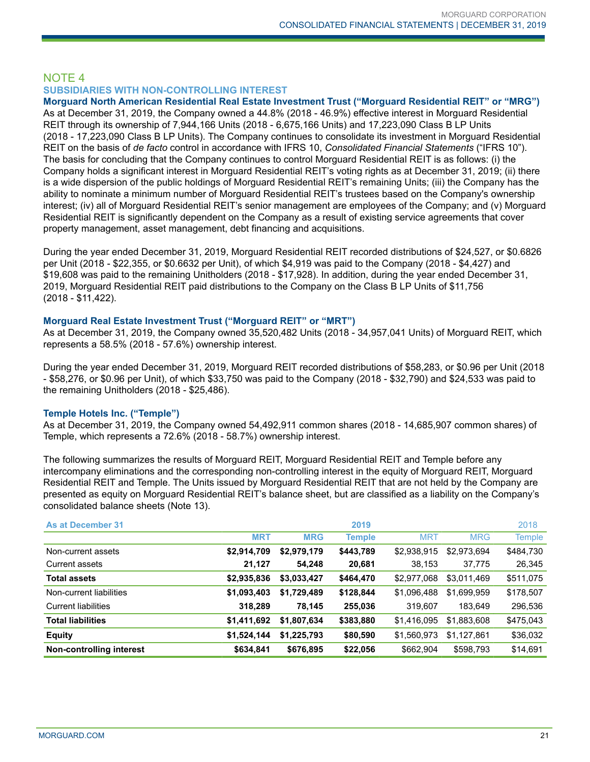## NOTE 4 **SUBSIDIARIES WITH NON-CONTROLLING INTEREST**

**Morguard North American Residential Real Estate Investment Trust ("Morguard Residential REIT" or "MRG")** As at December 31, 2019, the Company owned a 44.8% (2018 - 46.9%) effective interest in Morguard Residential REIT through its ownership of 7,944,166 Units (2018 - 6,675,166 Units) and 17,223,090 Class B LP Units (2018 - 17,223,090 Class B LP Units). The Company continues to consolidate its investment in Morguard Residential REIT on the basis of *de facto* control in accordance with IFRS 10, *Consolidated Financial Statements* ("IFRS 10"). The basis for concluding that the Company continues to control Morguard Residential REIT is as follows: (i) the Company holds a significant interest in Morguard Residential REIT's voting rights as at December 31, 2019; (ii) there is a wide dispersion of the public holdings of Morguard Residential REIT's remaining Units; (iii) the Company has the ability to nominate a minimum number of Morguard Residential REIT's trustees based on the Company's ownership interest; (iv) all of Morguard Residential REIT's senior management are employees of the Company; and (v) Morguard Residential REIT is significantly dependent on the Company as a result of existing service agreements that cover property management, asset management, debt financing and acquisitions.

During the year ended December 31, 2019, Morguard Residential REIT recorded distributions of \$24,527, or \$0.6826 per Unit (2018 - \$22,355, or \$0.6632 per Unit), of which \$4,919 was paid to the Company (2018 - \$4,427) and \$19,608 was paid to the remaining Unitholders (2018 - \$17,928). In addition, during the year ended December 31, 2019, Morguard Residential REIT paid distributions to the Company on the Class B LP Units of \$11,756 (2018 - \$11,422).

## **Morguard Real Estate Investment Trust ("Morguard REIT" or "MRT")**

As at December 31, 2019, the Company owned 35,520,482 Units (2018 - 34,957,041 Units) of Morguard REIT, which represents a 58.5% (2018 - 57.6%) ownership interest.

During the year ended December 31, 2019, Morguard REIT recorded distributions of \$58,283, or \$0.96 per Unit (2018 - \$58,276, or \$0.96 per Unit), of which \$33,750 was paid to the Company (2018 - \$32,790) and \$24,533 was paid to the remaining Unitholders (2018 - \$25,486).

## **Temple Hotels Inc. ("Temple")**

As at December 31, 2019, the Company owned 54,492,911 common shares (2018 - 14,685,907 common shares) of Temple, which represents a 72.6% (2018 - 58.7%) ownership interest.

The following summarizes the results of Morguard REIT, Morguard Residential REIT and Temple before any intercompany eliminations and the corresponding non-controlling interest in the equity of Morguard REIT, Morguard Residential REIT and Temple. The Units issued by Morguard Residential REIT that are not held by the Company are presented as equity on Morguard Residential REIT's balance sheet, but are classified as a liability on the Company's consolidated balance sheets (Note 13).

| <b>As at December 31</b>   |             |             | 2019          |             |             | 2018          |
|----------------------------|-------------|-------------|---------------|-------------|-------------|---------------|
|                            | <b>MRT</b>  | <b>MRG</b>  | <b>Temple</b> | <b>MRT</b>  | <b>MRG</b>  | <b>Temple</b> |
| Non-current assets         | \$2,914,709 | \$2,979,179 | \$443,789     | \$2,938,915 | \$2,973,694 | \$484,730     |
| Current assets             | 21,127      | 54,248      | 20,681        | 38,153      | 37,775      | 26,345        |
| <b>Total assets</b>        | \$2,935,836 | \$3,033,427 | \$464,470     | \$2,977,068 | \$3,011,469 | \$511,075     |
| Non-current liabilities    | \$1,093,403 | \$1,729,489 | \$128,844     | \$1,096,488 | \$1,699,959 | \$178,507     |
| <b>Current liabilities</b> | 318,289     | 78,145      | 255,036       | 319.607     | 183.649     | 296,536       |
| <b>Total liabilities</b>   | \$1,411,692 | \$1,807,634 | \$383,880     | \$1,416,095 | \$1,883,608 | \$475,043     |
| <b>Equity</b>              | \$1,524,144 | \$1,225,793 | \$80,590      | \$1,560,973 | \$1,127,861 | \$36,032      |
| Non-controlling interest   | \$634,841   | \$676,895   | \$22,056      | \$662,904   | \$598,793   | \$14,691      |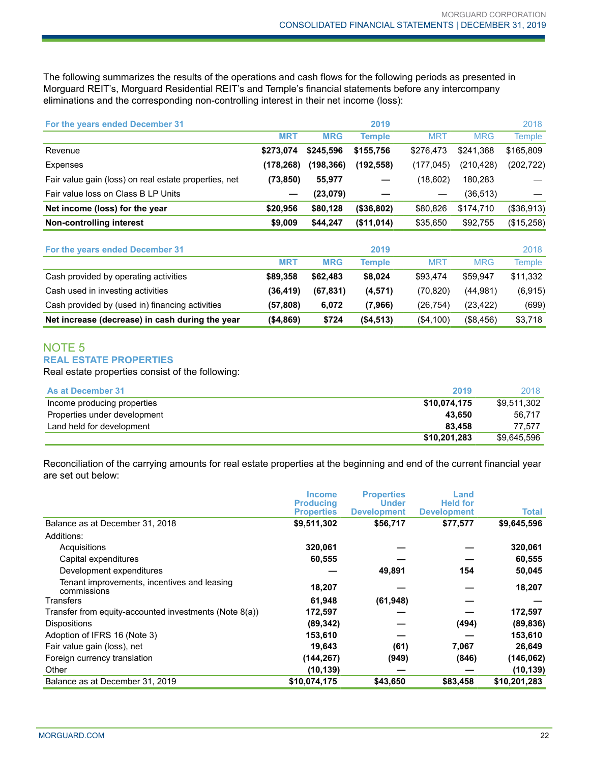The following summarizes the results of the operations and cash flows for the following periods as presented in Morguard REIT's, Morguard Residential REIT's and Temple's financial statements before any intercompany eliminations and the corresponding non-controlling interest in their net income (loss):

| For the years ended December 31                       |            |            | 2019          |            |            | 2018          |
|-------------------------------------------------------|------------|------------|---------------|------------|------------|---------------|
|                                                       | <b>MRT</b> | <b>MRG</b> | <b>Temple</b> | <b>MRT</b> | <b>MRG</b> | <b>Temple</b> |
| Revenue                                               | \$273,074  | \$245,596  | \$155,756     | \$276,473  | \$241.368  | \$165,809     |
| Expenses                                              | (178, 268) | (198, 366) | (192, 558)    | (177, 045) | (210, 428) | (202, 722)    |
| Fair value gain (loss) on real estate properties, net | (73, 850)  | 55,977     |               | (18,602)   | 180,283    |               |
| Fair value loss on Class B LP Units                   |            | (23, 079)  |               |            | (36, 513)  |               |
| Net income (loss) for the year                        | \$20,956   | \$80,128   | (\$36,802)    | \$80,826   | \$174,710  | (\$36,913)    |
| Non-controlling interest                              | \$9,009    | \$44,247   | (\$11,014)    | \$35,650   | \$92,755   | (\$15,258)    |
| For the years ended December 31                       |            |            | 2019          |            |            | 2018          |
|                                                       | <b>MRT</b> | <b>MRG</b> | <b>Temple</b> | <b>MRT</b> | <b>MRG</b> | <b>Temple</b> |
| Cash provided by operating activities                 | \$89,358   | \$62,483   | \$8,024       | \$93,474   | \$59,947   | \$11,332      |
| Cash used in investing activities                     | (36, 419)  | (67, 831)  | (4, 571)      | (70, 820)  | (44, 981)  | (6, 915)      |

# Cash provided by (used in) financing activities **(57,808) 6,072 (7,966)** (26,754) (23,422) (699) **Net increase (decrease) in cash during the year (\$4,869) \$724 (\$4,513)** (\$4,100) (\$8,456) \$3,718

## NOTE 5 **REAL ESTATE PROPERTIES**

Real estate properties consist of the following:

| As at December 31            | 2019         | 2018        |
|------------------------------|--------------|-------------|
| Income producing properties  | \$10.074.175 | \$9,511,302 |
| Properties under development | 43.650       | 56.717      |
| Land held for development    | 83.458       | 77.577      |
|                              | \$10,201,283 | \$9,645,596 |

Reconciliation of the carrying amounts for real estate properties at the beginning and end of the current financial year are set out below:

|                                                            | <b>Income</b><br><b>Producing</b><br><b>Properties</b> | <b>Properties</b><br><b>Under</b><br><b>Development</b> | Land<br><b>Held for</b><br><b>Development</b> | <b>Total</b> |
|------------------------------------------------------------|--------------------------------------------------------|---------------------------------------------------------|-----------------------------------------------|--------------|
| Balance as at December 31, 2018                            | \$9,511,302                                            | \$56,717                                                | \$77,577                                      | \$9,645,596  |
| Additions:                                                 |                                                        |                                                         |                                               |              |
| Acquisitions                                               | 320,061                                                |                                                         |                                               | 320,061      |
| Capital expenditures                                       | 60,555                                                 |                                                         |                                               | 60,555       |
| Development expenditures                                   |                                                        | 49,891                                                  | 154                                           | 50,045       |
| Tenant improvements, incentives and leasing<br>commissions | 18,207                                                 |                                                         |                                               | 18,207       |
| Transfers                                                  | 61,948                                                 | (61, 948)                                               |                                               |              |
| Transfer from equity-accounted investments (Note 8(a))     | 172,597                                                |                                                         |                                               | 172,597      |
| <b>Dispositions</b>                                        | (89, 342)                                              |                                                         | (494)                                         | (89, 836)    |
| Adoption of IFRS 16 (Note 3)                               | 153,610                                                |                                                         |                                               | 153,610      |
| Fair value gain (loss), net                                | 19,643                                                 | (61)                                                    | 7,067                                         | 26,649       |
| Foreign currency translation                               | (144, 267)                                             | (949)                                                   | (846)                                         | (146, 062)   |
| Other                                                      | (10, 139)                                              |                                                         |                                               | (10, 139)    |
| Balance as at December 31, 2019                            | \$10,074,175                                           | \$43,650                                                | \$83,458                                      | \$10,201,283 |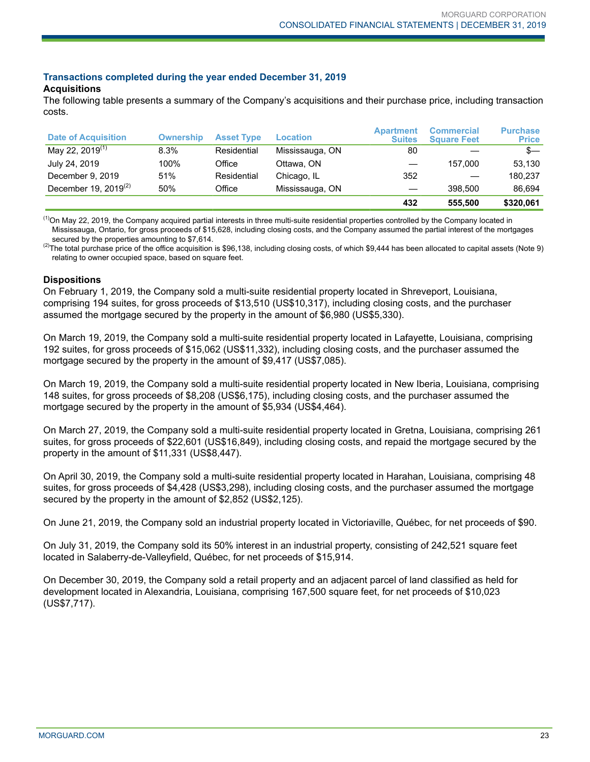# **Transactions completed during the year ended December 31, 2019**

## **Acquisitions**

The following table presents a summary of the Company's acquisitions and their purchase price, including transaction costs.

| <b>Date of Acquisition</b>  | <b>Ownership</b> | <b>Asset Type</b> | Location        | <b>Apartment</b><br><b>Suites</b> | <b>Commercial</b><br><b>Square Feet</b> | <b>Purchase</b><br><b>Price</b> |
|-----------------------------|------------------|-------------------|-----------------|-----------------------------------|-----------------------------------------|---------------------------------|
| May 22, 2019 <sup>(1)</sup> | 8.3%             | Residential       | Mississauga, ON | 80                                |                                         | $s-$                            |
| July 24, 2019               | 100%             | Office            | Ottawa, ON      |                                   | 157.000                                 | 53,130                          |
| December 9, 2019            | 51%              | Residential       | Chicago, IL     | 352                               |                                         | 180.237                         |
| December 19, 2019 $(2)$     | 50%              | Office            | Mississauga, ON |                                   | 398,500                                 | 86.694                          |
|                             |                  |                   |                 | 432                               | 555.500                                 | \$320,061                       |

 $<sup>(1)</sup>$ On May 22, 2019, the Company acquired partial interests in three multi-suite residential properties controlled by the Company located in</sup> Mississauga, Ontario, for gross proceeds of \$15,628, including closing costs, and the Company assumed the partial interest of the mortgages secured by the properties amounting to \$7,614.

 $^{(2)}$ The total purchase price of the office acquisition is \$96,138, including closing costs, of which \$9,444 has been allocated to capital assets (Note 9) relating to owner occupied space, based on square feet.

## **Dispositions**

On February 1, 2019, the Company sold a multi-suite residential property located in Shreveport, Louisiana, comprising 194 suites, for gross proceeds of \$13,510 (US\$10,317), including closing costs, and the purchaser assumed the mortgage secured by the property in the amount of \$6,980 (US\$5,330).

On March 19, 2019, the Company sold a multi-suite residential property located in Lafayette, Louisiana, comprising 192 suites, for gross proceeds of \$15,062 (US\$11,332), including closing costs, and the purchaser assumed the mortgage secured by the property in the amount of \$9,417 (US\$7,085).

On March 19, 2019, the Company sold a multi-suite residential property located in New Iberia, Louisiana, comprising 148 suites, for gross proceeds of \$8,208 (US\$6,175), including closing costs, and the purchaser assumed the mortgage secured by the property in the amount of \$5,934 (US\$4,464).

On March 27, 2019, the Company sold a multi-suite residential property located in Gretna, Louisiana, comprising 261 suites, for gross proceeds of \$22,601 (US\$16,849), including closing costs, and repaid the mortgage secured by the property in the amount of \$11,331 (US\$8,447).

On April 30, 2019, the Company sold a multi-suite residential property located in Harahan, Louisiana, comprising 48 suites, for gross proceeds of \$4,428 (US\$3,298), including closing costs, and the purchaser assumed the mortgage secured by the property in the amount of \$2,852 (US\$2,125).

On June 21, 2019, the Company sold an industrial property located in Victoriaville, Québec, for net proceeds of \$90.

On July 31, 2019, the Company sold its 50% interest in an industrial property, consisting of 242,521 square feet located in Salaberry-de-Valleyfield, Québec, for net proceeds of \$15,914.

On December 30, 2019, the Company sold a retail property and an adjacent parcel of land classified as held for development located in Alexandria, Louisiana, comprising 167,500 square feet, for net proceeds of \$10,023 (US\$7,717).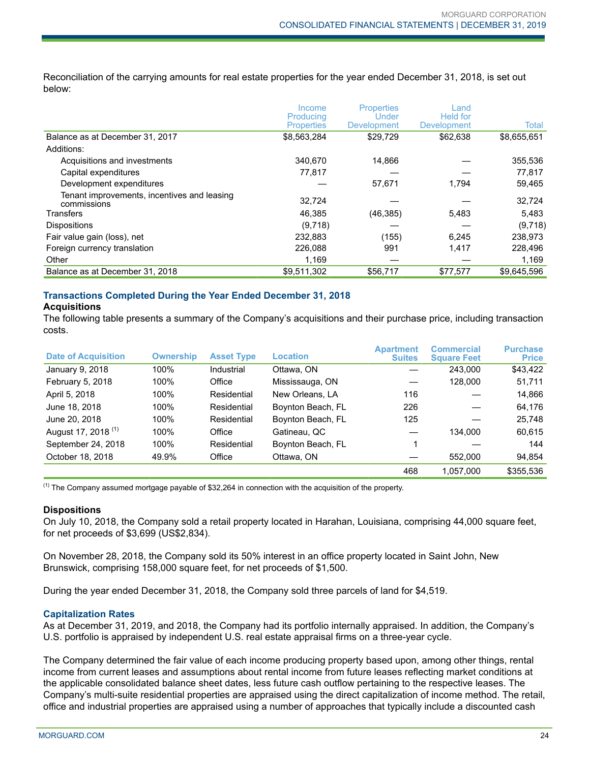Reconciliation of the carrying amounts for real estate properties for the year ended December 31, 2018, is set out below:

|                                                            | Income<br>Producing | <b>Properties</b><br>Under | Land<br>Held for   |             |
|------------------------------------------------------------|---------------------|----------------------------|--------------------|-------------|
|                                                            | <b>Properties</b>   | Development                | <b>Development</b> | Total       |
| Balance as at December 31, 2017                            | \$8,563,284         | \$29,729                   | \$62,638           | \$8,655,651 |
| Additions:                                                 |                     |                            |                    |             |
| Acquisitions and investments                               | 340.670             | 14,866                     |                    | 355,536     |
| Capital expenditures                                       | 77,817              |                            |                    | 77,817      |
| Development expenditures                                   |                     | 57,671                     | 1.794              | 59,465      |
| Tenant improvements, incentives and leasing<br>commissions | 32,724              |                            |                    | 32,724      |
| Transfers                                                  | 46,385              | (46, 385)                  | 5,483              | 5,483       |
| <b>Dispositions</b>                                        | (9,718)             |                            |                    | (9,718)     |
| Fair value gain (loss), net                                | 232.883             | (155)                      | 6,245              | 238,973     |
| Foreign currency translation                               | 226,088             | 991                        | 1.417              | 228,496     |
| Other                                                      | 1,169               |                            |                    | 1,169       |
| Balance as at December 31, 2018                            | \$9,511,302         | \$56,717                   | \$77,577           | \$9,645,596 |

## **Transactions Completed During the Year Ended December 31, 2018**

## **Acquisitions**

The following table presents a summary of the Company's acquisitions and their purchase price, including transaction costs.

| <b>Date of Acquisition</b>     | <b>Ownership</b> | <b>Asset Type</b> | Location          | <b>Apartment</b><br><b>Suites</b> | <b>Commercial</b><br><b>Square Feet</b> | <b>Purchase</b><br><b>Price</b> |
|--------------------------------|------------------|-------------------|-------------------|-----------------------------------|-----------------------------------------|---------------------------------|
| January 9, 2018                | 100%             | Industrial        | Ottawa, ON        |                                   | 243,000                                 | \$43,422                        |
| February 5, 2018               | 100%             | Office            | Mississauga, ON   |                                   | 128,000                                 | 51,711                          |
| April 5, 2018                  | 100%             | Residential       | New Orleans, LA   | 116                               |                                         | 14,866                          |
| June 18, 2018                  | 100%             | Residential       | Boynton Beach, FL | 226                               |                                         | 64,176                          |
| June 20, 2018                  | 100%             | Residential       | Boynton Beach, FL | 125                               |                                         | 25,748                          |
| August 17, 2018 <sup>(1)</sup> | 100%             | Office            | Gatineau, QC      |                                   | 134.000                                 | 60,615                          |
| September 24, 2018             | 100%             | Residential       | Boynton Beach, FL |                                   |                                         | 144                             |
| October 18, 2018               | 49.9%            | Office            | Ottawa, ON        |                                   | 552,000                                 | 94,854                          |
|                                |                  |                   |                   | 468                               | 1.057.000                               | \$355.536                       |

 $<sup>(1)</sup>$  The Company assumed mortgage payable of \$32,264 in connection with the acquisition of the property.</sup>

#### **Dispositions**

On July 10, 2018, the Company sold a retail property located in Harahan, Louisiana, comprising 44,000 square feet, for net proceeds of \$3,699 (US\$2,834).

On November 28, 2018, the Company sold its 50% interest in an office property located in Saint John, New Brunswick, comprising 158,000 square feet, for net proceeds of \$1,500.

During the year ended December 31, 2018, the Company sold three parcels of land for \$4,519.

## **Capitalization Rates**

As at December 31, 2019, and 2018, the Company had its portfolio internally appraised. In addition, the Company's U.S. portfolio is appraised by independent U.S. real estate appraisal firms on a three-year cycle.

The Company determined the fair value of each income producing property based upon, among other things, rental income from current leases and assumptions about rental income from future leases reflecting market conditions at the applicable consolidated balance sheet dates, less future cash outflow pertaining to the respective leases. The Company's multi-suite residential properties are appraised using the direct capitalization of income method. The retail, office and industrial properties are appraised using a number of approaches that typically include a discounted cash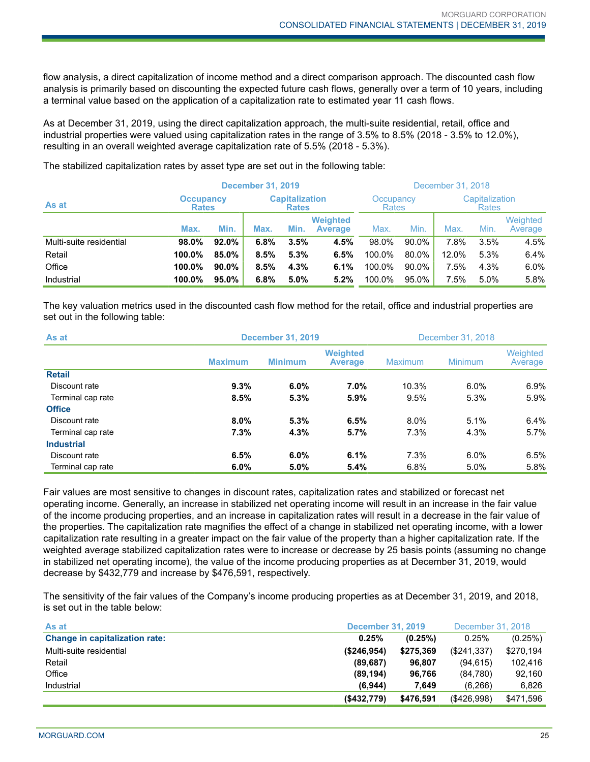flow analysis, a direct capitalization of income method and a direct comparison approach. The discounted cash flow analysis is primarily based on discounting the expected future cash flows, generally over a term of 10 years, including a terminal value based on the application of a capitalization rate to estimated year 11 cash flows.

As at December 31, 2019, using the direct capitalization approach, the multi-suite residential, retail, office and industrial properties were valued using capitalization rates in the range of 3.5% to 8.5% (2018 - 3.5% to 12.0%), resulting in an overall weighted average capitalization rate of 5.5% (2018 - 5.3%).

|                         |                                                                   | <b>December 31, 2019</b> |                                       |      |                           |        | December 31, 2018              |       |      |      |                     |
|-------------------------|-------------------------------------------------------------------|--------------------------|---------------------------------------|------|---------------------------|--------|--------------------------------|-------|------|------|---------------------|
| As at                   | <b>Occupancy</b><br><b>Rates</b>                                  |                          | <b>Capitalization</b><br><b>Rates</b> |      | Occupancy<br><b>Rates</b> |        | Capitalization<br><b>Rates</b> |       |      |      |                     |
|                         | <b>Weighted</b><br>Min.<br>Max.<br>Min.<br>Max.<br><b>Average</b> |                          |                                       |      |                           |        | Max.                           | Min.  | Max. | Min. | Weighted<br>Average |
| Multi-suite residential | 98.0%                                                             | 92.0%                    | 6.8%                                  | 3.5% | 4.5%                      | 98.0%  | 90.0%                          | 7.8%  | 3.5% | 4.5% |                     |
| Retail                  | 100.0%                                                            | 85.0%                    | 8.5%                                  | 5.3% | 6.5%                      | 100.0% | 80.0%                          | 12.0% | 5.3% | 6.4% |                     |
| Office                  | 100.0%                                                            | $90.0\%$                 | 8.5%                                  | 4.3% | 6.1%                      | 100.0% | 90.0%                          | 7.5%  | 4.3% | 6.0% |                     |
| Industrial              | 100.0%                                                            | 95.0%                    | 6.8%                                  | 5.0% | 5.2%                      | 100.0% | 95.0%                          | 7.5%  | 5.0% | 5.8% |                     |

The stabilized capitalization rates by asset type are set out in the following table:

The key valuation metrics used in the discounted cash flow method for the retail, office and industrial properties are set out in the following table:

| As at             |                | <b>December 31, 2019</b> | December 31, 2018                 |         |                |                     |
|-------------------|----------------|--------------------------|-----------------------------------|---------|----------------|---------------------|
|                   | <b>Maximum</b> | <b>Minimum</b>           | <b>Weighted</b><br><b>Average</b> | Maximum | <b>Minimum</b> | Weighted<br>Average |
| <b>Retail</b>     |                |                          |                                   |         |                |                     |
| Discount rate     | 9.3%           | $6.0\%$                  | 7.0%                              | 10.3%   | 6.0%           | 6.9%                |
| Terminal cap rate | 8.5%           | 5.3%                     | 5.9%                              | 9.5%    | 5.3%           | 5.9%                |
| <b>Office</b>     |                |                          |                                   |         |                |                     |
| Discount rate     | $8.0\%$        | 5.3%                     | 6.5%                              | $8.0\%$ | 5.1%           | 6.4%                |
| Terminal cap rate | 7.3%           | 4.3%                     | 5.7%                              | 7.3%    | 4.3%           | 5.7%                |
| <b>Industrial</b> |                |                          |                                   |         |                |                     |
| Discount rate     | 6.5%           | 6.0%                     | 6.1%                              | 7.3%    | 6.0%           | 6.5%                |
| Terminal cap rate | 6.0%           | 5.0%                     | 5.4%                              | 6.8%    | 5.0%           | 5.8%                |

Fair values are most sensitive to changes in discount rates, capitalization rates and stabilized or forecast net operating income. Generally, an increase in stabilized net operating income will result in an increase in the fair value of the income producing properties, and an increase in capitalization rates will result in a decrease in the fair value of the properties. The capitalization rate magnifies the effect of a change in stabilized net operating income, with a lower capitalization rate resulting in a greater impact on the fair value of the property than a higher capitalization rate. If the weighted average stabilized capitalization rates were to increase or decrease by 25 basis points (assuming no change in stabilized net operating income), the value of the income producing properties as at December 31, 2019, would decrease by \$432,779 and increase by \$476,591, respectively.

The sensitivity of the fair values of the Company's income producing properties as at December 31, 2019, and 2018, is set out in the table below:

| As at                                 | <b>December 31, 2019</b> |           | December 31, 2018 |           |
|---------------------------------------|--------------------------|-----------|-------------------|-----------|
| <b>Change in capitalization rate:</b> | 0.25%                    | (0.25%)   | 0.25%             | (0.25%)   |
| Multi-suite residential               | (\$246.954)              | \$275,369 | (\$241.337)       | \$270,194 |
| Retail                                | (89, 687)                | 96,807    | (94, 615)         | 102.416   |
| Office                                | (89, 194)                | 96,766    | (84,780)          | 92,160    |
| Industrial                            | (6,944)                  | 7.649     | (6, 266)          | 6,826     |
|                                       | (\$432,779)              | \$476,591 | (\$426,998)       | \$471,596 |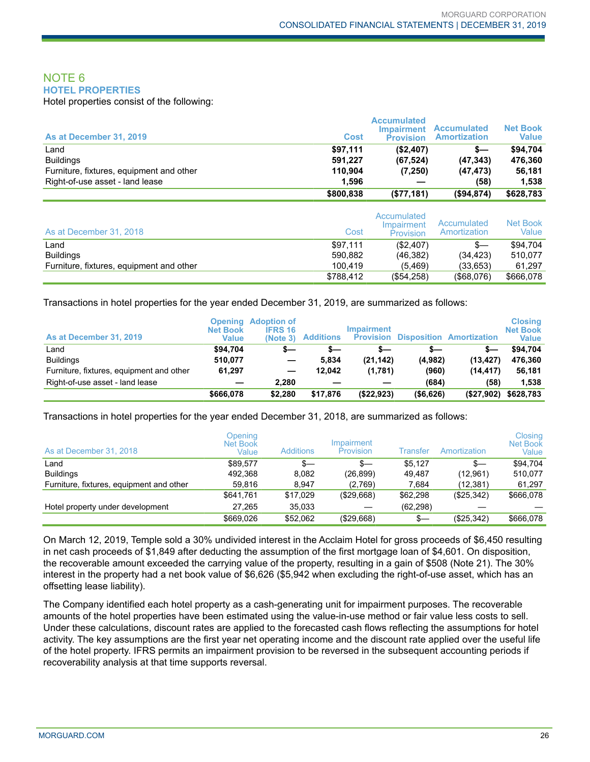## NOTE 6 **HOTEL PROPERTIES**

Hotel properties consist of the following:

| As at December 31, 2019                  | <b>Cost</b> | <b>Accumulated</b><br><b>Impairment</b><br><b>Provision</b> | <b>Accumulated</b><br><b>Amortization</b> | <b>Net Book</b><br>Value |
|------------------------------------------|-------------|-------------------------------------------------------------|-------------------------------------------|--------------------------|
| Land                                     | \$97.111    | (S2, 407)                                                   | s—                                        | \$94.704                 |
| <b>Buildings</b>                         | 591.227     | (67, 524)                                                   | (47, 343)                                 | 476.360                  |
| Furniture, fixtures, equipment and other | 110.904     | (7, 250)                                                    | (47, 473)                                 | 56.181                   |
| Right-of-use asset - land lease          | 1.596       |                                                             | (58)                                      | 1.538                    |
|                                          | \$800,838   | (\$77,181)                                                  | (\$94,874)                                | \$628,783                |

| As at December 31, 2018                  | Cost      | Accumulated<br>Impairment<br><b>Provision</b> | Accumulated<br>Amortization | Net Book<br>Value |
|------------------------------------------|-----------|-----------------------------------------------|-----------------------------|-------------------|
| Land                                     | \$97.111  | (\$2,407)                                     | s—                          | \$94.704          |
| <b>Buildings</b>                         | 590.882   | (46, 382)                                     | (34.423)                    | 510.077           |
| Furniture, fixtures, equipment and other | 100.419   | (5.469)                                       | (33,653)                    | 61.297            |
|                                          | \$788,412 | (\$54,258)                                    | $($ \$68,076)               | \$666.078         |

Transactions in hotel properties for the year ended December 31, 2019, are summarized as follows:

| As at December 31, 2019                  | <b>Opening</b><br><b>Net Book</b><br>Value | <b>Adoption of</b><br><b>IFRS 16</b><br>(Note 3) | <b>Additions</b> | <b>Impairment</b><br><b>Provision</b> |           | <b>Disposition Amortization</b> | <b>Closing</b><br><b>Net Book</b><br><b>Value</b> |
|------------------------------------------|--------------------------------------------|--------------------------------------------------|------------------|---------------------------------------|-----------|---------------------------------|---------------------------------------------------|
| Land                                     | \$94.704                                   | s—                                               | s—               | s—                                    | s—        | s—                              | \$94.704                                          |
| <b>Buildings</b>                         | 510,077                                    | $\overline{\phantom{0}}$                         | 5.834            | (21, 142)                             | (4,982)   | (13, 427)                       | 476,360                                           |
| Furniture, fixtures, equipment and other | 61,297                                     |                                                  | 12.042           | (1,781)                               | (960)     | (14.417)                        | 56,181                                            |
| Right-of-use asset - land lease          |                                            | 2.280                                            |                  |                                       | (684)     | (58)                            | 1.538                                             |
|                                          | \$666.078                                  | \$2,280                                          | \$17.876         | (\$22,923)                            | (\$6,626) | (\$27,902)                      | \$628,783                                         |

Transactions in hotel properties for the year ended December 31, 2018, are summarized as follows:

| As at December 31, 2018                  | Openina<br><b>Net Book</b><br>Value | <b>Additions</b> | Impairment<br><b>Provision</b> | Transfer  | Amortization | Closing<br><b>Net Book</b><br>Value |
|------------------------------------------|-------------------------------------|------------------|--------------------------------|-----------|--------------|-------------------------------------|
| Land                                     | \$89,577                            | $s-$             | s—                             | \$5,127   | s—           | \$94.704                            |
| <b>Buildings</b>                         | 492,368                             | 8,082            | (26, 899)                      | 49.487    | (12,961)     | 510,077                             |
| Furniture, fixtures, equipment and other | 59.816                              | 8.947            | (2.769)                        | 7.684     | (12, 381)    | 61.297                              |
|                                          | \$641.761                           | \$17.029         | (\$29,668)                     | \$62,298  | (\$25,342)   | \$666,078                           |
| Hotel property under development         | 27.265                              | 35.033           |                                | (62, 298) |              |                                     |
|                                          | \$669.026                           | \$52.062         | (\$29,668)                     | $s-$      | (\$25,342)   | \$666,078                           |

On March 12, 2019, Temple sold a 30% undivided interest in the Acclaim Hotel for gross proceeds of \$6,450 resulting in net cash proceeds of \$1,849 after deducting the assumption of the first mortgage loan of \$4,601. On disposition, the recoverable amount exceeded the carrying value of the property, resulting in a gain of \$508 (Note 21). The 30% interest in the property had a net book value of \$6,626 (\$5,942 when excluding the right-of-use asset, which has an offsetting lease liability).

The Company identified each hotel property as a cash-generating unit for impairment purposes. The recoverable amounts of the hotel properties have been estimated using the value-in-use method or fair value less costs to sell. Under these calculations, discount rates are applied to the forecasted cash flows reflecting the assumptions for hotel activity. The key assumptions are the first year net operating income and the discount rate applied over the useful life of the hotel property. IFRS permits an impairment provision to be reversed in the subsequent accounting periods if recoverability analysis at that time supports reversal.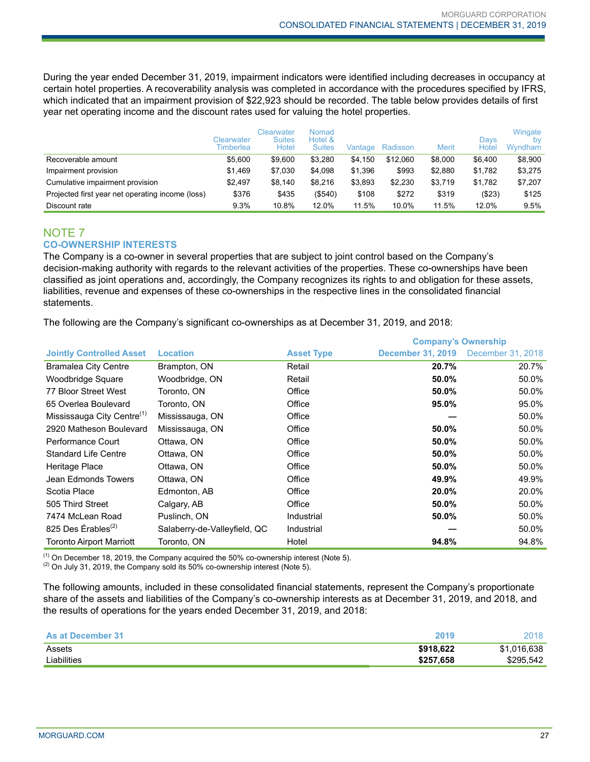During the year ended December 31, 2019, impairment indicators were identified including decreases in occupancy at certain hotel properties. A recoverability analysis was completed in accordance with the procedures specified by IFRS, which indicated that an impairment provision of \$22,923 should be recorded. The table below provides details of first year net operating income and the discount rates used for valuing the hotel properties.

|                                                  | Clearwater<br>Timberlea | Clearwater<br><b>Suites</b><br>Hotel | Nomad<br>Hotel &<br><b>Suites</b> | Vantage | Radisson | <b>Merit</b> | Davs<br>Hotel | Wingate<br>bv<br>Wyndham |
|--------------------------------------------------|-------------------------|--------------------------------------|-----------------------------------|---------|----------|--------------|---------------|--------------------------|
| Recoverable amount                               | \$5,600                 | \$9.600                              | \$3,280                           | \$4.150 | \$12.060 | \$8,000      | \$6,400       | \$8,900                  |
| Impairment provision                             | \$1,469                 | \$7,030                              | \$4,098                           | \$1.396 | \$993    | \$2,880      | \$1,782       | \$3,275                  |
| Cumulative impairment provision                  | \$2,497                 | \$8.140                              | \$8.216                           | \$3,893 | \$2,230  | \$3,719      | \$1,782       | \$7,207                  |
| Projected first year net operating income (loss) | \$376                   | \$435                                | ( \$540)                          | \$108   | \$272    | \$319        | (\$23)        | \$125                    |
| Discount rate                                    | 9.3%                    | 10.8%                                | 12.0%                             | 11.5%   | 10.0%    | 11.5%        | 12.0%         | 9.5%                     |

## NOTE 7 **CO-OWNERSHIP INTERESTS**

The Company is a co-owner in several properties that are subject to joint control based on the Company's decision-making authority with regards to the relevant activities of the properties. These co-ownerships have been classified as joint operations and, accordingly, the Company recognizes its rights to and obligation for these assets, liabilities, revenue and expenses of these co-ownerships in the respective lines in the consolidated financial statements.

The following are the Company's significant co-ownerships as at December 31, 2019, and 2018:

|                                        |                              |                   | <b>Company's Ownership</b> |                   |  |  |
|----------------------------------------|------------------------------|-------------------|----------------------------|-------------------|--|--|
| <b>Jointly Controlled Asset</b>        | <b>Location</b>              | <b>Asset Type</b> | <b>December 31, 2019</b>   | December 31, 2018 |  |  |
| <b>Bramalea City Centre</b>            | Brampton, ON                 | Retail            | 20.7%                      | 20.7%             |  |  |
| Woodbridge Square                      | Woodbridge, ON               | Retail            | 50.0%                      | 50.0%             |  |  |
| 77 Bloor Street West                   | Toronto, ON                  | Office            | 50.0%                      | 50.0%             |  |  |
| 65 Overlea Boulevard                   | Toronto, ON                  | Office            | 95.0%                      | 95.0%             |  |  |
| Mississauga City Centre <sup>(1)</sup> | Mississauga, ON              | Office            |                            | 50.0%             |  |  |
| 2920 Matheson Boulevard                | Mississauga, ON              | Office            | 50.0%                      | 50.0%             |  |  |
| Performance Court                      | Ottawa, ON                   | Office            | 50.0%                      | 50.0%             |  |  |
| <b>Standard Life Centre</b>            | Ottawa, ON                   | Office            | 50.0%                      | 50.0%             |  |  |
| Heritage Place                         | Ottawa, ON                   | Office            | 50.0%                      | 50.0%             |  |  |
| Jean Edmonds Towers                    | Ottawa, ON                   | Office            | 49.9%                      | 49.9%             |  |  |
| Scotia Place                           | Edmonton, AB                 | Office            | 20.0%                      | 20.0%             |  |  |
| 505 Third Street                       | Calgary, AB                  | Office            | 50.0%                      | 50.0%             |  |  |
| 7474 McLean Road                       | Puslinch, ON                 | Industrial        | 50.0%                      | 50.0%             |  |  |
| 825 Des Érables <sup>(2)</sup>         | Salaberry-de-Valleyfield, QC | Industrial        |                            | 50.0%             |  |  |
| <b>Toronto Airport Marriott</b>        | Toronto, ON                  | Hotel             | 94.8%                      | 94.8%             |  |  |

 $<sup>(1)</sup>$  On December 18, 2019, the Company acquired the 50% co-ownership interest (Note 5).</sup>

 $^{(2)}$  On July 31, 2019, the Company sold its 50% co-ownership interest (Note 5).

The following amounts, included in these consolidated financial statements, represent the Company's proportionate share of the assets and liabilities of the Company's co-ownership interests as at December 31, 2019, and 2018, and the results of operations for the years ended December 31, 2019, and 2018:

| <b>As at December 31</b> | 2019      | 2018        |
|--------------------------|-----------|-------------|
| Assets                   | \$918.622 | \$1,016,638 |
| Liabilities              | \$257.658 | \$295.542   |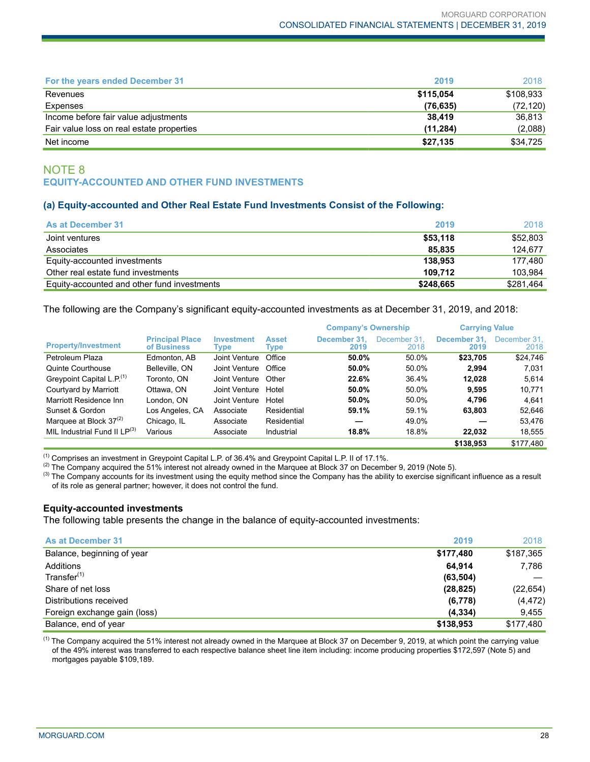| <b>For the years ended December 31</b>    | 2019      | 2018      |
|-------------------------------------------|-----------|-----------|
| Revenues                                  | \$115.054 | \$108.933 |
| Expenses                                  | (76, 635) | (72, 120) |
| Income before fair value adjustments      | 38.419    | 36.813    |
| Fair value loss on real estate properties | (11.284)  | (2,088)   |
| Net income                                | \$27,135  | \$34.725  |

## NOTE 8 **EQUITY-ACCOUNTED AND OTHER FUND INVESTMENTS**

## **(a) Equity-accounted and Other Real Estate Fund Investments Consist of the Following:**

| <b>As at December 31</b>                    | 2019      | 2018      |
|---------------------------------------------|-----------|-----------|
| Joint ventures                              | \$53,118  | \$52,803  |
| Associates                                  | 85.835    | 124.677   |
| Equity-accounted investments                | 138.953   | 177.480   |
| Other real estate fund investments          | 109.712   | 103.984   |
| Equity-accounted and other fund investments | \$248,665 | \$281,464 |

The following are the Company's significant equity-accounted investments as at December 31, 2019, and 2018:

|                                          |                                       |                    |                             | <b>Company's Ownership</b> |                      | <b>Carrying Value</b> |                      |
|------------------------------------------|---------------------------------------|--------------------|-----------------------------|----------------------------|----------------------|-----------------------|----------------------|
| <b>Property/Investment</b>               | <b>Principal Place</b><br>of Business | Investment<br>Type | <b>Asset</b><br><b>Type</b> | December 31.<br>2019       | December 31.<br>2018 | December 31.<br>2019  | December 31.<br>2018 |
| Petroleum Plaza                          | Edmonton, AB                          | Joint Venture      | Office                      | 50.0%                      | 50.0%                | \$23,705              | \$24,746             |
| Quinte Courthouse                        | Belleville, ON                        | Joint Venture      | Office                      | 50.0%                      | 50.0%                | 2.994                 | 7.031                |
| Greypoint Capital L.P. <sup>(1)</sup>    | Toronto, ON                           | Joint Venture      | Other                       | 22.6%                      | 36.4%                | 12.028                | 5.614                |
| Courtyard by Marriott                    | Ottawa, ON                            | Joint Venture      | Hotel                       | 50.0%                      | 50.0%                | 9.595                 | 10.771               |
| Marriott Residence Inn                   | London. ON                            | Joint Venture      | Hotel                       | 50.0%                      | 50.0%                | 4.796                 | 4.641                |
| Sunset & Gordon                          | Los Angeles, CA                       | Associate          | Residential                 | 59.1%                      | 59.1%                | 63,803                | 52.646               |
| Marquee at Block $37^{(2)}$              | Chicago, IL                           | Associate          | Residential                 |                            | 49.0%                |                       | 53,476               |
| MIL Industrial Fund II LP <sup>(3)</sup> | Various                               | Associate          | Industrial                  | 18.8%                      | 18.8%                | 22,032                | 18,555               |
|                                          |                                       |                    |                             |                            |                      | \$138,953             | \$177.480            |

 $<sup>(1)</sup>$  Comprises an investment in Greypoint Capital L.P. of 36.4% and Greypoint Capital L.P. II of 17.1%.</sup>

 $(2)$  The Company acquired the 51% interest not already owned in the Marquee at Block 37 on December 9, 2019 (Note 5).

(3) The Company accounts for its investment using the equity method since the Company has the ability to exercise significant influence as a result of its role as general partner; however, it does not control the fund.

## **Equity-accounted investments**

The following table presents the change in the balance of equity-accounted investments:

| <b>As at December 31</b>     | 2019      | 2018      |
|------------------------------|-----------|-----------|
| Balance, beginning of year   | \$177,480 | \$187,365 |
| Additions                    | 64.914    | 7,786     |
| Transfer <sup>(1)</sup>      | (63, 504) |           |
| Share of net loss            | (28, 825) | (22, 654) |
| Distributions received       | (6,778)   | (4, 472)  |
| Foreign exchange gain (loss) | (4, 334)  | 9,455     |
| Balance, end of year         | \$138,953 | \$177,480 |

 $<sup>(1)</sup>$  The Company acquired the 51% interest not already owned in the Marquee at Block 37 on December 9, 2019, at which point the carrying value</sup> of the 49% interest was transferred to each respective balance sheet line item including: income producing properties \$172,597 (Note 5) and mortgages payable \$109,189.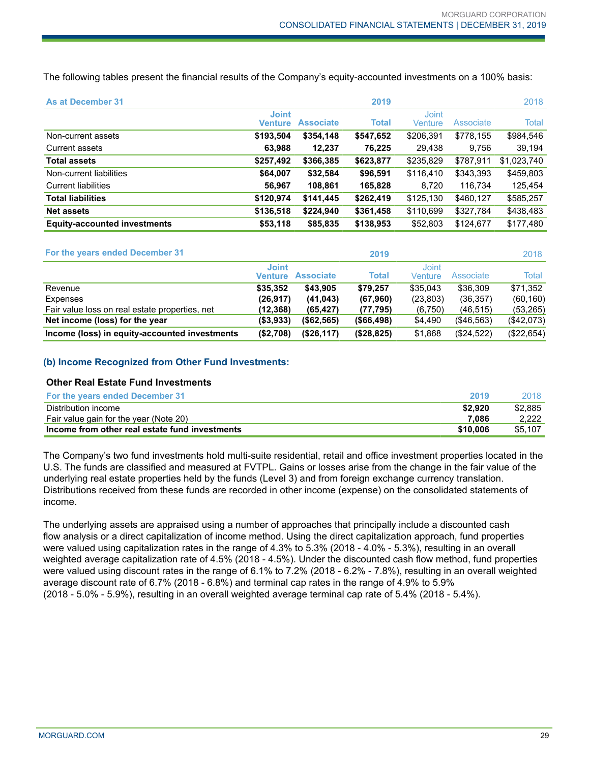The following tables present the financial results of the Company's equity-accounted investments on a 100% basis:

| <b>As at December 31</b>            |                                |                  | 2019         |                         |           | 2018        |
|-------------------------------------|--------------------------------|------------------|--------------|-------------------------|-----------|-------------|
|                                     | <b>Joint</b><br><b>Venture</b> | <b>Associate</b> | <b>Total</b> | <b>Joint</b><br>Venture | Associate | Total       |
| Non-current assets                  | \$193,504                      | \$354,148        | \$547,652    | \$206,391               | \$778,155 | \$984,546   |
| Current assets                      | 63,988                         | 12,237           | 76,225       | 29,438                  | 9,756     | 39,194      |
| <b>Total assets</b>                 | \$257,492                      | \$366,385        | \$623,877    | \$235,829               | \$787,911 | \$1,023,740 |
| Non-current liabilities             | \$64,007                       | \$32,584         | \$96,591     | \$116,410               | \$343,393 | \$459,803   |
| <b>Current liabilities</b>          | 56,967                         | 108,861          | 165,828      | 8,720                   | 116,734   | 125,454     |
| <b>Total liabilities</b>            | \$120,974                      | \$141,445        | \$262,419    | \$125,130               | \$460,127 | \$585,257   |
| <b>Net assets</b>                   | \$136,518                      | \$224,940        | \$361,458    | \$110,699               | \$327,784 | \$438,483   |
| <b>Equity-accounted investments</b> | \$53,118                       | \$85,835         | \$138,953    | \$52,803                | \$124,677 | \$177,480   |

| For the years ended December 31                |                         |                  | 2019         |                  |               | 2018       |
|------------------------------------------------|-------------------------|------------------|--------------|------------------|---------------|------------|
|                                                | <b>Joint</b><br>Venture | <b>Associate</b> | <b>Total</b> | Joint<br>Venture | Associate     | Total      |
| Revenue                                        | \$35,352                | \$43,905         | \$79.257     | \$35,043         | \$36,309      | \$71.352   |
| Expenses                                       | (26, 917)               | (41, 043)        | (67,960)     | (23, 803)        | (36, 357)     | (60, 160)  |
| Fair value loss on real estate properties, net | (12, 368)               | (65, 427)        | (77, 795)    | (6,750)          | (46, 515)     | (53, 265)  |
| Net income (loss) for the year                 | ( \$3,933)              | ( \$62, 565)     | (\$66,498)   | \$4,490          | $($ \$46,563) | (\$42,073) |
| Income (loss) in equity-accounted investments  | (\$2,708)               | (\$26,117)       | (\$28,825)   | \$1,868          | (\$24,522)    | (\$22,654) |

## **(b) Income Recognized from Other Fund Investments:**

## **Other Real Estate Fund Investments**

| <b>For the years ended December 31</b>         | 2019     | 2018    |
|------------------------------------------------|----------|---------|
| Distribution income                            | \$2.920  | \$2.885 |
| Fair value gain for the year (Note 20)         | 7.086    | 2.222   |
| Income from other real estate fund investments | \$10,006 | \$5.107 |

The Company's two fund investments hold multi-suite residential, retail and office investment properties located in the U.S. The funds are classified and measured at FVTPL. Gains or losses arise from the change in the fair value of the underlying real estate properties held by the funds (Level 3) and from foreign exchange currency translation. Distributions received from these funds are recorded in other income (expense) on the consolidated statements of income.

The underlying assets are appraised using a number of approaches that principally include a discounted cash flow analysis or a direct capitalization of income method. Using the direct capitalization approach, fund properties were valued using capitalization rates in the range of 4.3% to 5.3% (2018 - 4.0% - 5.3%), resulting in an overall weighted average capitalization rate of 4.5% (2018 - 4.5%). Under the discounted cash flow method, fund properties were valued using discount rates in the range of 6.1% to 7.2% (2018 - 6.2% - 7.8%), resulting in an overall weighted average discount rate of 6.7% (2018 - 6.8%) and terminal cap rates in the range of 4.9% to 5.9% (2018 - 5.0% - 5.9%), resulting in an overall weighted average terminal cap rate of 5.4% (2018 - 5.4%).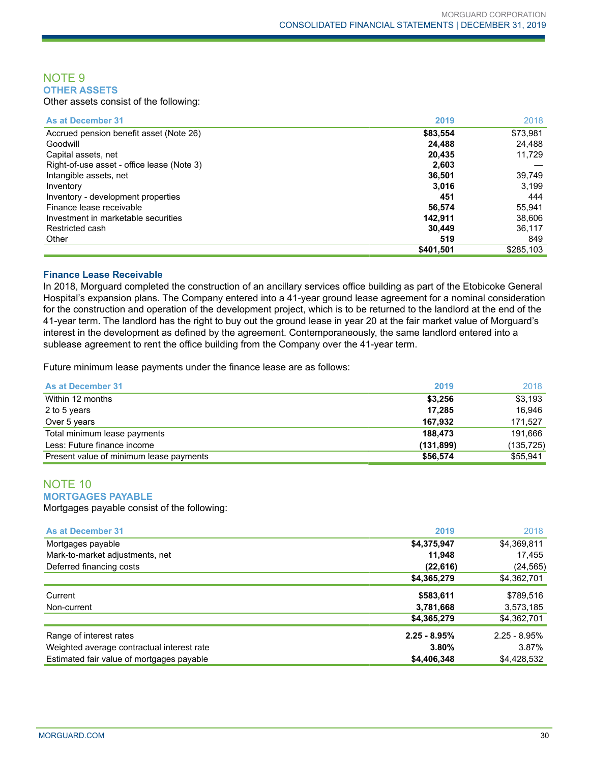## NOTE 9 **OTHER ASSETS**

Other assets consist of the following:

| <b>As at December 31</b>                   | 2019      | 2018      |
|--------------------------------------------|-----------|-----------|
| Accrued pension benefit asset (Note 26)    | \$83,554  | \$73,981  |
| Goodwill                                   | 24.488    | 24,488    |
| Capital assets, net                        | 20.435    | 11,729    |
| Right-of-use asset - office lease (Note 3) | 2.603     |           |
| Intangible assets, net                     | 36,501    | 39,749    |
| Inventory                                  | 3,016     | 3.199     |
| Inventory - development properties         | 451       | 444       |
| Finance lease receivable                   | 56,574    | 55,941    |
| Investment in marketable securities        | 142.911   | 38,606    |
| Restricted cash                            | 30.449    | 36.117    |
| Other                                      | 519       | 849       |
|                                            | \$401,501 | \$285,103 |

## **Finance Lease Receivable**

In 2018, Morguard completed the construction of an ancillary services office building as part of the Etobicoke General Hospital's expansion plans. The Company entered into a 41-year ground lease agreement for a nominal consideration for the construction and operation of the development project, which is to be returned to the landlord at the end of the 41-year term. The landlord has the right to buy out the ground lease in year 20 at the fair market value of Morguard's interest in the development as defined by the agreement. Contemporaneously, the same landlord entered into a sublease agreement to rent the office building from the Company over the 41-year term.

Future minimum lease payments under the finance lease are as follows:

| As at December 31                       | 2019       | 2018       |
|-----------------------------------------|------------|------------|
| Within 12 months                        | \$3,256    | \$3,193    |
| 2 to 5 years                            | 17.285     | 16,946     |
| Over 5 years                            | 167,932    | 171,527    |
| Total minimum lease payments            | 188.473    | 191.666    |
| Less: Future finance income             | (131, 899) | (135, 725) |
| Present value of minimum lease payments | \$56,574   | \$55,941   |

## NOTE 10 **MORTGAGES PAYABLE**

Mortgages payable consist of the following:

| <b>As at December 31</b>                   | 2019           | 2018            |
|--------------------------------------------|----------------|-----------------|
| Mortgages payable                          | \$4,375,947    | \$4,369,811     |
| Mark-to-market adjustments, net            | 11,948         | 17,455          |
| Deferred financing costs                   | (22, 616)      | (24, 565)       |
|                                            | \$4,365,279    | \$4,362,701     |
| Current                                    | \$583,611      | \$789,516       |
| Non-current                                | 3,781,668      | 3,573,185       |
|                                            | \$4,365,279    | \$4,362,701     |
| Range of interest rates                    | $2.25 - 8.95%$ | $2.25 - 8.95\%$ |
| Weighted average contractual interest rate | 3.80%          | 3.87%           |
| Estimated fair value of mortgages payable  | \$4,406,348    | \$4,428,532     |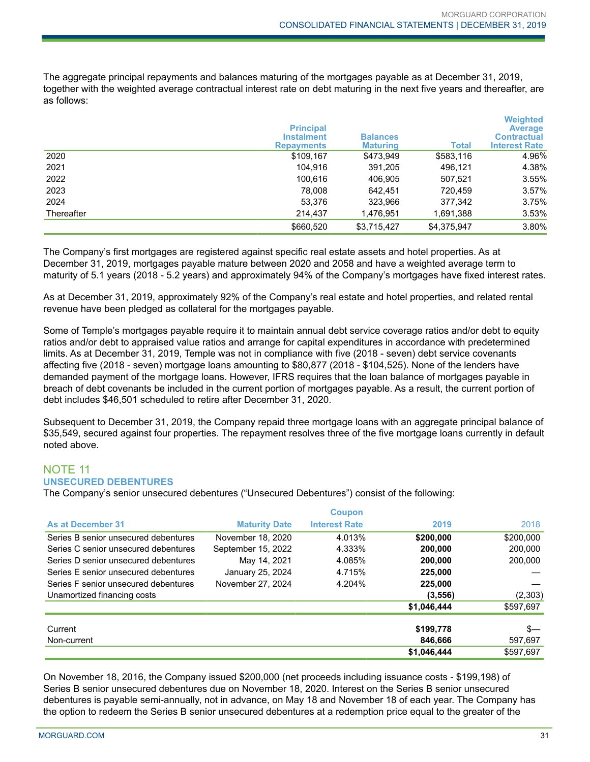The aggregate principal repayments and balances maturing of the mortgages payable as at December 31, 2019, together with the weighted average contractual interest rate on debt maturing in the next five years and thereafter, are as follows:

|            | <b>Principal</b><br><b>Instalment</b><br><b>Repayments</b> | <b>Balances</b><br><b>Maturing</b> | <b>Total</b> | <b>Weighted</b><br><b>Average</b><br><b>Contractual</b><br><b>Interest Rate</b> |
|------------|------------------------------------------------------------|------------------------------------|--------------|---------------------------------------------------------------------------------|
| 2020       | \$109,167                                                  | \$473,949                          | \$583,116    | 4.96%                                                                           |
| 2021       | 104,916                                                    | 391,205                            | 496,121      | 4.38%                                                                           |
| 2022       | 100,616                                                    | 406,905                            | 507.521      | 3.55%                                                                           |
| 2023       | 78,008                                                     | 642,451                            | 720.459      | 3.57%                                                                           |
| 2024       | 53,376                                                     | 323,966                            | 377.342      | 3.75%                                                                           |
| Thereafter | 214.437                                                    | 1,476,951                          | 1,691,388    | 3.53%                                                                           |
|            | \$660,520                                                  | \$3,715,427                        | \$4,375,947  | 3.80%                                                                           |

The Company's first mortgages are registered against specific real estate assets and hotel properties. As at December 31, 2019, mortgages payable mature between 2020 and 2058 and have a weighted average term to maturity of 5.1 years (2018 - 5.2 years) and approximately 94% of the Company's mortgages have fixed interest rates.

As at December 31, 2019, approximately 92% of the Company's real estate and hotel properties, and related rental revenue have been pledged as collateral for the mortgages payable.

Some of Temple's mortgages payable require it to maintain annual debt service coverage ratios and/or debt to equity ratios and/or debt to appraised value ratios and arrange for capital expenditures in accordance with predetermined limits. As at December 31, 2019, Temple was not in compliance with five (2018 - seven) debt service covenants affecting five (2018 - seven) mortgage loans amounting to \$80,877 (2018 - \$104,525). None of the lenders have demanded payment of the mortgage loans. However, IFRS requires that the loan balance of mortgages payable in breach of debt covenants be included in the current portion of mortgages payable. As a result, the current portion of debt includes \$46,501 scheduled to retire after December 31, 2020.

Subsequent to December 31, 2019, the Company repaid three mortgage loans with an aggregate principal balance of \$35,549, secured against four properties. The repayment resolves three of the five mortgage loans currently in default noted above.

## NOTE 11 **UNSECURED DEBENTURES**

The Company's senior unsecured debentures ("Unsecured Debentures") consist of the following:

|                                      |                      | <b>Coupon</b>        |             |           |
|--------------------------------------|----------------------|----------------------|-------------|-----------|
| As at December 31                    | <b>Maturity Date</b> | <b>Interest Rate</b> | 2019        | 2018      |
| Series B senior unsecured debentures | November 18, 2020    | 4.013%               | \$200,000   | \$200,000 |
| Series C senior unsecured debentures | September 15, 2022   | 4.333%               | 200.000     | 200.000   |
| Series D senior unsecured debentures | May 14, 2021         | 4.085%               | 200.000     | 200,000   |
| Series E senior unsecured debentures | January 25, 2024     | 4.715%               | 225.000     |           |
| Series F senior unsecured debentures | November 27, 2024    | 4.204%               | 225.000     |           |
| Unamortized financing costs          |                      |                      | (3, 556)    | (2,303)   |
|                                      |                      |                      | \$1,046,444 | \$597,697 |
|                                      |                      |                      |             |           |
| Current                              |                      |                      | \$199,778   | $s-$      |
| Non-current                          |                      |                      | 846.666     | 597.697   |
|                                      |                      |                      | \$1,046,444 | \$597.697 |

On November 18, 2016, the Company issued \$200,000 (net proceeds including issuance costs - \$199,198) of Series B senior unsecured debentures due on November 18, 2020. Interest on the Series B senior unsecured debentures is payable semi-annually, not in advance, on May 18 and November 18 of each year. The Company has the option to redeem the Series B senior unsecured debentures at a redemption price equal to the greater of the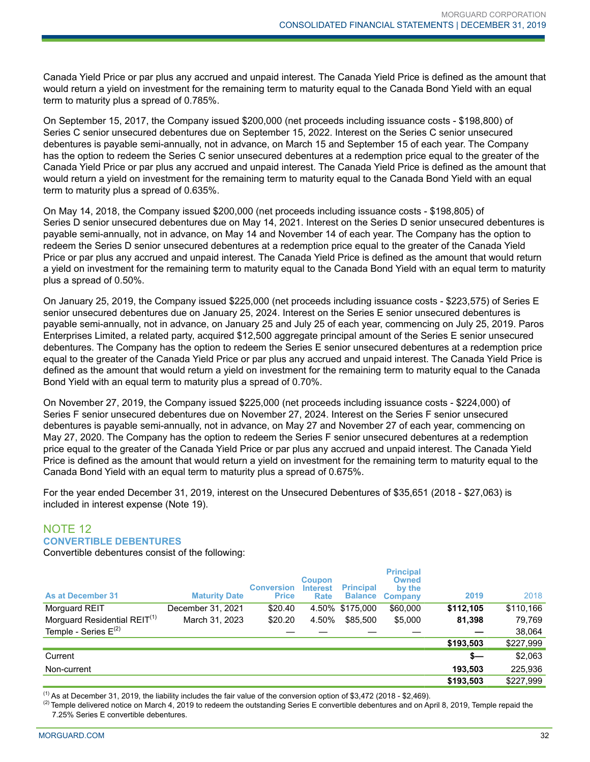Canada Yield Price or par plus any accrued and unpaid interest. The Canada Yield Price is defined as the amount that would return a yield on investment for the remaining term to maturity equal to the Canada Bond Yield with an equal term to maturity plus a spread of 0.785%.

On September 15, 2017, the Company issued \$200,000 (net proceeds including issuance costs - \$198,800) of Series C senior unsecured debentures due on September 15, 2022. Interest on the Series C senior unsecured debentures is payable semi-annually, not in advance, on March 15 and September 15 of each year. The Company has the option to redeem the Series C senior unsecured debentures at a redemption price equal to the greater of the Canada Yield Price or par plus any accrued and unpaid interest. The Canada Yield Price is defined as the amount that would return a yield on investment for the remaining term to maturity equal to the Canada Bond Yield with an equal term to maturity plus a spread of 0.635%.

On May 14, 2018, the Company issued \$200,000 (net proceeds including issuance costs - \$198,805) of Series D senior unsecured debentures due on May 14, 2021. Interest on the Series D senior unsecured debentures is payable semi-annually, not in advance, on May 14 and November 14 of each year. The Company has the option to redeem the Series D senior unsecured debentures at a redemption price equal to the greater of the Canada Yield Price or par plus any accrued and unpaid interest. The Canada Yield Price is defined as the amount that would return a yield on investment for the remaining term to maturity equal to the Canada Bond Yield with an equal term to maturity plus a spread of 0.50%.

On January 25, 2019, the Company issued \$225,000 (net proceeds including issuance costs - \$223,575) of Series E senior unsecured debentures due on January 25, 2024. Interest on the Series E senior unsecured debentures is payable semi-annually, not in advance, on January 25 and July 25 of each year, commencing on July 25, 2019. Paros Enterprises Limited, a related party, acquired \$12,500 aggregate principal amount of the Series E senior unsecured debentures. The Company has the option to redeem the Series E senior unsecured debentures at a redemption price equal to the greater of the Canada Yield Price or par plus any accrued and unpaid interest. The Canada Yield Price is defined as the amount that would return a yield on investment for the remaining term to maturity equal to the Canada Bond Yield with an equal term to maturity plus a spread of 0.70%.

On November 27, 2019, the Company issued \$225,000 (net proceeds including issuance costs - \$224,000) of Series F senior unsecured debentures due on November 27, 2024. Interest on the Series F senior unsecured debentures is payable semi-annually, not in advance, on May 27 and November 27 of each year, commencing on May 27, 2020. The Company has the option to redeem the Series F senior unsecured debentures at a redemption price equal to the greater of the Canada Yield Price or par plus any accrued and unpaid interest. The Canada Yield Price is defined as the amount that would return a yield on investment for the remaining term to maturity equal to the Canada Bond Yield with an equal term to maturity plus a spread of 0.675%.

For the year ended December 31, 2019, interest on the Unsecured Debentures of \$35,651 (2018 - \$27,063) is included in interest expense (Note 19).

# NOTE 12 **CONVERTIBLE DEBENTURES**

Convertible debentures consist of the following:

| <b>As at December 31</b>                 | <b>Maturity Date</b> | <b>Conversion</b><br><b>Price</b> | <b>Coupon</b><br><b>Interest</b><br>Rate | <b>Principal</b><br><b>Balance</b> | <b>Principal</b><br><b>Owned</b><br>by the<br><b>Company</b> | 2019      | 2018      |
|------------------------------------------|----------------------|-----------------------------------|------------------------------------------|------------------------------------|--------------------------------------------------------------|-----------|-----------|
| Morguard REIT                            | December 31, 2021    | \$20.40                           |                                          | 4.50% \$175,000                    | \$60,000                                                     | \$112,105 | \$110,166 |
| Morguard Residential REIT <sup>(1)</sup> | March 31, 2023       | \$20.20                           | 4.50%                                    | \$85,500                           | \$5,000                                                      | 81,398    | 79.769    |
| Temple - Series $E^{(2)}$                |                      |                                   |                                          |                                    |                                                              |           | 38,064    |
|                                          |                      |                                   |                                          |                                    |                                                              | \$193,503 | \$227,999 |
| Current                                  |                      |                                   |                                          |                                    |                                                              | $s-$      | \$2,063   |
| Non-current                              |                      |                                   |                                          |                                    |                                                              | 193,503   | 225,936   |
|                                          |                      |                                   |                                          |                                    |                                                              | \$193,503 | \$227,999 |

 $<sup>(1)</sup>$  As at December 31, 2019, the liability includes the fair value of the conversion option of \$3,472 (2018 - \$2,469).</sup>

 $^{(2)}$  Temple delivered notice on March 4, 2019 to redeem the outstanding Series E convertible debentures and on April 8, 2019, Temple repaid the 7.25% Series E convertible debentures.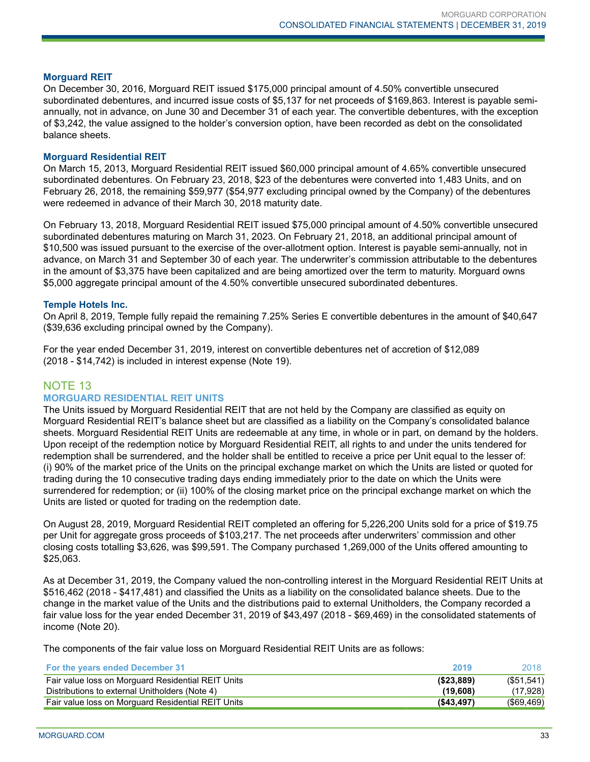## **Morguard REIT**

On December 30, 2016, Morguard REIT issued \$175,000 principal amount of 4.50% convertible unsecured subordinated debentures, and incurred issue costs of \$5,137 for net proceeds of \$169,863. Interest is payable semiannually, not in advance, on June 30 and December 31 of each year. The convertible debentures, with the exception of \$3,242, the value assigned to the holder's conversion option, have been recorded as debt on the consolidated balance sheets.

## **Morguard Residential REIT**

On March 15, 2013, Morguard Residential REIT issued \$60,000 principal amount of 4.65% convertible unsecured subordinated debentures. On February 23, 2018, \$23 of the debentures were converted into 1,483 Units, and on February 26, 2018, the remaining \$59,977 (\$54,977 excluding principal owned by the Company) of the debentures were redeemed in advance of their March 30, 2018 maturity date.

On February 13, 2018, Morguard Residential REIT issued \$75,000 principal amount of 4.50% convertible unsecured subordinated debentures maturing on March 31, 2023. On February 21, 2018, an additional principal amount of \$10,500 was issued pursuant to the exercise of the over-allotment option. Interest is payable semi-annually, not in advance, on March 31 and September 30 of each year. The underwriter's commission attributable to the debentures in the amount of \$3,375 have been capitalized and are being amortized over the term to maturity. Morguard owns \$5,000 aggregate principal amount of the 4.50% convertible unsecured subordinated debentures.

## **Temple Hotels Inc.**

On April 8, 2019, Temple fully repaid the remaining 7.25% Series E convertible debentures in the amount of \$40,647 (\$39,636 excluding principal owned by the Company).

For the year ended December 31, 2019, interest on convertible debentures net of accretion of \$12,089 (2018 - \$14,742) is included in interest expense (Note 19).

## NOTE 13

## **MORGUARD RESIDENTIAL REIT UNITS**

The Units issued by Morguard Residential REIT that are not held by the Company are classified as equity on Morguard Residential REIT's balance sheet but are classified as a liability on the Company's consolidated balance sheets. Morguard Residential REIT Units are redeemable at any time, in whole or in part, on demand by the holders. Upon receipt of the redemption notice by Morguard Residential REIT, all rights to and under the units tendered for redemption shall be surrendered, and the holder shall be entitled to receive a price per Unit equal to the lesser of: (i) 90% of the market price of the Units on the principal exchange market on which the Units are listed or quoted for trading during the 10 consecutive trading days ending immediately prior to the date on which the Units were surrendered for redemption; or (ii) 100% of the closing market price on the principal exchange market on which the Units are listed or quoted for trading on the redemption date.

On August 28, 2019, Morguard Residential REIT completed an offering for 5,226,200 Units sold for a price of \$19.75 per Unit for aggregate gross proceeds of \$103,217. The net proceeds after underwriters' commission and other closing costs totalling \$3,626, was \$99,591. The Company purchased 1,269,000 of the Units offered amounting to \$25,063.

As at December 31, 2019, the Company valued the non-controlling interest in the Morguard Residential REIT Units at \$516,462 (2018 - \$417,481) and classified the Units as a liability on the consolidated balance sheets. Due to the change in the market value of the Units and the distributions paid to external Unitholders, the Company recorded a fair value loss for the year ended December 31, 2019 of \$43,497 (2018 - \$69,469) in the consolidated statements of income (Note 20).

The components of the fair value loss on Morguard Residential REIT Units are as follows:

| <b>For the years ended December 31</b>             | 2019         | 2018       |
|----------------------------------------------------|--------------|------------|
| Fair value loss on Morguard Residential REIT Units | ( \$23, 889) | (\$51,541) |
| Distributions to external Unitholders (Note 4)     | (19,608)     | (17,928)   |
| Fair value loss on Morguard Residential REIT Units | (\$43,497)   | (\$69,469) |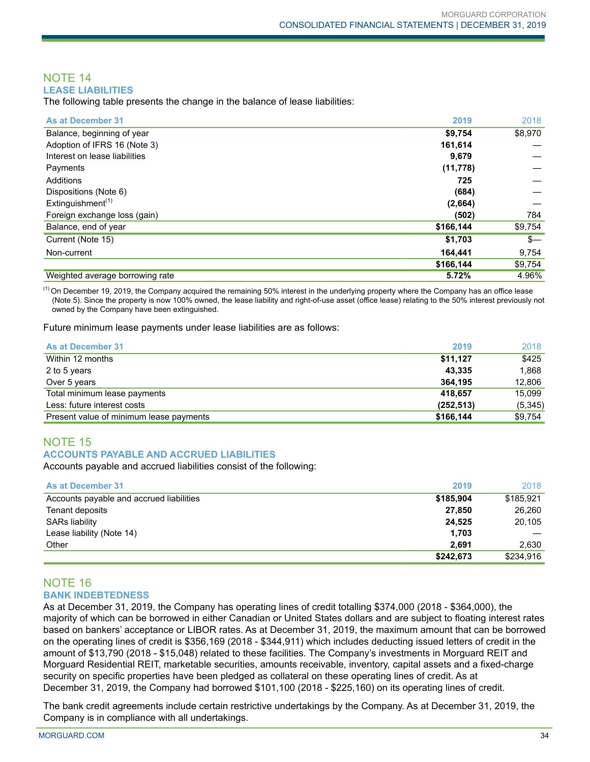## NOTE 14 **LEASE LIABILITIES**

The following table presents the change in the balance of lease liabilities:

| <b>As at December 31</b>                   | 2019      | 2018    |
|--------------------------------------------|-----------|---------|
| Balance, beginning of year                 | \$9,754   | \$8,970 |
| Adoption of IFRS 16 (Note 3)               | 161,614   |         |
| Interest on lease liabilities              | 9,679     |         |
| Payments                                   | (11, 778) |         |
| Additions                                  | 725       |         |
| Dispositions (Note 6)                      | (684)     |         |
| Extinguishment <sup><math>(1)</math></sup> | (2,664)   |         |
| Foreign exchange loss (gain)               | (502)     | 784     |
| Balance, end of year                       | \$166,144 | \$9,754 |
| Current (Note 15)                          | \$1,703   | $s-$    |
| Non-current                                | 164,441   | 9,754   |
|                                            | \$166,144 | \$9,754 |
| Weighted average borrowing rate            | 5.72%     | 4.96%   |

 $<sup>(1)</sup>$  On December 19, 2019, the Company acquired the remaining 50% interest in the underlying property where the Company has an office lease</sup> (Note 5). Since the property is now 100% owned, the lease liability and right-of-use asset (office lease) relating to the 50% interest previously not owned by the Company have been extinguished.

Future minimum lease payments under lease liabilities are as follows:

| <b>As at December 31</b>                | 2019       | 2018     |
|-----------------------------------------|------------|----------|
| Within 12 months                        | \$11,127   | \$425    |
| 2 to 5 years                            | 43,335     | 1.868    |
| Over 5 years                            | 364.195    | 12.806   |
| Total minimum lease payments            | 418.657    | 15.099   |
| Less: future interest costs             | (252, 513) | (5, 345) |
| Present value of minimum lease payments | \$166,144  | \$9,754  |

## NOTE 15 **ACCOUNTS PAYABLE AND ACCRUED LIABILITIES**

Accounts payable and accrued liabilities consist of the following:

| <b>As at December 31</b>                 | 2019      | 2018      |
|------------------------------------------|-----------|-----------|
| Accounts payable and accrued liabilities | \$185,904 | \$185.921 |
| Tenant deposits                          | 27,850    | 26.260    |
| <b>SARs liability</b>                    | 24,525    | 20.105    |
| Lease liability (Note 14)                | 1.703     |           |
| Other                                    | 2.691     | 2.630     |
|                                          | \$242,673 | \$234.916 |

## NOTE 16 **BANK INDEBTEDNESS**

As at December 31, 2019, the Company has operating lines of credit totalling \$374,000 (2018 - \$364,000), the majority of which can be borrowed in either Canadian or United States dollars and are subject to floating interest rates based on bankers' acceptance or LIBOR rates. As at December 31, 2019, the maximum amount that can be borrowed on the operating lines of credit is \$356,169 (2018 - \$344,911) which includes deducting issued letters of credit in the amount of \$13,790 (2018 - \$15,048) related to these facilities. The Company's investments in Morguard REIT and Morguard Residential REIT, marketable securities, amounts receivable, inventory, capital assets and a fixed-charge security on specific properties have been pledged as collateral on these operating lines of credit. As at December 31, 2019, the Company had borrowed \$101,100 (2018 - \$225,160) on its operating lines of credit.

The bank credit agreements include certain restrictive undertakings by the Company. As at December 31, 2019, the Company is in compliance with all undertakings.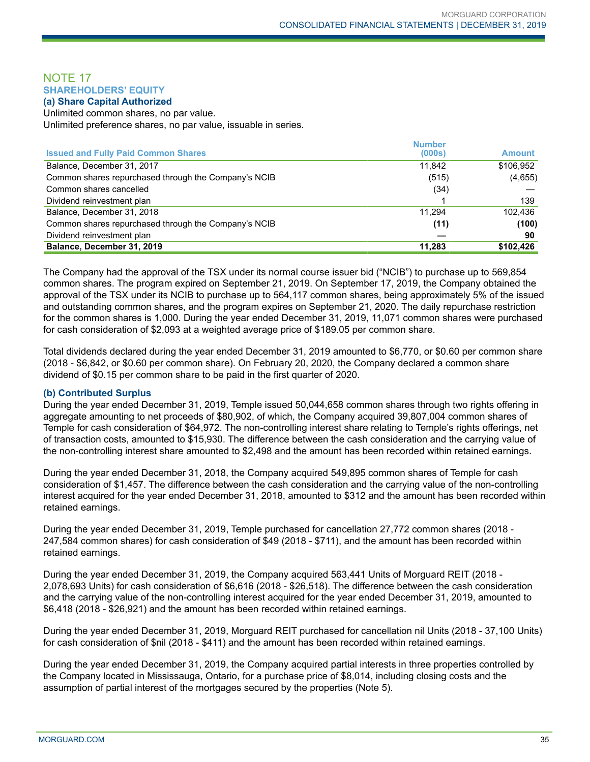## NOTE 17 **SHAREHOLDERS' EQUITY**

#### **(a) Share Capital Authorized**

Unlimited common shares, no par value. Unlimited preference shares, no par value, issuable in series.

|                                                      | <b>Number</b> | <b>Amount</b> |
|------------------------------------------------------|---------------|---------------|
| <b>Issued and Fully Paid Common Shares</b>           | (000s)        |               |
| Balance, December 31, 2017                           | 11.842        | \$106,952     |
| Common shares repurchased through the Company's NCIB | (515)         | (4,655)       |
| Common shares cancelled                              | (34)          |               |
| Dividend reinvestment plan                           |               | 139           |
| Balance, December 31, 2018                           | 11.294        | 102.436       |
| Common shares repurchased through the Company's NCIB | (11)          | (100)         |
| Dividend reinvestment plan                           |               | 90            |
| Balance, December 31, 2019                           | 11,283        | \$102,426     |

The Company had the approval of the TSX under its normal course issuer bid ("NCIB") to purchase up to 569,854 common shares. The program expired on September 21, 2019. On September 17, 2019, the Company obtained the approval of the TSX under its NCIB to purchase up to 564,117 common shares, being approximately 5% of the issued and outstanding common shares, and the program expires on September 21, 2020. The daily repurchase restriction for the common shares is 1,000. During the year ended December 31, 2019, 11,071 common shares were purchased for cash consideration of \$2,093 at a weighted average price of \$189.05 per common share.

Total dividends declared during the year ended December 31, 2019 amounted to \$6,770, or \$0.60 per common share (2018 - \$6,842, or \$0.60 per common share). On February 20, 2020, the Company declared a common share dividend of \$0.15 per common share to be paid in the first quarter of 2020.

## **(b) Contributed Surplus**

During the year ended December 31, 2019, Temple issued 50,044,658 common shares through two rights offering in aggregate amounting to net proceeds of \$80,902, of which, the Company acquired 39,807,004 common shares of Temple for cash consideration of \$64,972. The non-controlling interest share relating to Temple's rights offerings, net of transaction costs, amounted to \$15,930. The difference between the cash consideration and the carrying value of the non-controlling interest share amounted to \$2,498 and the amount has been recorded within retained earnings.

During the year ended December 31, 2018, the Company acquired 549,895 common shares of Temple for cash consideration of \$1,457. The difference between the cash consideration and the carrying value of the non-controlling interest acquired for the year ended December 31, 2018, amounted to \$312 and the amount has been recorded within retained earnings.

During the year ended December 31, 2019, Temple purchased for cancellation 27,772 common shares (2018 - 247,584 common shares) for cash consideration of \$49 (2018 - \$711), and the amount has been recorded within retained earnings.

During the year ended December 31, 2019, the Company acquired 563,441 Units of Morguard REIT (2018 - 2,078,693 Units) for cash consideration of \$6,616 (2018 - \$26,518). The difference between the cash consideration and the carrying value of the non-controlling interest acquired for the year ended December 31, 2019, amounted to \$6,418 (2018 - \$26,921) and the amount has been recorded within retained earnings.

During the year ended December 31, 2019, Morguard REIT purchased for cancellation nil Units (2018 - 37,100 Units) for cash consideration of \$nil (2018 - \$411) and the amount has been recorded within retained earnings.

During the year ended December 31, 2019, the Company acquired partial interests in three properties controlled by the Company located in Mississauga, Ontario, for a purchase price of \$8,014, including closing costs and the assumption of partial interest of the mortgages secured by the properties (Note 5).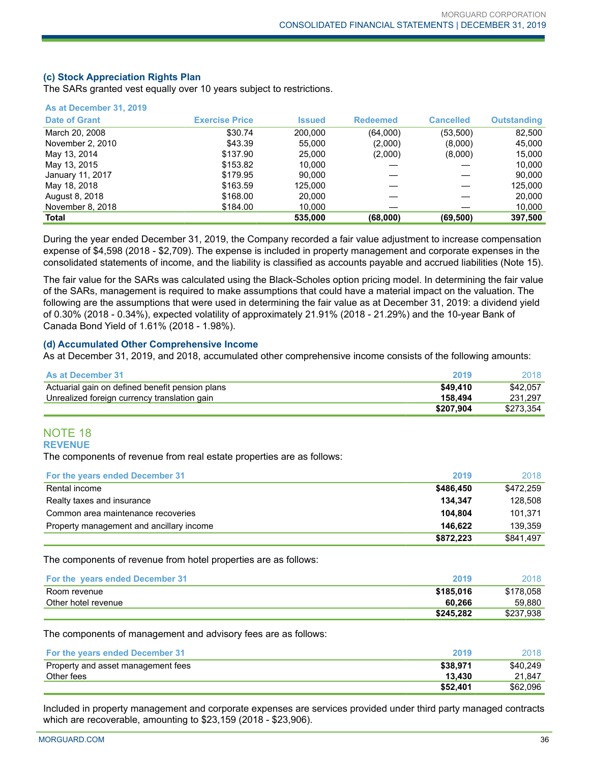## **(c) Stock Appreciation Rights Plan**

The SARs granted vest equally over 10 years subject to restrictions.

| As at December 31, 2019 |                       |               |                 |                  |                    |
|-------------------------|-----------------------|---------------|-----------------|------------------|--------------------|
| Date of Grant           | <b>Exercise Price</b> | <b>Issued</b> | <b>Redeemed</b> | <b>Cancelled</b> | <b>Outstanding</b> |
| March 20, 2008          | \$30.74               | 200,000       | (64,000)        | (53,500)         | 82,500             |
| November 2, 2010        | \$43.39               | 55,000        | (2,000)         | (8,000)          | 45,000             |
| May 13, 2014            | \$137.90              | 25,000        | (2,000)         | (8,000)          | 15.000             |
| May 13, 2015            | \$153.82              | 10.000        |                 |                  | 10.000             |
| January 11, 2017        | \$179.95              | 90.000        |                 |                  | 90.000             |
| May 18, 2018            | \$163.59              | 125.000       |                 |                  | 125,000            |
| August 8, 2018          | \$168.00              | 20,000        |                 |                  | 20,000             |
| November 8, 2018        | \$184.00              | 10,000        |                 |                  | 10,000             |
| Total                   |                       | 535,000       | (68,000)        | (69, 500)        | 397,500            |

During the year ended December 31, 2019, the Company recorded a fair value adjustment to increase compensation expense of \$4,598 (2018 - \$2,709). The expense is included in property management and corporate expenses in the consolidated statements of income, and the liability is classified as accounts payable and accrued liabilities (Note 15).

The fair value for the SARs was calculated using the Black-Scholes option pricing model. In determining the fair value of the SARs, management is required to make assumptions that could have a material impact on the valuation. The following are the assumptions that were used in determining the fair value as at December 31, 2019: a dividend yield of 0.30% (2018 - 0.34%), expected volatility of approximately 21.91% (2018 - 21.29%) and the 10-year Bank of Canada Bond Yield of 1.61% (2018 - 1.98%).

## **(d) Accumulated Other Comprehensive Income**

As at December 31, 2019, and 2018, accumulated other comprehensive income consists of the following amounts:

| <b>As at December 31</b>                        | 2019      | 2018      |
|-------------------------------------------------|-----------|-----------|
| Actuarial gain on defined benefit pension plans | \$49,410  | \$42.057  |
| Unrealized foreign currency translation gain    | 158.494   | 231.297   |
|                                                 | \$207.904 | \$273.354 |

#### NOTE 18 **REVENUE**

The components of revenue from real estate properties are as follows:

| <b>For the years ended December 31</b>   | 2019      | 2018      |
|------------------------------------------|-----------|-----------|
| Rental income                            | \$486,450 | \$472.259 |
| Realty taxes and insurance               | 134.347   | 128.508   |
| Common area maintenance recoveries       | 104.804   | 101.371   |
| Property management and ancillary income | 146.622   | 139.359   |
|                                          | \$872.223 | \$841.497 |

The components of revenue from hotel properties are as follows:

| <b>For the years ended December 31</b> | 2019      | 2018      |
|----------------------------------------|-----------|-----------|
| Room revenue                           | \$185,016 | \$178.058 |
| Other hotel revenue                    | 60.266    | 59.880    |
|                                        | \$245.282 | \$237,938 |

The components of management and advisory fees are as follows:

| <b>For the years ended December 31</b> | 2019     | 2018     |
|----------------------------------------|----------|----------|
| Property and asset management fees     | \$38.971 | \$40.249 |
| Other fees                             | 13.430   | 21.847   |
|                                        | \$52,401 | \$62,096 |

Included in property management and corporate expenses are services provided under third party managed contracts which are recoverable, amounting to \$23,159 (2018 - \$23,906).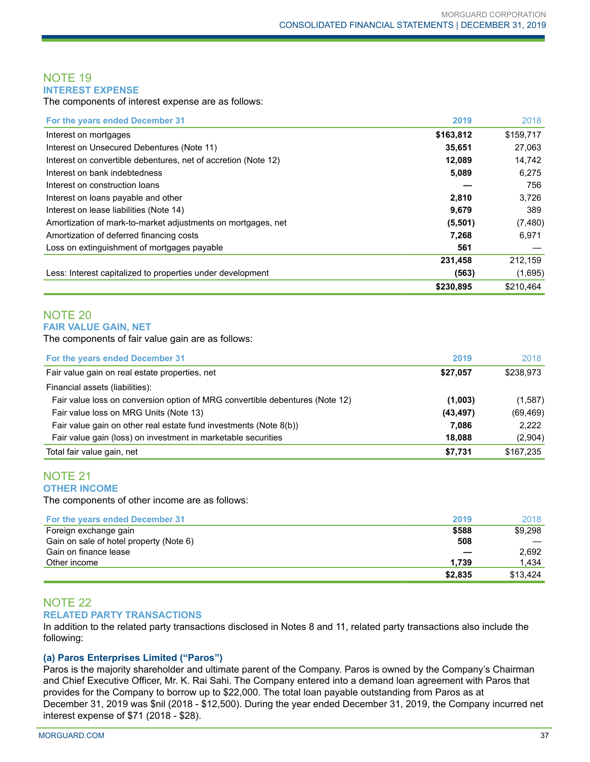## NOTE 19 **INTEREST EXPENSE**

The components of interest expense are as follows:

| For the years ended December 31                                | 2019      | 2018      |
|----------------------------------------------------------------|-----------|-----------|
| Interest on mortgages                                          | \$163,812 | \$159,717 |
| Interest on Unsecured Debentures (Note 11)                     | 35.651    | 27,063    |
| Interest on convertible debentures, net of accretion (Note 12) | 12,089    | 14,742    |
| Interest on bank indebtedness                                  | 5,089     | 6.275     |
| Interest on construction loans                                 |           | 756       |
| Interest on loans payable and other                            | 2.810     | 3.726     |
| Interest on lease liabilities (Note 14)                        | 9,679     | 389       |
| Amortization of mark-to-market adjustments on mortgages, net   | (5,501)   | (7,480)   |
| Amortization of deferred financing costs                       | 7,268     | 6.971     |
| Loss on extinguishment of mortgages payable                    | 561       |           |
|                                                                | 231,458   | 212,159   |
| Less: Interest capitalized to properties under development     | (563)     | (1,695)   |
|                                                                | \$230,895 | \$210.464 |

# NOTE 20 **FAIR VALUE GAIN, NET**

The components of fair value gain are as follows:

| For the years ended December 31                                              | 2019      | 2018      |
|------------------------------------------------------------------------------|-----------|-----------|
| Fair value gain on real estate properties, net                               | \$27,057  | \$238,973 |
| Financial assets (liabilities):                                              |           |           |
| Fair value loss on conversion option of MRG convertible debentures (Note 12) | (1,003)   | (1,587)   |
| Fair value loss on MRG Units (Note 13)                                       | (43, 497) | (69, 469) |
| Fair value gain on other real estate fund investments (Note 8(b))            | 7.086     | 2.222     |
| Fair value gain (loss) on investment in marketable securities                | 18.088    | (2,904)   |
| Total fair value gain, net                                                   | \$7,731   | \$167.235 |

## NOTE 21 **OTHER INCOME**

The components of other income are as follows:

| <b>For the years ended December 31</b>  | 2019    | 2018     |
|-----------------------------------------|---------|----------|
| Foreign exchange gain                   | \$588   | \$9.298  |
| Gain on sale of hotel property (Note 6) | 508     |          |
| Gain on finance lease                   |         | 2.692    |
| Other income                            | 1.739   | 1.434    |
|                                         | \$2,835 | \$13.424 |

## NOTE 22 **RELATED PARTY TRANSACTIONS**

In addition to the related party transactions disclosed in Notes 8 and 11, related party transactions also include the following:

## **(a) Paros Enterprises Limited ("Paros")**

Paros is the majority shareholder and ultimate parent of the Company. Paros is owned by the Company's Chairman and Chief Executive Officer, Mr. K. Rai Sahi. The Company entered into a demand loan agreement with Paros that provides for the Company to borrow up to \$22,000. The total loan payable outstanding from Paros as at December 31, 2019 was \$nil (2018 - \$12,500). During the year ended December 31, 2019, the Company incurred net interest expense of \$71 (2018 - \$28).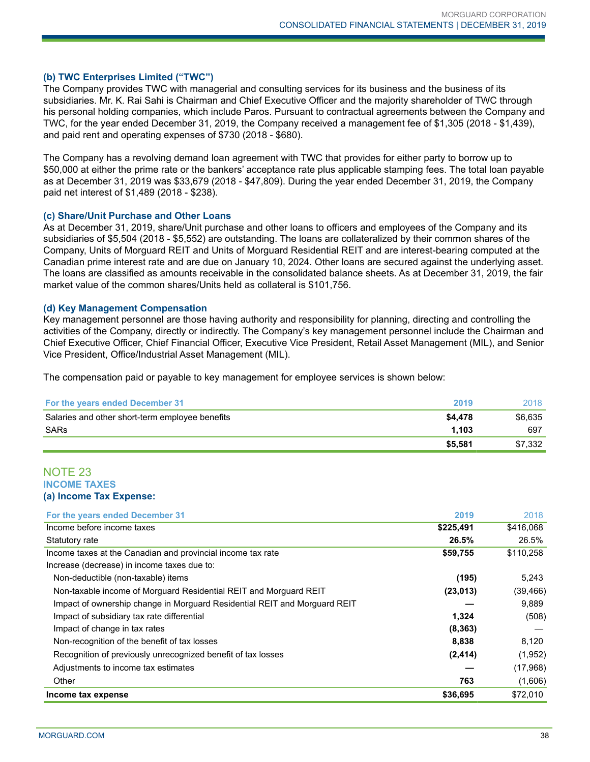## **(b) TWC Enterprises Limited ("TWC")**

The Company provides TWC with managerial and consulting services for its business and the business of its subsidiaries. Mr. K. Rai Sahi is Chairman and Chief Executive Officer and the majority shareholder of TWC through his personal holding companies, which include Paros. Pursuant to contractual agreements between the Company and TWC, for the year ended December 31, 2019, the Company received a management fee of \$1,305 (2018 - \$1,439), and paid rent and operating expenses of \$730 (2018 - \$680).

The Company has a revolving demand loan agreement with TWC that provides for either party to borrow up to \$50,000 at either the prime rate or the bankers' acceptance rate plus applicable stamping fees. The total loan payable as at December 31, 2019 was \$33,679 (2018 - \$47,809). During the year ended December 31, 2019, the Company paid net interest of \$1,489 (2018 - \$238).

## **(c) Share/Unit Purchase and Other Loans**

As at December 31, 2019, share/Unit purchase and other loans to officers and employees of the Company and its subsidiaries of \$5,504 (2018 - \$5,552) are outstanding. The loans are collateralized by their common shares of the Company, Units of Morguard REIT and Units of Morguard Residential REIT and are interest-bearing computed at the Canadian prime interest rate and are due on January 10, 2024. Other loans are secured against the underlying asset. The loans are classified as amounts receivable in the consolidated balance sheets. As at December 31, 2019, the fair market value of the common shares/Units held as collateral is \$101,756.

## **(d) Key Management Compensation**

Key management personnel are those having authority and responsibility for planning, directing and controlling the activities of the Company, directly or indirectly. The Company's key management personnel include the Chairman and Chief Executive Officer, Chief Financial Officer, Executive Vice President, Retail Asset Management (MIL), and Senior Vice President, Office/Industrial Asset Management (MIL).

The compensation paid or payable to key management for employee services is shown below:

| For the years ended December 31                 | 2019    | 2018    |
|-------------------------------------------------|---------|---------|
| Salaries and other short-term employee benefits | \$4.478 | \$6,635 |
| SARs                                            | 1.103   | 697     |
|                                                 | \$5.581 | \$7,332 |

## NOTE 23 **INCOME TAXES (a) Income Tax Expense:**

| For the years ended December 31                                           | 2019      | 2018      |
|---------------------------------------------------------------------------|-----------|-----------|
| Income before income taxes                                                | \$225,491 | \$416,068 |
| Statutory rate                                                            | 26.5%     | 26.5%     |
| Income taxes at the Canadian and provincial income tax rate               | \$59,755  | \$110,258 |
| Increase (decrease) in income taxes due to:                               |           |           |
| Non-deductible (non-taxable) items                                        | (195)     | 5,243     |
| Non-taxable income of Morguard Residential REIT and Morguard REIT         | (23, 013) | (39, 466) |
| Impact of ownership change in Morguard Residential REIT and Morguard REIT |           | 9,889     |
| Impact of subsidiary tax rate differential                                | 1,324     | (508)     |
| Impact of change in tax rates                                             | (8, 363)  |           |
| Non-recognition of the benefit of tax losses                              | 8,838     | 8,120     |
| Recognition of previously unrecognized benefit of tax losses              | (2, 414)  | (1,952)   |
| Adjustments to income tax estimates                                       |           | (17,968)  |
| Other                                                                     | 763       | (1,606)   |
| Income tax expense                                                        | \$36,695  | \$72.010  |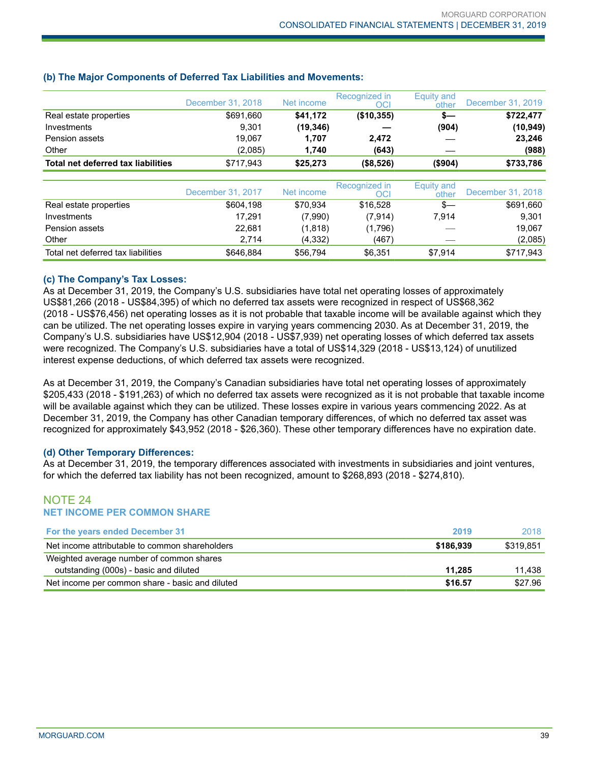|                                    | December 31, 2018 | Net income | Recognized in<br>OCI | Equity and<br>other | December 31, 2019 |
|------------------------------------|-------------------|------------|----------------------|---------------------|-------------------|
| Real estate properties             | \$691,660         | \$41.172   | (\$10,355)           | s—                  | \$722,477         |
| Investments                        | 9.301             | (19, 346)  |                      | (904)               | (10, 949)         |
| Pension assets                     | 19.067            | 1.707      | 2.472                |                     | 23,246            |
| Other                              | (2,085)           | 1.740      | (643)                |                     | (988)             |
| Total net deferred tax liabilities | \$717,943         | \$25,273   | (\$8,526)            | (\$904)             | \$733,786         |

## **(b) The Major Components of Deferred Tax Liabilities and Movements:**

|                                    | December 31, 2017 | Net income | Recognized in<br><b>OCI</b> | Equity and<br>other | December 31, 2018 |
|------------------------------------|-------------------|------------|-----------------------------|---------------------|-------------------|
| Real estate properties             | \$604,198         | \$70.934   | \$16,528                    | s—                  | \$691,660         |
| Investments                        | 17.291            | (7,990)    | (7,914)                     | 7.914               | 9.301             |
| Pension assets                     | 22.681            | (1,818)    | (1,796)                     |                     | 19.067            |
| Other                              | 2.714             | (4,332)    | (467)                       |                     | (2,085)           |
| Total net deferred tax liabilities | \$646.884         | \$56,794   | \$6,351                     | \$7.914             | \$717,943         |

## **(c) The Company's Tax Losses:**

As at December 31, 2019, the Company's U.S. subsidiaries have total net operating losses of approximately US\$81,266 (2018 - US\$84,395) of which no deferred tax assets were recognized in respect of US\$68,362 (2018 - US\$76,456) net operating losses as it is not probable that taxable income will be available against which they can be utilized. The net operating losses expire in varying years commencing 2030. As at December 31, 2019, the Company's U.S. subsidiaries have US\$12,904 (2018 - US\$7,939) net operating losses of which deferred tax assets were recognized. The Company's U.S. subsidiaries have a total of US\$14,329 (2018 - US\$13,124) of unutilized interest expense deductions, of which deferred tax assets were recognized.

As at December 31, 2019, the Company's Canadian subsidiaries have total net operating losses of approximately \$205,433 (2018 - \$191,263) of which no deferred tax assets were recognized as it is not probable that taxable income will be available against which they can be utilized. These losses expire in various years commencing 2022. As at December 31, 2019, the Company has other Canadian temporary differences, of which no deferred tax asset was recognized for approximately \$43,952 (2018 - \$26,360). These other temporary differences have no expiration date.

## **(d) Other Temporary Differences:**

As at December 31, 2019, the temporary differences associated with investments in subsidiaries and joint ventures, for which the deferred tax liability has not been recognized, amount to \$268,893 (2018 - \$274,810).

## NOTE 24 **NET INCOME PER COMMON SHARE**

| <b>For the years ended December 31</b>          | 2019      | 2018      |
|-------------------------------------------------|-----------|-----------|
| Net income attributable to common shareholders  | \$186,939 | \$319.851 |
| Weighted average number of common shares        |           |           |
| outstanding (000s) - basic and diluted          | 11.285    | 11.438    |
| Net income per common share - basic and diluted | \$16.57   | \$27.96   |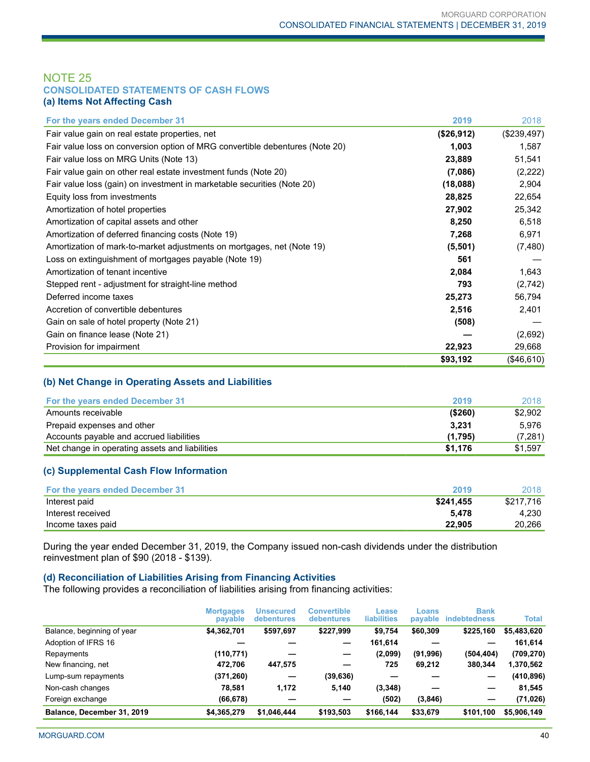## NOTE 25 **CONSOLIDATED STATEMENTS OF CASH FLOWS (a) Items Not Affecting Cash**

| For the years ended December 31                                              | 2019       | 2018        |
|------------------------------------------------------------------------------|------------|-------------|
| Fair value gain on real estate properties, net                               | (\$26,912) | (\$239,497) |
| Fair value loss on conversion option of MRG convertible debentures (Note 20) | 1,003      | 1,587       |
| Fair value loss on MRG Units (Note 13)                                       | 23,889     | 51,541      |
| Fair value gain on other real estate investment funds (Note 20)              | (7,086)    | (2,222)     |
| Fair value loss (gain) on investment in marketable securities (Note 20)      | (18,088)   | 2,904       |
| Equity loss from investments                                                 | 28,825     | 22,654      |
| Amortization of hotel properties                                             | 27,902     | 25,342      |
| Amortization of capital assets and other                                     | 8,250      | 6,518       |
| Amortization of deferred financing costs (Note 19)                           | 7,268      | 6,971       |
| Amortization of mark-to-market adjustments on mortgages, net (Note 19)       | (5,501)    | (7,480)     |
| Loss on extinguishment of mortgages payable (Note 19)                        | 561        |             |
| Amortization of tenant incentive                                             | 2,084      | 1,643       |
| Stepped rent - adjustment for straight-line method                           | 793        | (2,742)     |
| Deferred income taxes                                                        | 25,273     | 56,794      |
| Accretion of convertible debentures                                          | 2,516      | 2,401       |
| Gain on sale of hotel property (Note 21)                                     | (508)      |             |
| Gain on finance lease (Note 21)                                              |            | (2,692)     |
| Provision for impairment                                                     | 22,923     | 29,668      |
|                                                                              | \$93,192   | (\$46,610)  |

## **(b) Net Change in Operating Assets and Liabilities**

| For the years ended December 31                | 2019     | 2018    |
|------------------------------------------------|----------|---------|
| Amounts receivable                             | ( \$260) | \$2.902 |
| Prepaid expenses and other                     | 3.231    | 5.976   |
| Accounts payable and accrued liabilities       | (1.795)  | (7,281) |
| Net change in operating assets and liabilities | \$1.176  | \$1.597 |

## **(c) Supplemental Cash Flow Information**

| For the years ended December 31 | 2019      | 2018      |
|---------------------------------|-----------|-----------|
| Interest paid                   | \$241.455 | \$217.716 |
| Interest received               | 5.478     | 4,230     |
| Income taxes paid               | 22.905    | 20.266    |

During the year ended December 31, 2019, the Company issued non-cash dividends under the distribution reinvestment plan of \$90 (2018 - \$139).

## **(d) Reconciliation of Liabilities Arising from Financing Activities**

The following provides a reconciliation of liabilities arising from financing activities:

|                            | <b>Mortgages</b><br>payable | <b>Unsecured</b><br><b>debentures</b> | <b>Convertible</b><br>debentures | Lease<br><b>liabilities</b> | Loans<br>payable | <b>Bank</b><br><b>indebtedness</b> | Total       |
|----------------------------|-----------------------------|---------------------------------------|----------------------------------|-----------------------------|------------------|------------------------------------|-------------|
| Balance, beginning of year | \$4,362,701                 | \$597,697                             | \$227,999                        | \$9,754                     | \$60,309         | \$225,160                          | \$5,483,620 |
| Adoption of IFRS 16        |                             |                                       |                                  | 161,614                     |                  |                                    | 161,614     |
| Repayments                 | (110, 771)                  |                                       |                                  | (2,099)                     | (91, 996)        | (504, 404)                         | (709, 270)  |
| New financing, net         | 472,706                     | 447,575                               |                                  | 725                         | 69,212           | 380,344                            | 1,370,562   |
| Lump-sum repayments        | (371,260)                   |                                       | (39, 636)                        |                             |                  |                                    | (410, 896)  |
| Non-cash changes           | 78,581                      | 1.172                                 | 5.140                            | (3,348)                     |                  |                                    | 81.545      |
| Foreign exchange           | (66, 678)                   |                                       |                                  | (502)                       | (3,846)          |                                    | (71, 026)   |
| Balance, December 31, 2019 | \$4,365,279                 | \$1,046,444                           | \$193,503                        | \$166,144                   | \$33,679         | \$101,100                          | \$5,906,149 |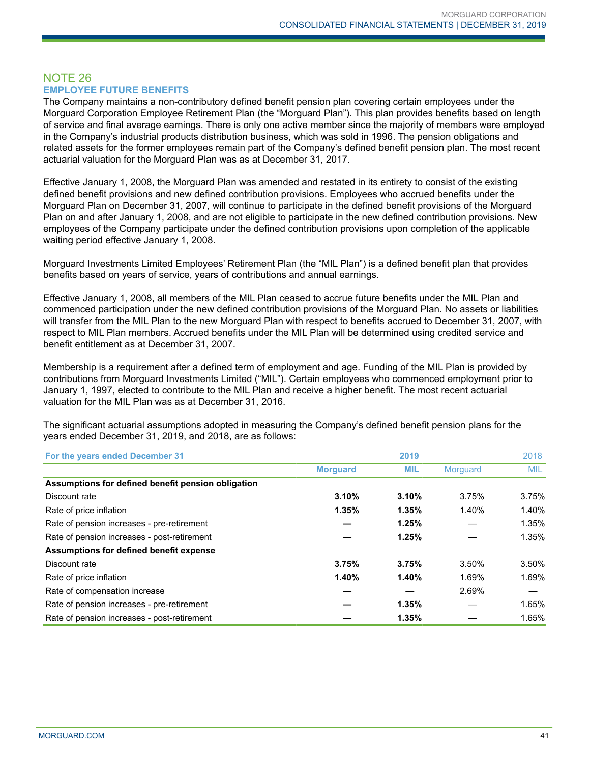## NOTE 26 **EMPLOYEE FUTURE BENEFITS**

The Company maintains a non-contributory defined benefit pension plan covering certain employees under the Morguard Corporation Employee Retirement Plan (the "Morguard Plan"). This plan provides benefits based on length of service and final average earnings. There is only one active member since the majority of members were employed in the Company's industrial products distribution business, which was sold in 1996. The pension obligations and related assets for the former employees remain part of the Company's defined benefit pension plan. The most recent actuarial valuation for the Morguard Plan was as at December 31, 2017.

Effective January 1, 2008, the Morguard Plan was amended and restated in its entirety to consist of the existing defined benefit provisions and new defined contribution provisions. Employees who accrued benefits under the Morguard Plan on December 31, 2007, will continue to participate in the defined benefit provisions of the Morguard Plan on and after January 1, 2008, and are not eligible to participate in the new defined contribution provisions. New employees of the Company participate under the defined contribution provisions upon completion of the applicable waiting period effective January 1, 2008.

Morguard Investments Limited Employees' Retirement Plan (the "MIL Plan") is a defined benefit plan that provides benefits based on years of service, years of contributions and annual earnings.

Effective January 1, 2008, all members of the MIL Plan ceased to accrue future benefits under the MIL Plan and commenced participation under the new defined contribution provisions of the Morguard Plan. No assets or liabilities will transfer from the MIL Plan to the new Morguard Plan with respect to benefits accrued to December 31, 2007, with respect to MIL Plan members. Accrued benefits under the MIL Plan will be determined using credited service and benefit entitlement as at December 31, 2007.

Membership is a requirement after a defined term of employment and age. Funding of the MIL Plan is provided by contributions from Morguard Investments Limited ("MIL"). Certain employees who commenced employment prior to January 1, 1997, elected to contribute to the MIL Plan and receive a higher benefit. The most recent actuarial valuation for the MIL Plan was as at December 31, 2016.

The significant actuarial assumptions adopted in measuring the Company's defined benefit pension plans for the years ended December 31, 2019, and 2018, are as follows:

| For the years ended December 31                    |                 | 2019       |                 | 2018       |
|----------------------------------------------------|-----------------|------------|-----------------|------------|
|                                                    | <b>Morguard</b> | <b>MIL</b> | <b>Morguard</b> | <b>MIL</b> |
| Assumptions for defined benefit pension obligation |                 |            |                 |            |
| Discount rate                                      | 3.10%           | 3.10%      | 3.75%           | 3.75%      |
| Rate of price inflation                            | 1.35%           | 1.35%      | 1.40%           | 1.40%      |
| Rate of pension increases - pre-retirement         |                 | 1.25%      |                 | 1.35%      |
| Rate of pension increases - post-retirement        |                 | 1.25%      |                 | 1.35%      |
| Assumptions for defined benefit expense            |                 |            |                 |            |
| Discount rate                                      | 3.75%           | 3.75%      | 3.50%           | 3.50%      |
| Rate of price inflation                            | 1.40%           | 1.40%      | 1.69%           | 1.69%      |
| Rate of compensation increase                      |                 |            | 2.69%           |            |
| Rate of pension increases - pre-retirement         |                 | 1.35%      |                 | 1.65%      |
| Rate of pension increases - post-retirement        |                 | 1.35%      |                 | 1.65%      |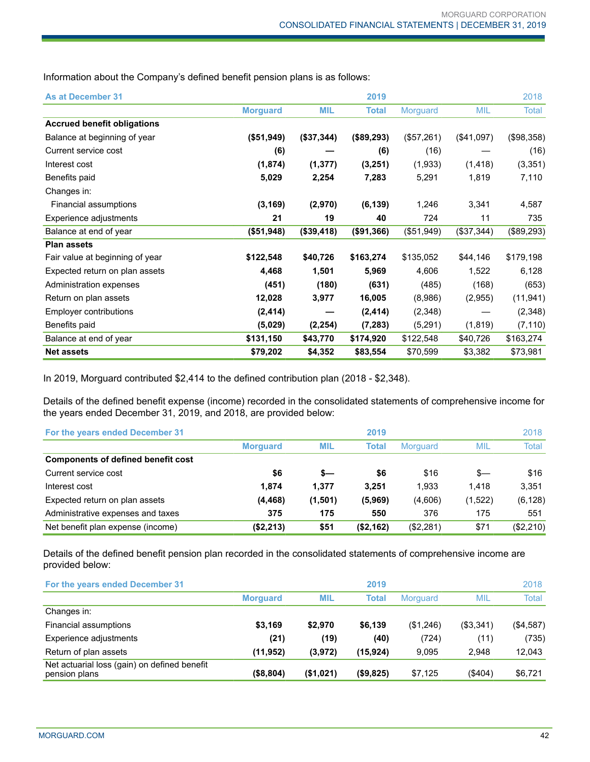Information about the Company's defined benefit pension plans is as follows:

| <b>As at December 31</b>           |                 |            | 2019         |            |            | 2018       |
|------------------------------------|-----------------|------------|--------------|------------|------------|------------|
|                                    | <b>Morguard</b> | <b>MIL</b> | <b>Total</b> | Morguard   | <b>MIL</b> | Total      |
| <b>Accrued benefit obligations</b> |                 |            |              |            |            |            |
| Balance at beginning of year       | (\$51,949)      | (\$37,344) | (\$89,293)   | (\$57,261) | (\$41,097) | (\$98,358) |
| Current service cost               | (6)             |            | (6)          | (16)       |            | (16)       |
| Interest cost                      | (1, 874)        | (1, 377)   | (3,251)      | (1,933)    | (1, 418)   | (3, 351)   |
| Benefits paid                      | 5,029           | 2,254      | 7,283        | 5,291      | 1,819      | 7,110      |
| Changes in:                        |                 |            |              |            |            |            |
| Financial assumptions              | (3, 169)        | (2,970)    | (6, 139)     | 1,246      | 3,341      | 4,587      |
| Experience adjustments             | 21              | 19         | 40           | 724        | 11         | 735        |
| Balance at end of year             | (\$51,948)      | (\$39,418) | (\$91,366)   | (\$51,949) | (\$37,344) | (\$89,293) |
| <b>Plan assets</b>                 |                 |            |              |            |            |            |
| Fair value at beginning of year    | \$122,548       | \$40,726   | \$163,274    | \$135,052  | \$44,146   | \$179,198  |
| Expected return on plan assets     | 4,468           | 1,501      | 5,969        | 4,606      | 1,522      | 6,128      |
| Administration expenses            | (451)           | (180)      | (631)        | (485)      | (168)      | (653)      |
| Return on plan assets              | 12,028          | 3,977      | 16,005       | (8,986)    | (2,955)    | (11, 941)  |
| Employer contributions             | (2, 414)        |            | (2, 414)     | (2,348)    |            | (2,348)    |
| Benefits paid                      | (5,029)         | (2, 254)   | (7, 283)     | (5,291)    | (1, 819)   | (7, 110)   |
| Balance at end of year             | \$131,150       | \$43,770   | \$174,920    | \$122,548  | \$40,726   | \$163,274  |
| <b>Net assets</b>                  | \$79,202        | \$4,352    | \$83,554     | \$70,599   | \$3,382    | \$73,981   |

In 2019, Morguard contributed \$2,414 to the defined contribution plan (2018 - \$2,348).

Details of the defined benefit expense (income) recorded in the consolidated statements of comprehensive income for the years ended December 31, 2019, and 2018, are provided below:

| For the years ended December 31           |                 |            | 2019      |           |            | 2018         |
|-------------------------------------------|-----------------|------------|-----------|-----------|------------|--------------|
|                                           | <b>Morguard</b> | <b>MIL</b> | Total     | Morguard  | <b>MIL</b> | <b>Total</b> |
| <b>Components of defined benefit cost</b> |                 |            |           |           |            |              |
| Current service cost                      | \$6             | s—         | \$6       | \$16      | $s-$       | \$16         |
| Interest cost                             | 1.874           | 1.377      | 3.251     | 1,933     | 1.418      | 3,351        |
| Expected return on plan assets            | (4, 468)        | (1,501)    | (5,969)   | (4,606)   | (1,522)    | (6, 128)     |
| Administrative expenses and taxes         | 375             | 175        | 550       | 376       | 175        | 551          |
| Net benefit plan expense (income)         | (\$2,213)       | \$51       | (\$2,162) | (\$2,281) | \$71       | (\$2,210)    |

Details of the defined benefit pension plan recorded in the consolidated statements of comprehensive income are provided below:

| For the years ended December 31                               |                 |            | 2019      |           |            | 2018         |
|---------------------------------------------------------------|-----------------|------------|-----------|-----------|------------|--------------|
|                                                               | <b>Morguard</b> | MIL        | Total     | Morguard  | MIL        | <b>Total</b> |
| Changes in:                                                   |                 |            |           |           |            |              |
| Financial assumptions                                         | \$3,169         | \$2,970    | \$6,139   | (\$1,246) | (\$3,341)  | (\$4,587)    |
| Experience adjustments                                        | (21)            | (19)       | (40)      | (724)     | (11)       | (735)        |
| Return of plan assets                                         | (11, 952)       | (3.972)    | (15, 924) | 9.095     | 2.948      | 12,043       |
| Net actuarial loss (gain) on defined benefit<br>pension plans | (\$8,804)       | ( \$1,021) | (\$9,825) | \$7,125   | $($ \$404) | \$6,721      |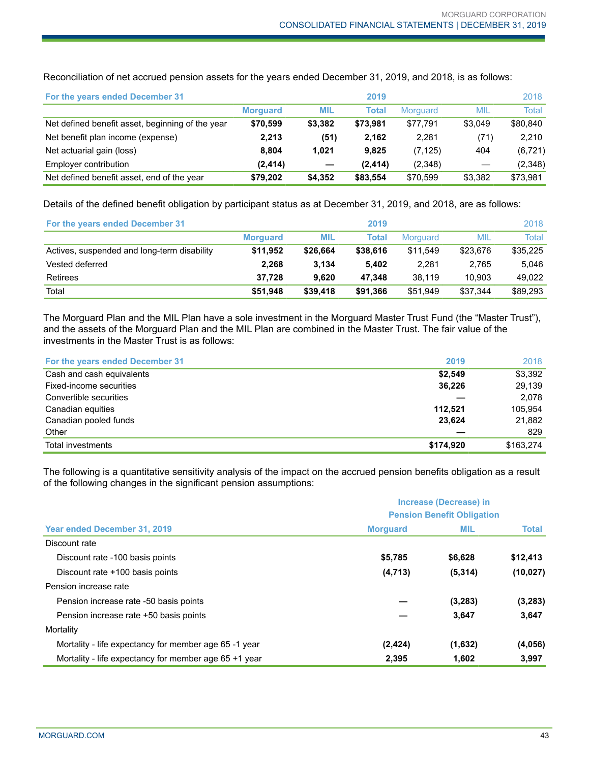| For the years ended December 31                  |                 |         | 2019     |                 |         | 2018     |
|--------------------------------------------------|-----------------|---------|----------|-----------------|---------|----------|
|                                                  | <b>Morguard</b> | MIL     | Total    | <b>Morguard</b> | MIL     | Total    |
| Net defined benefit asset, beginning of the year | \$70.599        | \$3,382 | \$73.981 | \$77.791        | \$3.049 | \$80,840 |
| Net benefit plan income (expense)                | 2,213           | (51)    | 2.162    | 2,281           | (71)    | 2.210    |
| Net actuarial gain (loss)                        | 8.804           | 1.021   | 9.825    | (7, 125)        | 404     | (6, 721) |
| Employer contribution                            | (2, 414)        |         | (2, 414) | (2,348)         |         | (2,348)  |
| Net defined benefit asset, end of the year       | \$79,202        | \$4,352 | \$83,554 | \$70.599        | \$3,382 | \$73,981 |

Reconciliation of net accrued pension assets for the years ended December 31, 2019, and 2018, is as follows:

Details of the defined benefit obligation by participant status as at December 31, 2019, and 2018, are as follows:

| For the years ended December 31             |                 |            | 2019     |          |          | 2018     |
|---------------------------------------------|-----------------|------------|----------|----------|----------|----------|
|                                             | <b>Morguard</b> | <b>MIL</b> | Total    | Morguard | MIL      | Total    |
| Actives, suspended and long-term disability | \$11.952        | \$26,664   | \$38,616 | \$11.549 | \$23,676 | \$35,225 |
| Vested deferred                             | 2,268           | 3.134      | 5.402    | 2,281    | 2.765    | 5.046    |
| Retirees                                    | 37.728          | 9.620      | 47.348   | 38.119   | 10.903   | 49.022   |
| Total                                       | \$51,948        | \$39,418   | \$91.366 | \$51.949 | \$37,344 | \$89,293 |

The Morguard Plan and the MIL Plan have a sole investment in the Morguard Master Trust Fund (the "Master Trust"), and the assets of the Morguard Plan and the MIL Plan are combined in the Master Trust. The fair value of the investments in the Master Trust is as follows:

| For the years ended December 31 | 2019      | 2018      |
|---------------------------------|-----------|-----------|
| Cash and cash equivalents       | \$2,549   | \$3,392   |
| Fixed-income securities         | 36,226    | 29.139    |
| Convertible securities          |           | 2.078     |
| Canadian equities               | 112.521   | 105.954   |
| Canadian pooled funds           | 23,624    | 21,882    |
| Other                           |           | 829       |
| Total investments               | \$174,920 | \$163,274 |

The following is a quantitative sensitivity analysis of the impact on the accrued pension benefits obligation as a result of the following changes in the significant pension assumptions:

|                                                       | Increase (Decrease) in |                                   |              |  |
|-------------------------------------------------------|------------------------|-----------------------------------|--------------|--|
|                                                       |                        | <b>Pension Benefit Obligation</b> |              |  |
| Year ended December 31, 2019                          | <b>Morguard</b>        | <b>MIL</b>                        | <b>Total</b> |  |
| Discount rate                                         |                        |                                   |              |  |
| Discount rate -100 basis points                       | \$5,785                | \$6.628                           | \$12,413     |  |
| Discount rate +100 basis points                       | (4, 713)               | (5, 314)                          | (10, 027)    |  |
| Pension increase rate                                 |                        |                                   |              |  |
| Pension increase rate -50 basis points                |                        | (3,283)                           | (3, 283)     |  |
| Pension increase rate +50 basis points                |                        | 3,647                             | 3,647        |  |
| Mortality                                             |                        |                                   |              |  |
| Mortality - life expectancy for member age 65 -1 year | (2, 424)               | (1,632)                           | (4,056)      |  |
| Mortality - life expectancy for member age 65 +1 year | 2,395                  | 1,602                             | 3,997        |  |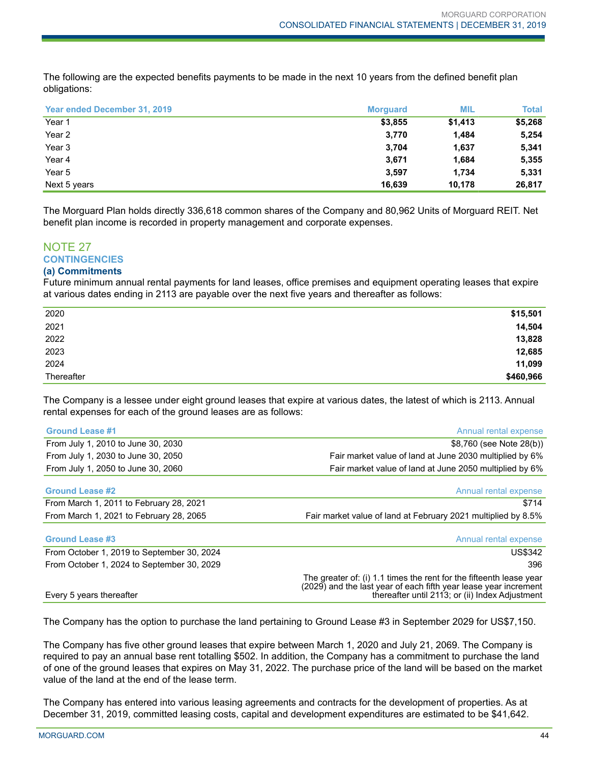The following are the expected benefits payments to be made in the next 10 years from the defined benefit plan obligations:

| Year ended December 31, 2019 | <b>Morguard</b> | MIL     | <b>Total</b> |
|------------------------------|-----------------|---------|--------------|
| Year 1                       | \$3,855         | \$1,413 | \$5,268      |
| Year 2                       | 3,770           | 1,484   | 5,254        |
| Year 3                       | 3,704           | 1,637   | 5,341        |
| Year 4                       | 3,671           | 1,684   | 5,355        |
| Year 5                       | 3,597           | 1,734   | 5,331        |
| Next 5 years                 | 16,639          | 10,178  | 26,817       |

The Morguard Plan holds directly 336,618 common shares of the Company and 80,962 Units of Morguard REIT. Net benefit plan income is recorded in property management and corporate expenses.

## NOTE 27

## **CONTINGENCIES**

## **(a) Commitments**

Future minimum annual rental payments for land leases, office premises and equipment operating leases that expire at various dates ending in 2113 are payable over the next five years and thereafter as follows:

| 2020       | \$15,501  |
|------------|-----------|
| 2021       | 14,504    |
| 2022       | 13,828    |
| 2023       | 12,685    |
| 2024       | 11,099    |
| Thereafter | \$460,966 |

The Company is a lessee under eight ground leases that expire at various dates, the latest of which is 2113. Annual rental expenses for each of the ground leases are as follows:

| <b>Ground Lease #1</b>                     | Annual rental expense                                                                                                                                                                      |
|--------------------------------------------|--------------------------------------------------------------------------------------------------------------------------------------------------------------------------------------------|
| From July 1, 2010 to June 30, 2030         | \$8,760 (see Note 28(b))                                                                                                                                                                   |
| From July 1, 2030 to June 30, 2050         | Fair market value of land at June 2030 multiplied by 6%                                                                                                                                    |
| From July 1, 2050 to June 30, 2060         | Fair market value of land at June 2050 multiplied by 6%                                                                                                                                    |
| <b>Ground Lease #2</b>                     | Annual rental expense                                                                                                                                                                      |
| From March 1, 2011 to February 28, 2021    | \$714                                                                                                                                                                                      |
| From March 1, 2021 to February 28, 2065    | Fair market value of land at February 2021 multiplied by 8.5%                                                                                                                              |
| <b>Ground Lease #3</b>                     | Annual rental expense                                                                                                                                                                      |
| From October 1, 2019 to September 30, 2024 | <b>US\$342</b>                                                                                                                                                                             |
| From October 1, 2024 to September 30, 2029 | 396                                                                                                                                                                                        |
| Every 5 years thereafter                   | The greater of: (i) 1.1 times the rent for the fifteenth lease year<br>(2029) and the last year of each fifth year lease year increment<br>thereafter until 2113; or (ii) Index Adjustment |

The Company has the option to purchase the land pertaining to Ground Lease #3 in September 2029 for US\$7,150.

The Company has five other ground leases that expire between March 1, 2020 and July 21, 2069. The Company is required to pay an annual base rent totalling \$502. In addition, the Company has a commitment to purchase the land of one of the ground leases that expires on May 31, 2022. The purchase price of the land will be based on the market value of the land at the end of the lease term.

The Company has entered into various leasing agreements and contracts for the development of properties. As at December 31, 2019, committed leasing costs, capital and development expenditures are estimated to be \$41,642.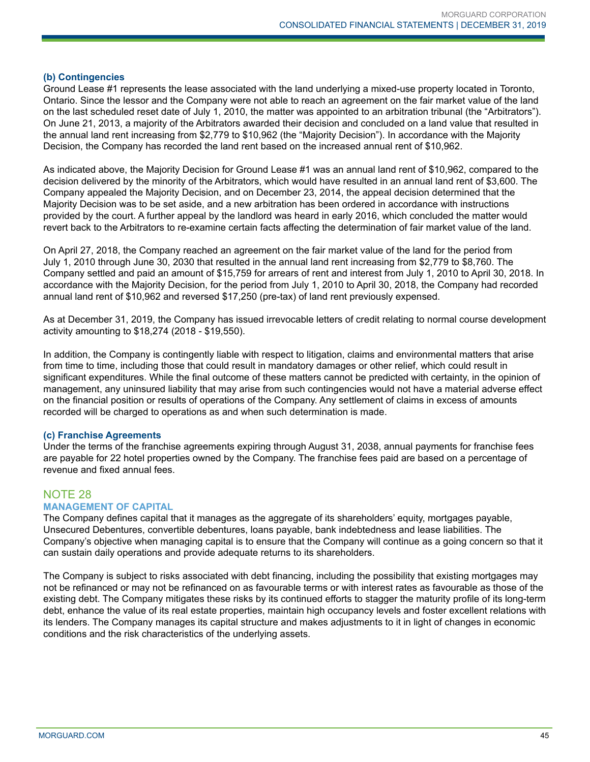## **(b) Contingencies**

Ground Lease #1 represents the lease associated with the land underlying a mixed-use property located in Toronto, Ontario. Since the lessor and the Company were not able to reach an agreement on the fair market value of the land on the last scheduled reset date of July 1, 2010, the matter was appointed to an arbitration tribunal (the "Arbitrators"). On June 21, 2013, a majority of the Arbitrators awarded their decision and concluded on a land value that resulted in the annual land rent increasing from \$2,779 to \$10,962 (the "Majority Decision"). In accordance with the Majority Decision, the Company has recorded the land rent based on the increased annual rent of \$10,962.

As indicated above, the Majority Decision for Ground Lease #1 was an annual land rent of \$10,962, compared to the decision delivered by the minority of the Arbitrators, which would have resulted in an annual land rent of \$3,600. The Company appealed the Majority Decision, and on December 23, 2014, the appeal decision determined that the Majority Decision was to be set aside, and a new arbitration has been ordered in accordance with instructions provided by the court. A further appeal by the landlord was heard in early 2016, which concluded the matter would revert back to the Arbitrators to re-examine certain facts affecting the determination of fair market value of the land.

On April 27, 2018, the Company reached an agreement on the fair market value of the land for the period from July 1, 2010 through June 30, 2030 that resulted in the annual land rent increasing from \$2,779 to \$8,760. The Company settled and paid an amount of \$15,759 for arrears of rent and interest from July 1, 2010 to April 30, 2018. In accordance with the Majority Decision, for the period from July 1, 2010 to April 30, 2018, the Company had recorded annual land rent of \$10,962 and reversed \$17,250 (pre-tax) of land rent previously expensed.

As at December 31, 2019, the Company has issued irrevocable letters of credit relating to normal course development activity amounting to \$18,274 (2018 - \$19,550).

In addition, the Company is contingently liable with respect to litigation, claims and environmental matters that arise from time to time, including those that could result in mandatory damages or other relief, which could result in significant expenditures. While the final outcome of these matters cannot be predicted with certainty, in the opinion of management, any uninsured liability that may arise from such contingencies would not have a material adverse effect on the financial position or results of operations of the Company. Any settlement of claims in excess of amounts recorded will be charged to operations as and when such determination is made.

## **(c) Franchise Agreements**

Under the terms of the franchise agreements expiring through August 31, 2038, annual payments for franchise fees are payable for 22 hotel properties owned by the Company. The franchise fees paid are based on a percentage of revenue and fixed annual fees.

## NOTE 28

## **MANAGEMENT OF CAPITAL**

The Company defines capital that it manages as the aggregate of its shareholders' equity, mortgages payable, Unsecured Debentures, convertible debentures, loans payable, bank indebtedness and lease liabilities. The Company's objective when managing capital is to ensure that the Company will continue as a going concern so that it can sustain daily operations and provide adequate returns to its shareholders.

The Company is subject to risks associated with debt financing, including the possibility that existing mortgages may not be refinanced or may not be refinanced on as favourable terms or with interest rates as favourable as those of the existing debt. The Company mitigates these risks by its continued efforts to stagger the maturity profile of its long-term debt, enhance the value of its real estate properties, maintain high occupancy levels and foster excellent relations with its lenders. The Company manages its capital structure and makes adjustments to it in light of changes in economic conditions and the risk characteristics of the underlying assets.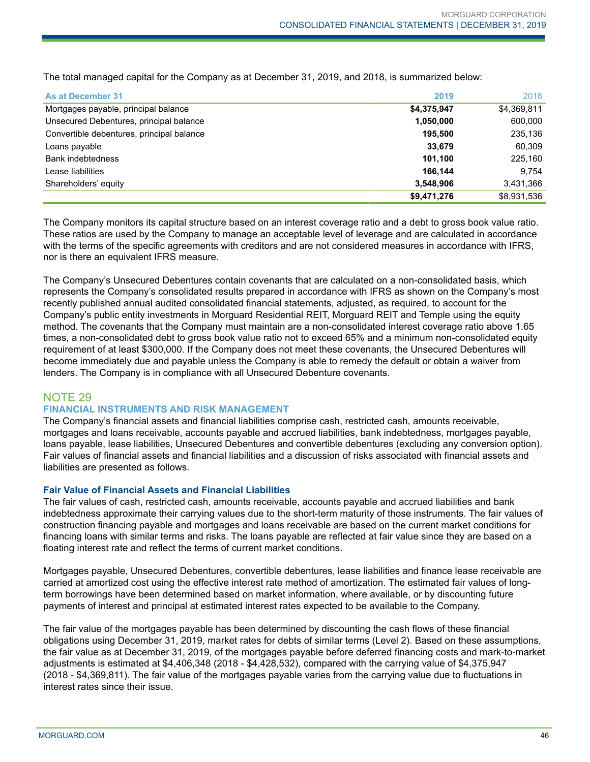The total managed capital for the Company as at December 31, 2019, and 2018, is summarized below:

| <b>As at December 31</b>                  | 2019        | 2018        |
|-------------------------------------------|-------------|-------------|
| Mortgages payable, principal balance      | \$4,375,947 | \$4,369,811 |
| Unsecured Debentures, principal balance   | 1,050,000   | 600,000     |
| Convertible debentures, principal balance | 195.500     | 235,136     |
| Loans payable                             | 33,679      | 60,309      |
| <b>Bank indebtedness</b>                  | 101,100     | 225,160     |
| Lease liabilities                         | 166.144     | 9.754       |
| Shareholders' equity                      | 3,548,906   | 3,431,366   |
|                                           | \$9,471,276 | \$8,931,536 |

The Company monitors its capital structure based on an interest coverage ratio and a debt to gross book value ratio. These ratios are used by the Company to manage an acceptable level of leverage and are calculated in accordance with the terms of the specific agreements with creditors and are not considered measures in accordance with IFRS, nor is there an equivalent IFRS measure.

The Company's Unsecured Debentures contain covenants that are calculated on a non-consolidated basis, which represents the Company's consolidated results prepared in accordance with IFRS as shown on the Company's most recently published annual audited consolidated financial statements, adjusted, as required, to account for the Company's public entity investments in Morguard Residential REIT, Morguard REIT and Temple using the equity method. The covenants that the Company must maintain are a non-consolidated interest coverage ratio above 1.65 times, a non-consolidated debt to gross book value ratio not to exceed 65% and a minimum non-consolidated equity requirement of at least \$300,000. If the Company does not meet these covenants, the Unsecured Debentures will become immediately due and payable unless the Company is able to remedy the default or obtain a waiver from lenders. The Company is in compliance with all Unsecured Debenture covenants.

## NOTE 29

## **FINANCIAL INSTRUMENTS AND RISK MANAGEMENT**

The Company's financial assets and financial liabilities comprise cash, restricted cash, amounts receivable, mortgages and loans receivable, accounts payable and accrued liabilities, bank indebtedness, mortgages payable, loans payable, lease liabilities, Unsecured Debentures and convertible debentures (excluding any conversion option). Fair values of financial assets and financial liabilities and a discussion of risks associated with financial assets and liabilities are presented as follows.

## **Fair Value of Financial Assets and Financial Liabilities**

The fair values of cash, restricted cash, amounts receivable, accounts payable and accrued liabilities and bank indebtedness approximate their carrying values due to the short-term maturity of those instruments. The fair values of construction financing payable and mortgages and loans receivable are based on the current market conditions for financing loans with similar terms and risks. The loans payable are reflected at fair value since they are based on a floating interest rate and reflect the terms of current market conditions.

Mortgages payable, Unsecured Debentures, convertible debentures, lease liabilities and finance lease receivable are carried at amortized cost using the effective interest rate method of amortization. The estimated fair values of longterm borrowings have been determined based on market information, where available, or by discounting future payments of interest and principal at estimated interest rates expected to be available to the Company.

The fair value of the mortgages payable has been determined by discounting the cash flows of these financial obligations using December 31, 2019, market rates for debts of similar terms (Level 2). Based on these assumptions, the fair value as at December 31, 2019, of the mortgages payable before deferred financing costs and mark-to-market adjustments is estimated at \$4,406,348 (2018 - \$4,428,532), compared with the carrying value of \$4,375,947 (2018 - \$4,369,811). The fair value of the mortgages payable varies from the carrying value due to fluctuations in interest rates since their issue.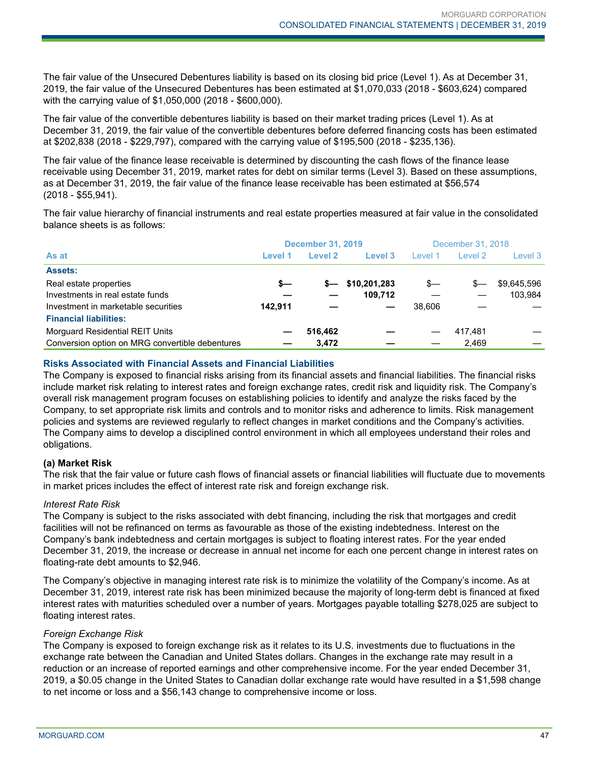The fair value of the Unsecured Debentures liability is based on its closing bid price (Level 1). As at December 31, 2019, the fair value of the Unsecured Debentures has been estimated at \$1,070,033 (2018 - \$603,624) compared with the carrying value of \$1,050,000 (2018 - \$600,000).

The fair value of the convertible debentures liability is based on their market trading prices (Level 1). As at December 31, 2019, the fair value of the convertible debentures before deferred financing costs has been estimated at \$202,838 (2018 - \$229,797), compared with the carrying value of \$195,500 (2018 - \$235,136).

The fair value of the finance lease receivable is determined by discounting the cash flows of the finance lease receivable using December 31, 2019, market rates for debt on similar terms (Level 3). Based on these assumptions, as at December 31, 2019, the fair value of the finance lease receivable has been estimated at \$56,574 (2018 - \$55,941).

The fair value hierarchy of financial instruments and real estate properties measured at fair value in the consolidated balance sheets is as follows:

|                                                 | <b>December 31, 2019</b> |         |              | December 31, 2018 |         |             |
|-------------------------------------------------|--------------------------|---------|--------------|-------------------|---------|-------------|
| As at                                           | Level 1                  | Level 2 | Level 3      | Level 1           | Level 2 | Level 3     |
| <b>Assets:</b>                                  |                          |         |              |                   |         |             |
| Real estate properties                          | s—                       | s—      | \$10,201,283 | $s-$              | s—      | \$9,645,596 |
| Investments in real estate funds                |                          |         | 109.712      |                   |         | 103.984     |
| Investment in marketable securities             | 142.911                  |         |              | 38.606            |         |             |
| <b>Financial liabilities:</b>                   |                          |         |              |                   |         |             |
| <b>Morguard Residential REIT Units</b>          |                          | 516,462 |              |                   | 417.481 |             |
| Conversion option on MRG convertible debentures |                          | 3.472   |              |                   | 2.469   |             |

## **Risks Associated with Financial Assets and Financial Liabilities**

The Company is exposed to financial risks arising from its financial assets and financial liabilities. The financial risks include market risk relating to interest rates and foreign exchange rates, credit risk and liquidity risk. The Company's overall risk management program focuses on establishing policies to identify and analyze the risks faced by the Company, to set appropriate risk limits and controls and to monitor risks and adherence to limits. Risk management policies and systems are reviewed regularly to reflect changes in market conditions and the Company's activities. The Company aims to develop a disciplined control environment in which all employees understand their roles and obligations.

## **(a) Market Risk**

The risk that the fair value or future cash flows of financial assets or financial liabilities will fluctuate due to movements in market prices includes the effect of interest rate risk and foreign exchange risk.

## *Interest Rate Risk*

The Company is subject to the risks associated with debt financing, including the risk that mortgages and credit facilities will not be refinanced on terms as favourable as those of the existing indebtedness. Interest on the Company's bank indebtedness and certain mortgages is subject to floating interest rates. For the year ended December 31, 2019, the increase or decrease in annual net income for each one percent change in interest rates on floating-rate debt amounts to \$2,946.

The Company's objective in managing interest rate risk is to minimize the volatility of the Company's income. As at December 31, 2019, interest rate risk has been minimized because the majority of long-term debt is financed at fixed interest rates with maturities scheduled over a number of years. Mortgages payable totalling \$278,025 are subject to floating interest rates.

## *Foreign Exchange Risk*

The Company is exposed to foreign exchange risk as it relates to its U.S. investments due to fluctuations in the exchange rate between the Canadian and United States dollars. Changes in the exchange rate may result in a reduction or an increase of reported earnings and other comprehensive income. For the year ended December 31, 2019, a \$0.05 change in the United States to Canadian dollar exchange rate would have resulted in a \$1,598 change to net income or loss and a \$56,143 change to comprehensive income or loss.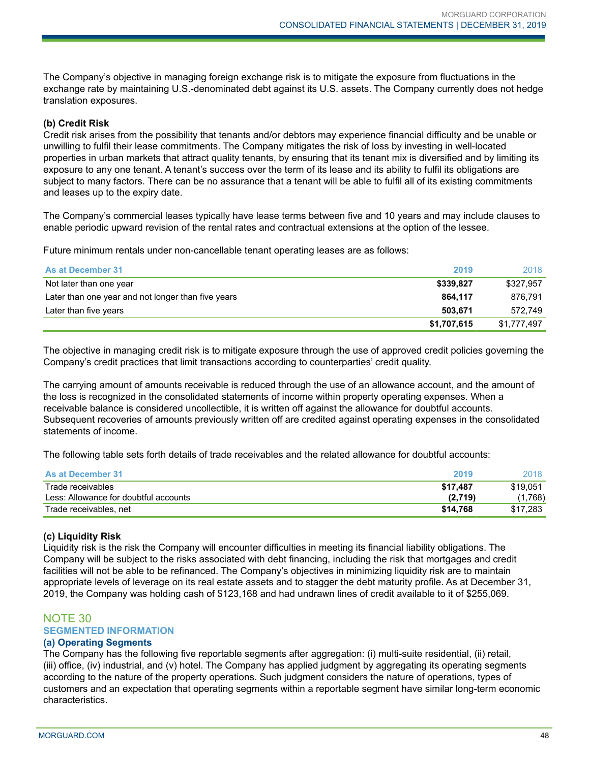The Company's objective in managing foreign exchange risk is to mitigate the exposure from fluctuations in the exchange rate by maintaining U.S.-denominated debt against its U.S. assets. The Company currently does not hedge translation exposures.

## **(b) Credit Risk**

Credit risk arises from the possibility that tenants and/or debtors may experience financial difficulty and be unable or unwilling to fulfil their lease commitments. The Company mitigates the risk of loss by investing in well-located properties in urban markets that attract quality tenants, by ensuring that its tenant mix is diversified and by limiting its exposure to any one tenant. A tenant's success over the term of its lease and its ability to fulfil its obligations are subject to many factors. There can be no assurance that a tenant will be able to fulfil all of its existing commitments and leases up to the expiry date.

The Company's commercial leases typically have lease terms between five and 10 years and may include clauses to enable periodic upward revision of the rental rates and contractual extensions at the option of the lessee.

Future minimum rentals under non-cancellable tenant operating leases are as follows:

| <b>As at December 31</b>                           | 2019        | 2018        |
|----------------------------------------------------|-------------|-------------|
| Not later than one year                            | \$339,827   | \$327,957   |
| Later than one year and not longer than five years | 864.117     | 876.791     |
| Later than five years                              | 503.671     | 572.749     |
|                                                    | \$1,707,615 | \$1,777,497 |

The objective in managing credit risk is to mitigate exposure through the use of approved credit policies governing the Company's credit practices that limit transactions according to counterparties' credit quality.

The carrying amount of amounts receivable is reduced through the use of an allowance account, and the amount of the loss is recognized in the consolidated statements of income within property operating expenses. When a receivable balance is considered uncollectible, it is written off against the allowance for doubtful accounts. Subsequent recoveries of amounts previously written off are credited against operating expenses in the consolidated statements of income.

The following table sets forth details of trade receivables and the related allowance for doubtful accounts:

| <b>As at December 31</b>              | 2019     | 2018     |
|---------------------------------------|----------|----------|
| Trade receivables                     | \$17.487 | \$19.051 |
| Less: Allowance for doubtful accounts | (2,719)  | (1,768)  |
| Trade receivables, net                | \$14.768 | \$17.283 |

## **(c) Liquidity Risk**

Liquidity risk is the risk the Company will encounter difficulties in meeting its financial liability obligations. The Company will be subject to the risks associated with debt financing, including the risk that mortgages and credit facilities will not be able to be refinanced. The Company's objectives in minimizing liquidity risk are to maintain appropriate levels of leverage on its real estate assets and to stagger the debt maturity profile. As at December 31, 2019, the Company was holding cash of \$123,168 and had undrawn lines of credit available to it of \$255,069.

# NOTE 30 **SEGMENTED INFORMATION**

## **(a) Operating Segments**

The Company has the following five reportable segments after aggregation: (i) multi-suite residential, (ii) retail, (iii) office, (iv) industrial, and (v) hotel. The Company has applied judgment by aggregating its operating segments according to the nature of the property operations. Such judgment considers the nature of operations, types of customers and an expectation that operating segments within a reportable segment have similar long-term economic characteristics.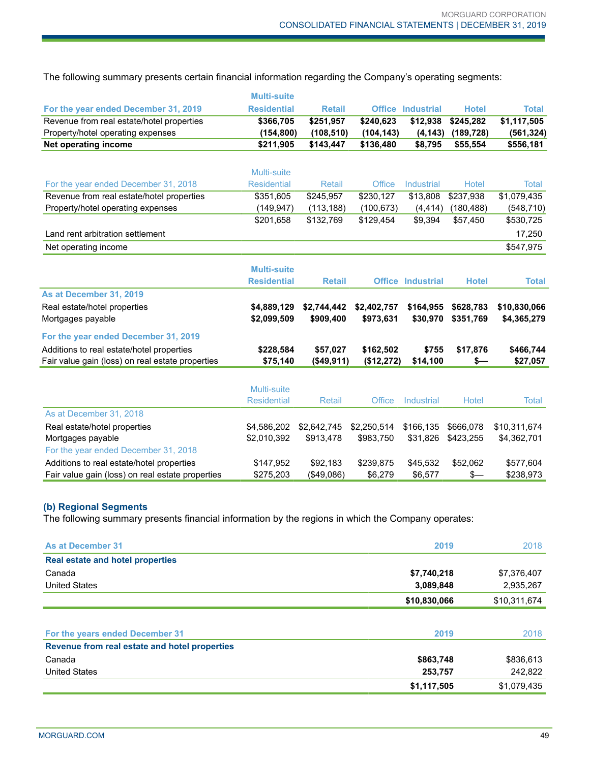The following summary presents certain financial information regarding the Company's operating segments:

|                                                  | <b>Multi-suite</b> |               |             |                          |              |              |
|--------------------------------------------------|--------------------|---------------|-------------|--------------------------|--------------|--------------|
| For the year ended December 31, 2019             | <b>Residential</b> | <b>Retail</b> |             | <b>Office Industrial</b> | <b>Hotel</b> | <b>Total</b> |
| Revenue from real estate/hotel properties        | \$366,705          | \$251,957     | \$240,623   | \$12,938                 | \$245,282    | \$1,117,505  |
| Property/hotel operating expenses                | (154, 800)         | (108, 510)    | (104, 143)  | (4, 143)                 | (189, 728)   | (561, 324)   |
| Net operating income                             | \$211,905          | \$143,447     | \$136,480   | \$8,795                  | \$55,554     | \$556,181    |
|                                                  |                    |               |             |                          |              |              |
|                                                  | Multi-suite        |               |             |                          |              |              |
| For the year ended December 31, 2018             | <b>Residential</b> | <b>Retail</b> | Office      | <b>Industrial</b>        | Hotel        | <b>Total</b> |
| Revenue from real estate/hotel properties        | \$351,605          | \$245,957     | \$230,127   | \$13,808                 | \$237,938    | \$1,079,435  |
| Property/hotel operating expenses                | (149, 947)         | (113, 188)    | (100, 673)  | (4, 414)                 | (180, 488)   | (548, 710)   |
|                                                  | \$201,658          | \$132,769     | \$129,454   | \$9,394                  | \$57,450     | \$530,725    |
| Land rent arbitration settlement                 |                    |               |             |                          |              | 17,250       |
| Net operating income                             |                    |               |             |                          |              | \$547,975    |
|                                                  | <b>Multi-suite</b> |               |             |                          |              |              |
|                                                  | <b>Residential</b> | <b>Retail</b> |             | <b>Office Industrial</b> | <b>Hotel</b> | <b>Total</b> |
| As at December 31, 2019                          |                    |               |             |                          |              |              |
| Real estate/hotel properties                     | \$4,889,129        | \$2,744,442   | \$2,402,757 | \$164,955                | \$628,783    | \$10,830,066 |
| Mortgages payable                                | \$2,099,509        | \$909,400     | \$973,631   | \$30,970                 | \$351,769    | \$4,365,279  |
|                                                  |                    |               |             |                          |              |              |
| For the year ended December 31, 2019             |                    |               |             |                          |              |              |
| Additions to real estate/hotel properties        | \$228,584          | \$57,027      | \$162,502   | \$755                    | \$17,876     | \$466,744    |
| Fair value gain (loss) on real estate properties | \$75,140           | (\$49,911)    | (\$12,272)  | \$14,100                 | \$—          | \$27,057     |
|                                                  |                    |               |             |                          |              |              |
|                                                  | Multi-suite        |               |             |                          |              |              |
|                                                  | <b>Residential</b> | <b>Retail</b> | Office      | <b>Industrial</b>        | <b>Hotel</b> | <b>Total</b> |
| As at December 31, 2018                          |                    |               |             |                          |              |              |
| Real estate/hotel properties                     | \$4,586,202        | \$2,642,745   | \$2,250,514 | \$166,135                | \$666,078    | \$10,311,674 |
| Mortgages payable                                | \$2,010,392        | \$913,478     | \$983,750   | \$31,826                 | \$423,255    | \$4,362,701  |
| For the year ended December 31, 2018             |                    |               |             |                          |              |              |
| Additions to real estate/hotel properties        | \$147,952          | \$92,183      | \$239,875   | \$45,532                 | \$52,062     | \$577,604    |
| Fair value gain (loss) on real estate properties | \$275,203          | (\$49,086)    | \$6,279     | \$6,577                  | \$—          | \$238,973    |

## **(b) Regional Segments**

The following summary presents financial information by the regions in which the Company operates:

| <b>As at December 31</b>                      | 2019         | 2018         |
|-----------------------------------------------|--------------|--------------|
| <b>Real estate and hotel properties</b>       |              |              |
| Canada                                        | \$7,740,218  | \$7,376,407  |
| <b>United States</b>                          | 3,089,848    | 2,935,267    |
|                                               | \$10,830,066 | \$10,311,674 |
|                                               |              |              |
| For the years ended December 31               | 2019         | 2018         |
| Revenue from real estate and hotel properties |              |              |
| Canada                                        | \$863,748    | \$836,613    |
| <b>United States</b>                          | 253,757      | 242,822      |
|                                               | \$1,117,505  | \$1,079,435  |